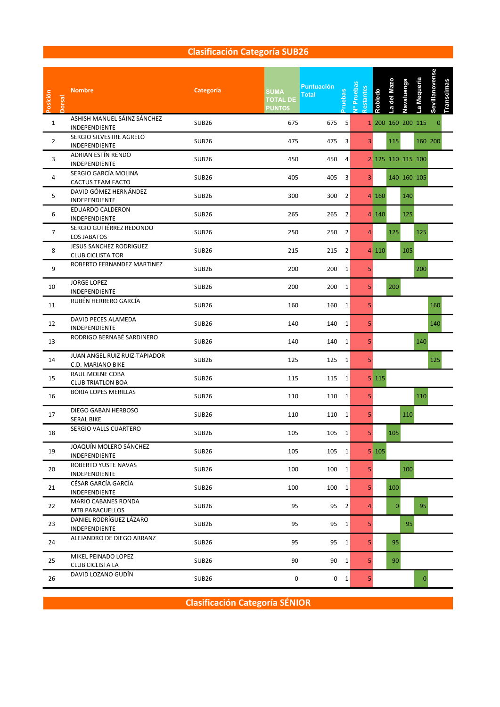### Clasificación Categoría SUB26

| Posición<br>orsal | <b>Nombre</b>                                       | Categoría         | <b>SUMA</b><br><b>TOTAL DE</b><br><b>PUNTOS</b> | <b>Puntuación</b><br>Total | ruebas         | Nº Pruebas<br>estantes | Robledo | a del Mazo   | Navaluenga | La Mequeria       | Sevillanovense | Transcimas |  |  |  |  |  |
|-------------------|-----------------------------------------------------|-------------------|-------------------------------------------------|----------------------------|----------------|------------------------|---------|--------------|------------|-------------------|----------------|------------|--|--|--|--|--|
| $\mathbf{1}$      | ASHISH MANUEL SÁINZ SÁNCHEZ<br>INDEPENDIENTE        | SUB26             | 675                                             | 675 5                      |                |                        |         |              |            | 1 200 160 200 115 | $\mathbf 0$    |            |  |  |  |  |  |
| $\overline{2}$    | SERGIO SILVESTRE AGRELO<br>INDEPENDIENTE            | <b>SUB26</b>      | 475                                             | 475                        | $\overline{3}$ | 3 <sup>1</sup>         |         | 115          |            |                   | 160 200        |            |  |  |  |  |  |
| 3                 | ADRIAN ESTÍN RENDO<br>INDEPENDIENTE                 | <b>SUB26</b>      | 450                                             | 450                        | 4              |                        |         |              |            | 2 125 110 115 100 |                |            |  |  |  |  |  |
| 4                 | SERGIO GARCÍA MOLINA<br>CACTUS TEAM FACTO           | SUB26             | 405                                             | 405 3                      |                | 3 <sup>1</sup>         |         |              |            | 140 160 105       |                |            |  |  |  |  |  |
| 5                 | DAVID GÓMEZ HERNÁNDEZ<br>INDEPENDIENTE              | <b>SUB26</b>      | 300                                             | 300 2                      |                |                        | 4 160   |              | 140        |                   |                |            |  |  |  |  |  |
| 6                 | EDUARDO CALDERON<br>INDEPENDIENTE                   | <b>SUB26</b>      | 265                                             | 265 2                      |                |                        | 4 140   |              | 125        |                   |                |            |  |  |  |  |  |
| $\overline{7}$    | SERGIO GUTIÉRREZ REDONDO<br>LOS JABATOS             | <b>SUB26</b>      | 250                                             | 250                        | $\overline{2}$ | $\overline{4}$         |         | 125          |            | 125               |                |            |  |  |  |  |  |
| 8                 | JESUS SANCHEZ RODRIGUEZ<br><b>CLUB CICLISTA TOR</b> | SUB26             | 215                                             | 215 2                      |                |                        | 4 110   |              | 105        |                   |                |            |  |  |  |  |  |
| 9                 | ROBERTO FERNANDEZ MARTINEZ                          | <b>SUB26</b>      | 200                                             | 200 1                      |                | 5                      |         |              |            | 200               |                |            |  |  |  |  |  |
| 10                | <b>JORGE LOPEZ</b><br><b>INDEPENDIENTE</b>          | SUB26             | 200                                             | 200 1                      |                | 5 <sup>1</sup>         |         | 200          |            |                   |                |            |  |  |  |  |  |
| 11                | RUBÉN HERRERO GARCÍA                                | <b>SUB26</b>      | 160                                             | 160 1                      |                | 5                      |         |              |            |                   | 160            |            |  |  |  |  |  |
| 12                | DAVID PECES ALAMEDA<br>INDEPENDIENTE                | <b>SUB26</b>      | 140                                             | 140 1                      |                | 5                      |         |              |            |                   | 140            |            |  |  |  |  |  |
| 13                | RODRIGO BERNABÉ SARDINERO                           | <b>SUB26</b>      | 140                                             | 140 1                      |                | 5                      |         |              |            | 140               |                |            |  |  |  |  |  |
| 14                | JUAN ANGEL RUIZ RUIZ-TAPIADOR<br>C.D. MARIANO BIKE  | <b>SUB26</b>      | 125                                             | 125 1                      |                | 5.                     |         |              |            |                   | 125            |            |  |  |  |  |  |
| 15                | RAUL MOLNE COBA<br><b>CLUB TRIATLON BOA</b>         | <b>SUB26</b>      | 115                                             | 115 1                      |                |                        | 5 115   |              |            |                   |                |            |  |  |  |  |  |
| 16                | <b>BORJA LOPES MERILLAS</b>                         | <b>SUB26</b>      | 110                                             | 110 1                      |                | 5                      |         |              |            | 110               |                |            |  |  |  |  |  |
| 17                | DIEGO GABAN HERBOSO<br>SERAL BIKE                   | <b>SUB26</b>      | 110                                             | 110 1                      |                | 5.                     |         |              | 110        |                   |                |            |  |  |  |  |  |
| 18                | SERGIO VALLS CUARTERO                               | <b>SUB26</b>      | 105                                             | 105 1                      |                | 5 <sup>1</sup>         |         | 105          |            |                   |                |            |  |  |  |  |  |
| 19                | JOAQUÍN MOLERO SÁNCHEZ<br>INDEPENDIENTE             | <b>SUB26</b>      | 105                                             | 105 1                      |                |                        | 5 105   |              |            |                   |                |            |  |  |  |  |  |
| 20                | ROBERTO YUSTE NAVAS<br>INDEPENDIENTE                | <b>SUB26</b>      | 100                                             | $100 \quad 1$              |                | 5 <sub>1</sub>         |         |              | 100        |                   |                |            |  |  |  |  |  |
| 21                | CÉSAR GARCÍA GARCÍA<br>INDEPENDIENTE                | SUB <sub>26</sub> | 100                                             | 100 1                      |                | 5 <sup>1</sup>         |         | 100          |            |                   |                |            |  |  |  |  |  |
| 22                | MARIO CABANES RONDA<br>MTB PARACUELLOS              | <b>SUB26</b>      | 95                                              |                            | $95 \quad 2$   | $\overline{4}$         |         | $\mathbf{0}$ |            | 95                |                |            |  |  |  |  |  |
| 23                | DANIEL RODRÍGUEZ LÁZARO<br>INDEPENDIENTE            | SUB <sub>26</sub> | 95                                              |                            | $95 \quad 1$   | 5 <sub>1</sub>         |         |              |            | 95                |                |            |  |  |  |  |  |
| 24                | ALEJANDRO DE DIEGO ARRANZ                           | <b>SUB26</b>      | 95                                              |                            | 95 1           | 5 <sub>1</sub>         |         | 95           |            |                   |                |            |  |  |  |  |  |
| 25                | MIKEL PEINADO LOPEZ<br>CLUB CICLISTA LA             | <b>SUB26</b>      | 90                                              |                            | 90 1           | 5 <sup>1</sup>         |         | 90           |            |                   |                |            |  |  |  |  |  |
| 26                | DAVID LOZANO GUDÍN                                  | <b>SUB26</b>      | 0                                               |                            | $0 \quad 1$    | 5 <sub>1</sub>         |         |              |            | $\overline{0}$    |                |            |  |  |  |  |  |

Clasificación Categoría SÉNIOR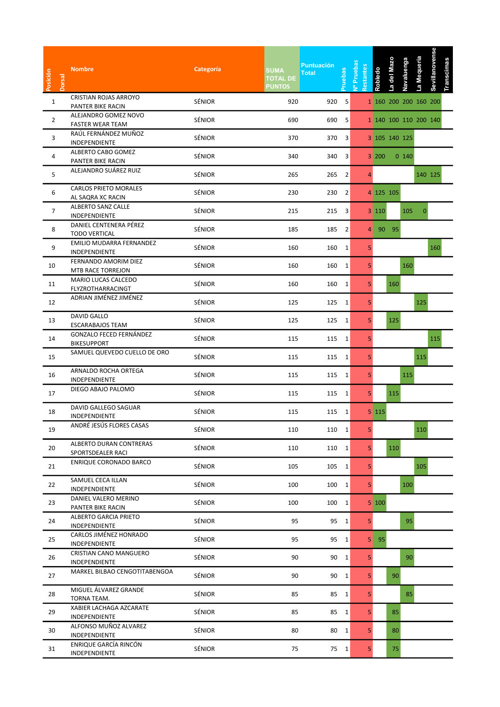| Posición<br><b>Dorsal</b> | <b>Nombre</b>                                       | Categoría     | <b>SUMA</b><br><b>TOTAL DE</b><br><b>PUNTOS</b> | <b>Puntuación</b><br><b>Total</b> | <b>cepan</b>            | vº Pruebas<br>estantes | <b>Robledo</b> | a del Mazo            | Navaluenga | -a Mequeria    | Sevillanovense | <b>Transcimas</b> |  |  |
|---------------------------|-----------------------------------------------------|---------------|-------------------------------------------------|-----------------------------------|-------------------------|------------------------|----------------|-----------------------|------------|----------------|----------------|-------------------|--|--|
| $\mathbf{1}$              | CRISTIAN ROJAS ARROYO<br>PANTER BIKE RACIN          | SÉNIOR        | 920                                             | 920                               | -5                      |                        |                | 1 160 200 200 160 200 |            |                |                |                   |  |  |
| $\overline{2}$            | ALEJANDRO GOMEZ NOVO<br><b>FASTER WEAR TEAM</b>     | SÉNIOR        | 690                                             | 690                               | 5                       |                        |                | 1 140 100 110 200 140 |            |                |                |                   |  |  |
| 3                         | RAÚL FERNÁNDEZ MUÑOZ<br>INDEPENDIENTE               | SÉNIOR        | 370                                             | 370 3                             |                         |                        |                | 3 105 140 125         |            |                |                |                   |  |  |
| 4                         | ALBERTO CABO GOMEZ<br>PANTER BIKE RACIN             | SÉNIOR        | 340                                             | 340                               | $\overline{\mathbf{3}}$ |                        | 3 200          |                       | 0 140      |                |                |                   |  |  |
| 5                         | ALEJANDRO SUÁREZ RUIZ                               | SÉNIOR        | 265                                             | 265 2                             |                         | $\overline{4}$         |                |                       |            | 140 125        |                |                   |  |  |
| 6                         | <b>CARLOS PRIETO MORALES</b><br>AL SAQRA XC RACIN   | SÉNIOR        | 230                                             | 230 2                             |                         |                        |                | 4 125 105             |            |                |                |                   |  |  |
| $\overline{7}$            | ALBERTO SANZ CALLE<br>INDEPENDIENTE                 | SÉNIOR        | 215                                             | 215                               | 3                       |                        | 3 110          |                       | 105        | $\overline{0}$ |                |                   |  |  |
| 8                         | DANIEL CENTENERA PÉREZ<br><b>TODO VERTICAL</b>      | SÉNIOR        | 185                                             | 185 2                             |                         | 4                      |                | 90 95                 |            |                |                |                   |  |  |
| 9                         | EMILIO MUDARRA FERNANDEZ<br>INDEPENDIENTE           | SÉNIOR        | 160                                             | 160 1                             |                         | 5                      |                |                       |            |                | 160            |                   |  |  |
| 10                        | FERNANDO AMORIM DIEZ<br>MTB RACE TORREJON           | SÉNIOR        | 160                                             | 160                               | $\mathbf{1}$            | 5 <sub>1</sub>         |                |                       | 160        |                |                |                   |  |  |
| 11                        | MARIO LUCAS CALCEDO<br>FLYZROTHARRACINGT            | SÉNIOR        | 160                                             | 160 1                             |                         | 5 <sub>1</sub>         |                | 160                   |            |                |                |                   |  |  |
| 12                        | ADRIAN JIMÉNEZ JIMÉNEZ                              | SÉNIOR        | 125                                             | 125 1                             |                         | 5 <sub>1</sub>         |                |                       |            | 125            |                |                   |  |  |
| 13                        | DAVID GALLO<br><b>ESCARABAJOS TEAM</b>              | SÉNIOR        | 125                                             | 125 1                             |                         | 5                      |                | 125                   |            |                |                |                   |  |  |
| 14                        | GONZALO FECED FERNÁNDEZ<br><b>BIKESUPPORT</b>       | SÉNIOR        | 115                                             | 115 1                             |                         | 5                      |                |                       |            |                | 115            |                   |  |  |
| 15                        | SAMUEL QUEVEDO CUELLO DE ORO                        | SÉNIOR        | 115                                             | 115 1                             |                         | 5 <sup>1</sup>         |                |                       |            | 115            |                |                   |  |  |
| 16                        | ARNALDO ROCHA ORTEGA<br>INDEPENDIENTE               | SÉNIOR        | 115                                             | 115 1                             |                         | 5 <sup>1</sup>         |                |                       | 115        |                |                |                   |  |  |
| 17                        | DIEGO ABAJO PALOMO                                  | SÉNIOR        | 115                                             | 115 1                             |                         | 5 <sub>1</sub>         |                | 115                   |            |                |                |                   |  |  |
| 18                        | DAVID GALLEGO SAGUAR<br>INDEPENDIENTE               | SÉNIOR        | 115                                             | 115 1                             |                         |                        | 5 115          |                       |            |                |                |                   |  |  |
| 19                        | ANDRÉ JESÚS FLORES CASAS                            | SÉNIOR        | 110                                             | 110 1                             |                         | 5 <sup>1</sup>         |                |                       |            | 110            |                |                   |  |  |
| 20                        | <b>ALBERTO DURAN CONTRERAS</b><br>SPORTSDEALER RACI | SÉNIOR        | 110                                             | 110 1                             |                         | 5 <sup>1</sup>         |                | 110                   |            |                |                |                   |  |  |
| 21                        | <b>ENRIQUE CORONADO BARCO</b>                       | SÉNIOR        | 105                                             | 105 1                             |                         | 5 <sub>1</sub>         |                |                       |            | 105            |                |                   |  |  |
| 22                        | SAMUEL CECA ILLAN<br>INDEPENDIENTE                  | SÉNIOR        | 100                                             | 100 1                             |                         | 5 <sub>1</sub>         |                |                       | 100        |                |                |                   |  |  |
| 23                        | DANIEL VALERO MERINO<br>PANTER BIKE RACIN           | SÉNIOR        | 100                                             | 100 1                             |                         |                        | 5 100          |                       |            |                |                |                   |  |  |
| 24                        | ALBERTO GARCIA PRIETO<br>INDEPENDIENTE              | <b>SÉNIOR</b> | 95                                              | 95 1                              |                         | 5 <sup>1</sup>         |                |                       | 95         |                |                |                   |  |  |
| 25                        | <b>CARLOS JIMÉNEZ HONRADO</b><br>INDEPENDIENTE      | SÉNIOR        | 95                                              | 95 1                              |                         |                        | $5$ 95         |                       |            |                |                |                   |  |  |
| 26                        | CRISTIAN CANO MANGUERO<br>INDEPENDIENTE             | SÉNIOR        | 90                                              | 90 1                              |                         | 5 <sup>1</sup>         |                |                       | 90         |                |                |                   |  |  |
| 27                        | MARKEL BILBAO CENGOTITABENGOA                       | SÉNIOR        | 90                                              | 90 1                              |                         | 5 <sup>1</sup>         |                | 90                    |            |                |                |                   |  |  |
| 28                        | MIGUEL ÁLVAREZ GRANDE<br>TORNA TEAM.                | SÉNIOR        | 85                                              | 85 1                              |                         | 5 <sup>1</sup>         |                |                       | 85         |                |                |                   |  |  |
| 29                        | XABIER LACHAGA AZCARATE<br>INDEPENDIENTE            | SÉNIOR        | 85                                              | 85 1                              |                         | 5 <sup>1</sup>         |                | 85                    |            |                |                |                   |  |  |
| 30                        | ALFONSO MUÑOZ ALVAREZ<br>INDEPENDIENTE              | SÉNIOR        | 80                                              | 80 1                              |                         | 5 <sup>1</sup>         |                | 80                    |            |                |                |                   |  |  |
| 31                        | ENRIQUE GARCÍA RINCÓN<br>INDEPENDIENTE              | SÉNIOR        | 75                                              | 75 1                              |                         | 5 <sub>1</sub>         |                | 75                    |            |                |                |                   |  |  |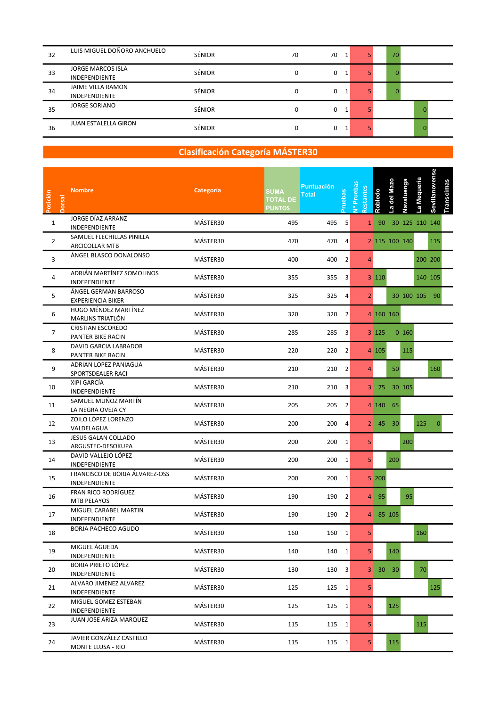| 32 | LUIS MIGUEL DOÑORO ANCHUELO                      | SÉNIOR        | 70 | 70<br>1 | 70       |  |
|----|--------------------------------------------------|---------------|----|---------|----------|--|
| 33 | <b>JORGE MARCOS ISLA</b><br><b>INDEPENDIENTE</b> | SÉNIOR        | 0  | 0       | 0        |  |
| 34 | <b>JAIME VILLA RAMON</b><br><b>INDEPENDIENTE</b> | <b>SÉNIOR</b> | 0  | 0<br>1  | $\Omega$ |  |
| 35 | <b>JORGE SORIANO</b>                             | <b>SÉNIOR</b> | 0  | 0<br>1  | 0        |  |
| 36 | <b>JUAN ESTALELLA GIRON</b>                      | <b>SÉNIOR</b> | 0  | 0       | 0        |  |

| Posición<br>Dorsal | <b>Nombre</b>                                    | Categoría | <b>SUMA</b><br><b>TOTAL DE</b><br><b>PUNTOS</b> | <b>Puntuación</b><br>ruebas<br><b>Total</b> | v <sup>o</sup> Prueba:<br>Restantes | <b>Robledo</b>                    | a del Mazo          | Navaluenga | La Mequeria    | Sevillanovense | Transcimas |  |  |
|--------------------|--------------------------------------------------|-----------|-------------------------------------------------|---------------------------------------------|-------------------------------------|-----------------------------------|---------------------|------------|----------------|----------------|------------|--|--|
| $\mathbf{1}$       | JORGE DÍAZ ARRANZ<br>INDEPENDIENTE               | MÁSTER30  | 495                                             | 495<br>-5                                   |                                     | 90<br>$\mathbf{1}$                |                     |            | 30 125 110 140 |                |            |  |  |
| $\overline{2}$     | SAMUEL FLECHILLAS PINILLA<br>ARCICOLLAR MTB      | MÁSTER30  | 470                                             | 470<br>$\overline{a}$                       |                                     |                                   | 2 115 100 140       |            |                | 115            |            |  |  |
| 3                  | ÁNGEL BLASCO DONALONSO                           | MÁSTER30  | 400                                             | 400<br>$\overline{2}$                       |                                     | 4                                 |                     |            |                | 200 200        |            |  |  |
| 4                  | ADRIÁN MARTÍNEZ SOMOLINOS<br>INDEPENDIENTE       | MÁSTER30  | 355                                             | 355 3                                       |                                     | 3 110                             |                     |            |                | 140 105        |            |  |  |
| 5                  | ÁNGEL GERMAN BARROSO<br><b>EXPERIENCIA BIKER</b> | MÁSTER30  | 325                                             | 325 4                                       |                                     | 2 <sup>1</sup>                    |                     |            | 30 100 105 90  |                |            |  |  |
| 6                  | HUGO MÉNDEZ MARTÍNEZ<br>MARLINS TRIATLÓN         | MÁSTER30  | 320                                             | 320 2                                       |                                     |                                   | 4 160 160           |            |                |                |            |  |  |
| $\overline{7}$     | <b>CRISTIAN ESCOREDO</b><br>PANTER BIKE RACIN    | MÁSTER30  | 285                                             | 285<br>3                                    |                                     | 3 125                             |                     | $0$ 160    |                |                |            |  |  |
| 8                  | DAVID GARCIA LABRADOR<br>PANTER BIKE RACIN       | MÁSTER30  | 220                                             | 220<br>$\overline{2}$                       |                                     | 4 105                             |                     | 115        |                |                |            |  |  |
| 9                  | ADRIAN LOPEZ PANIAGUA<br>SPORTSDEALER RACI       | MÁSTER30  | 210                                             | 210 2                                       |                                     | $\overline{4}$                    | 50                  |            |                | 160            |            |  |  |
| 10                 | XIPI GARCÍA<br>INDEPENDIENTE                     | MÁSTER30  | 210                                             | 210<br>3                                    |                                     |                                   | 3 75 30 105         |            |                |                |            |  |  |
| 11                 | SAMUEL MUÑOZ MARTÍN<br>LA NEGRA OVEJA CY         | MÁSTER30  | 205                                             | 205 2                                       |                                     |                                   | $4 \ 140 \ 65$      |            |                |                |            |  |  |
| 12                 | ZOILO LÓPEZ LORENZO<br>VALDELAGUA                | MÁSTER30  | 200                                             | 200<br>4                                    |                                     |                                   | $2 \mid 45 \mid 30$ |            | 125            | $\Omega$       |            |  |  |
| 13                 | JESUS GALAN COLLADO<br>ARGUSTEC-DESOKUPA         | MÁSTER30  | 200                                             | 200 1                                       |                                     | 5                                 |                     | 200        |                |                |            |  |  |
| 14                 | DAVID VALLEJO LÓPEZ<br>INDEPENDIENTE             | MÁSTER30  | 200                                             | 200 1                                       |                                     | 5 <sup>1</sup>                    | 200                 |            |                |                |            |  |  |
| 15                 | FRANCISCO DE BORJA ÁLVAREZ-OSS<br>INDEPENDIENTE  | MÁSTER30  | 200                                             | 200<br>$\mathbf{1}$                         |                                     | $5 \overline{\smash{\big)}\ 200}$ |                     |            |                |                |            |  |  |
| 16                 | <b>FRAN RICO RODRÍGUEZ</b><br>MTB PELAYOS        | MÁSTER30  | 190                                             | 190<br>$\overline{2}$                       |                                     | 95<br>$\overline{4}$              |                     | 95         |                |                |            |  |  |
| 17                 | MIGUEL CARABEL MARTIN<br>INDEPENDIENTE           | MÁSTER30  | 190                                             | 190 2                                       |                                     |                                   | 4 85 105            |            |                |                |            |  |  |
| 18                 | <b>BORJA PACHECO AGUDO</b>                       | MÁSTER30  | 160                                             | 160<br>1                                    |                                     | 5 <sup>1</sup>                    |                     |            | 160            |                |            |  |  |
| 19                 | MIGUEL ÁGUEDA<br>INDEPENDIENTE                   | MÁSTER30  | 140                                             | 140 1                                       |                                     | 5 <sup>1</sup>                    | 140                 |            |                |                |            |  |  |
| 20                 | <b>BORJA PRIETO LÓPEZ</b><br>INDEPENDIENTE       | MÁSTER30  | 130                                             | $130 \quad 3$                               |                                     |                                   | 3 30 30             |            | 70             |                |            |  |  |
| 21                 | ALVARO JIMENEZ ALVAREZ<br>INDEPENDIENTE          | MÁSTER30  | 125                                             | 125 1                                       |                                     | 5 <sup>1</sup>                    |                     |            |                | 125            |            |  |  |
| 22                 | MIGUEL GOMEZ ESTEBAN<br>INDEPENDIENTE            | MÁSTER30  | 125                                             | 125 1                                       |                                     | 5 <sup>1</sup>                    | 125                 |            |                |                |            |  |  |
| 23                 | JUAN JOSE ARIZA MARQUEZ                          | MÁSTER30  | 115                                             | 115 1                                       |                                     | 5 <sup>1</sup>                    |                     |            | 115            |                |            |  |  |
| 24                 | JAVIER GONZÁLEZ CASTILLO<br>MONTE LLUSA - RIO    | MÁSTER30  | 115                                             | 115 1                                       |                                     | 5 <sup>1</sup>                    | 115                 |            |                |                |            |  |  |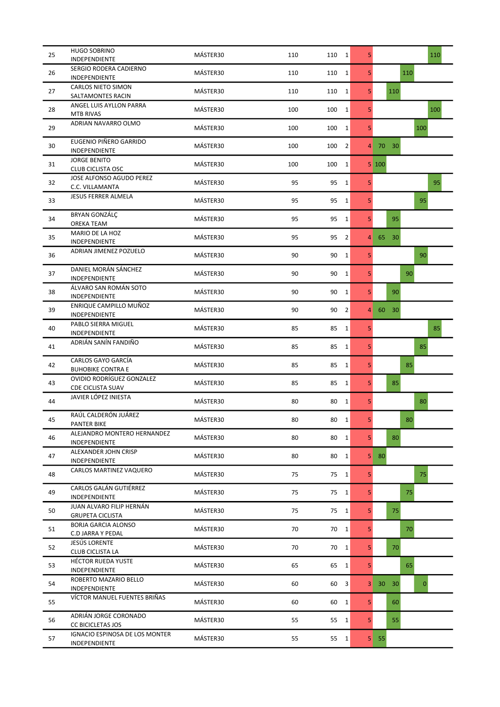| 25 | <b>HUGO SOBRINO</b><br>INDEPENDIENTE                  | MÁSTER30 | 110 | 110<br>1              | 5              | 110                                   |
|----|-------------------------------------------------------|----------|-----|-----------------------|----------------|---------------------------------------|
| 26 | SERGIO RODERA CADIERNO<br><b>INDEPENDIENTE</b>        | MÁSTER30 | 110 | 110<br>$\mathbf{1}$   | 5              | 110                                   |
| 27 | <b>CARLOS NIETO SIMON</b><br>SALTAMONTES RACIN        | MÁSTER30 | 110 | $\mathbf{1}$<br>110   | 5              | 110                                   |
| 28 | ANGEL LUIS AYLLON PARRA<br><b>MTB RIVAS</b>           | MÁSTER30 | 100 | 100<br>$\mathbf{1}$   | 5              | 100                                   |
| 29 | ADRIAN NAVARRO OLMO                                   | MÁSTER30 | 100 | 100<br>$\mathbf{1}$   | 5              | 100                                   |
| 30 | <b>EUGENIO PIÑERO GARRIDO</b><br>INDEPENDIENTE        | MÁSTER30 | 100 | $\overline{2}$<br>100 | 4              | 70 30                                 |
| 31 | <b>JORGE BENITO</b><br><b>CLUB CICLISTA OSC</b>       | MÁSTER30 | 100 | 100<br>$\mathbf{1}$   |                | 5 100                                 |
| 32 | JOSE ALFONSO AGUDO PEREZ<br>C.C. VILLAMANTA           | MÁSTER30 | 95  | 95<br>$\mathbf{1}$    | 5              | 95                                    |
| 33 | <b>JESUS FERRER ALMELA</b>                            | MÁSTER30 | 95  | 95<br>$\mathbf{1}$    | 5              | 95                                    |
| 34 | <b>BRYAN GONZÁLÇ</b><br>OREKA TEAM                    | MÁSTER30 | 95  | 95<br>$\mathbf{1}$    | 5              | 95                                    |
| 35 | MARIO DE LA HOZ<br>INDEPENDIENTE                      | MÁSTER30 | 95  | 95<br>$\overline{2}$  | $\overline{4}$ | 65<br>30                              |
| 36 | ADRIAN JIMENEZ POZUELO                                | MÁSTER30 | 90  | 90<br>$\mathbf{1}$    | 5              | 90                                    |
| 37 | DANIEL MORÁN SÁNCHEZ<br>INDEPENDIENTE                 | MÁSTER30 | 90  | 90<br>$\mathbf{1}$    | 5              | 90                                    |
| 38 | ÁLVARO SAN ROMÁN SOTO<br>INDEPENDIENTE                | MÁSTER30 | 90  | 90<br>1               | 5              | 90                                    |
| 39 | ENRIQUE CAMPILLO MUÑOZ<br>INDEPENDIENTE               | MÁSTER30 | 90  | 90<br>$\overline{2}$  | 4              | 60<br>30                              |
| 40 | PABLO SIERRA MIGUEL<br>INDEPENDIENTE                  | MÁSTER30 | 85  | 85<br>$\mathbf{1}$    | 5              | 85                                    |
| 41 | ADRIÁN SANÍN FANDIÑO                                  | MÁSTER30 | 85  | 85<br>$\mathbf{1}$    | 5              | 85                                    |
| 42 | CARLOS GAYO GARCÍA<br><b>BUHOBIKE CONTRA E</b>        | MÁSTER30 | 85  | 85<br>$\mathbf{1}$    | 5              | 85                                    |
| 43 | OVIDIO RODRÍGUEZ GONZALEZ<br><b>CDE CICLISTA SUAV</b> | MÁSTER30 | 85  | 85<br>1               | 5              | 85                                    |
| 44 | JAVIER LÓPEZ INIESTA                                  | MÁSTER30 | 80  | 80<br>$\mathbf{1}$    | 5              | 80                                    |
| 45 | RAÚL CALDERÓN JUÁREZ<br>PANTER BIKE                   | MÁSTER30 | 80  | 80<br>$\mathbf{1}$    | 5              | 80                                    |
| 46 | ALEJANDRO MONTERO HERNANDEZ<br><b>INDEPENDIENTE</b>   | MÁSTER30 | 80  | 80<br>$\mathbf{1}$    | 5              | 80                                    |
| 47 | ALEXANDER JOHN CRISP<br>INDEPENDIENTE                 | MÁSTER30 | 80  | 80<br>1               | 5              | 80                                    |
| 48 | CARLOS MARTINEZ VAQUERO                               | MÁSTER30 | 75  | 75<br>$\mathbf{1}$    | 5              | 75                                    |
| 49 | CARLOS GALÁN GUTIÉRREZ<br>INDEPENDIENTE               | MÁSTER30 | 75  | 75<br>$\mathbf{1}$    | 5              | 75                                    |
| 50 | JUAN ALVARO FILIP HERNÁN<br><b>GRUPETA CICLISTA</b>   | MÁSTER30 | 75  | 75<br>$\mathbf{1}$    | 5              | 75                                    |
| 51 | <b>BORJA GARCIA ALONSO</b><br>C.D JARRA Y PEDAL       | MÁSTER30 | 70  | 70<br>1               | 5              | 70                                    |
| 52 | JESÚS LORENTE<br>CLUB CICLISTA LA                     | MÁSTER30 | 70  | 70<br>$\mathbf{1}$    | 5              | 70                                    |
| 53 | <b>HÉCTOR RUEDA YUSTE</b><br>INDEPENDIENTE            | MÁSTER30 | 65  | 65<br>1               | 5              | 65                                    |
| 54 | ROBERTO MAZARIO BELLO<br>INDEPENDIENTE                | MÁSTER30 | 60  | 60<br>3               | 3              | 30 <sup>°</sup><br>30<br>$\mathbf{0}$ |
| 55 | VÍCTOR MANUEL FUENTES BRIÑAS                          | MÁSTER30 | 60  | $\mathbf{1}$<br>60    | 5              | 60                                    |
| 56 | ADRIÁN JORGE CORONADO<br>CC BICICLETAS JOS            | MÁSTER30 | 55  | 55<br>1               | 5              | 55                                    |
| 57 | IGNACIO ESPINOSA DE LOS MONTER<br>INDEPENDIENTE       | MÁSTER30 | 55  | 55<br>1               | 5 <sub>1</sub> | 55                                    |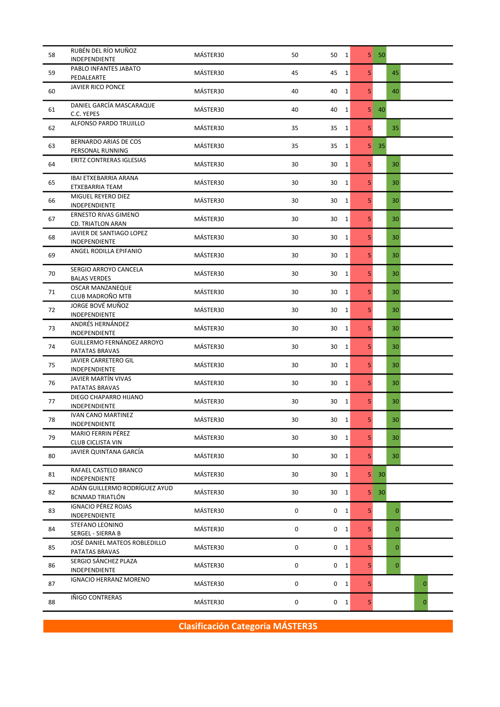| PABLO INFANTES JABATO<br>MÁSTER30<br>59<br>45<br>5<br>45<br>45<br>$\mathbf{1}$<br>PEDALEARTE<br><b>JAVIER RICO PONCE</b><br>MÁSTER30<br>40<br>5<br>40<br>60<br>40<br>$\mathbf{1}$<br>DANIEL GARCÍA MASCARAQUE<br>MÁSTER30<br>40<br>5 <sup>1</sup><br>61<br>40<br>40<br>1<br>C.C. YEPES<br>ALFONSO PARDO TRUJILLO<br>MÁSTER30<br>35<br>5<br>35<br>62<br>35<br>$\mathbf{1}$<br>BERNARDO ARIAS DE COS<br>MÁSTER30<br>35<br>63<br>35<br>5<br>35<br>1<br>PERSONAL RUNNING<br>ERITZ CONTRERAS IGLESIAS<br>MÁSTER30<br>30<br>1<br>5<br>64<br>30<br>30<br>IBAI ETXEBARRIA ARANA<br>5<br>65<br>MÁSTER30<br>30<br>$\mathbf{1}$<br>30<br>30<br>ETXEBARRIA TEAM<br>MIGUEL REYERO DIEZ<br>MÁSTER30<br>5<br>66<br>30<br>30<br>1<br>30<br>INDEPENDIENTE<br><b>ERNESTO RIVAS GIMENO</b><br>5<br>MÁSTER30<br>67<br>30<br>$\mathbf{1}$<br>30<br>30<br><b>CD. TRIATLON ARAN</b><br>JAVIER DE SANTIAGO LOPEZ<br>MÁSTER30<br>30<br>5<br>68<br>30<br>$\mathbf{1}$<br>30<br>INDEPENDIENTE<br>ANGEL RODILLA EPIFANIO<br>MÁSTER30<br>5<br>30<br>30<br>69<br>30<br>$\mathbf{1}$<br>SERGIO ARROYO CANCELA<br>70<br>MÁSTER30<br>5<br>30<br>30<br>$\mathbf{1}$<br>30<br><b>BALAS VERDES</b><br><b>OSCAR MANZANEQUE</b><br>MÁSTER30<br>5<br>71<br>30<br>30<br>30<br>1<br>CLUB MADROÑO MTB<br>JORGE BOVÉ MUÑOZ<br>MÁSTER30<br>5<br>72<br>30<br>30<br>$\mathbf{1}$<br>30<br>INDEPENDIENTE<br>ANDRÉS HERNÁNDEZ<br>MÁSTER30<br>5<br>73<br>30<br>30<br>30<br>1<br>INDEPENDIENTE<br>GUILLERMO FERNÁNDEZ ARROYO<br>MÁSTER30<br>30<br>5<br>74<br>30<br>1<br>30<br>PATATAS BRAVAS<br>JAVIER CARRETERO GIL<br>MÁSTER30<br>5<br>75<br>30<br>30<br>1<br>30<br>INDEPENDIENTE<br>JAVIER MARTÍN VIVAS<br>MÁSTER30<br>30<br>5<br>76<br>30 1<br>30<br>PATATAS BRAVAS<br>DIEGO CHAPARRO HIJANO<br>MÁSTER30<br>5<br>77<br>30<br>30<br>30<br>1<br>INDEPENDIENTE<br><b>IVAN CANO MARTINEZ</b><br>MÁSTER30<br>5<br>30<br>78<br>30<br>30 1<br>INDEPENDIENTE<br><b>MARIO FERRIN PÉREZ</b><br>MÁSTER30<br>30<br>30 1<br>5<br>79<br>30<br><b>CLUB CICLISTA VIN</b><br>JAVIER QUINTANA GARCÍA<br>MÁSTER30<br>80<br>5<br>30<br>30 1<br>30<br>RAFAEL CASTELO BRANCO<br>MÁSTER30<br>30<br>81<br>30<br>$\mathbf 1$<br>5 <sup>1</sup><br>30<br>INDEPENDIENTE<br>ADÁN GUILLERMO RODRÍGUEZ AYUD<br>MÁSTER30<br>82<br>30<br>30 1<br>5<br>30<br>BCNMAD TRIATLÓN<br><b>IGNACIO PÉREZ ROJAS</b><br>MÁSTER30<br>0<br>5<br>83<br>$0\quad 1$<br>0<br>INDEPENDIENTE<br>STEFANO LEONINO<br>MÁSTER30<br>0<br>5<br>84<br>$0\quad 1$<br>$\mathbf{0}$<br>SERGEL - SIERRA B<br>JOSÉ DANIEL MATEOS ROBLEDILLO<br>MÁSTER30<br>0<br>5<br>85<br>$0\quad 1$<br>$\mathbf{0}$<br>PATATAS BRAVAS<br>SERGIO SÁNCHEZ PLAZA<br>MÁSTER30<br>86<br>0<br>$0\quad 1$<br>5<br>$\mathbf{0}$<br>INDEPENDIENTE<br><b>IGNACIO HERRANZ MORENO</b><br>MÁSTER30<br>0<br>$0\quad 1$<br>5<br>87<br>0<br>IÑIGO CONTRERAS<br>MÁSTER30<br>0<br>5<br>88<br>$0\quad 1$<br>$\mathbf{0}$ | 58 | RUBÉN DEL RÍO MUÑOZ<br>INDEPENDIENTE | MÁSTER30 | 50 | 50 1 | $5 \quad 50$ |  |
|----------------------------------------------------------------------------------------------------------------------------------------------------------------------------------------------------------------------------------------------------------------------------------------------------------------------------------------------------------------------------------------------------------------------------------------------------------------------------------------------------------------------------------------------------------------------------------------------------------------------------------------------------------------------------------------------------------------------------------------------------------------------------------------------------------------------------------------------------------------------------------------------------------------------------------------------------------------------------------------------------------------------------------------------------------------------------------------------------------------------------------------------------------------------------------------------------------------------------------------------------------------------------------------------------------------------------------------------------------------------------------------------------------------------------------------------------------------------------------------------------------------------------------------------------------------------------------------------------------------------------------------------------------------------------------------------------------------------------------------------------------------------------------------------------------------------------------------------------------------------------------------------------------------------------------------------------------------------------------------------------------------------------------------------------------------------------------------------------------------------------------------------------------------------------------------------------------------------------------------------------------------------------------------------------------------------------------------------------------------------------------------------------------------------------------------------------------------------------------------------------------------------------------------------------------------------------------------------------------------------------------------------------------------------------------------------------------------------------------------------------------------------------------------------------------------------------------------------------------------------------|----|--------------------------------------|----------|----|------|--------------|--|
|                                                                                                                                                                                                                                                                                                                                                                                                                                                                                                                                                                                                                                                                                                                                                                                                                                                                                                                                                                                                                                                                                                                                                                                                                                                                                                                                                                                                                                                                                                                                                                                                                                                                                                                                                                                                                                                                                                                                                                                                                                                                                                                                                                                                                                                                                                                                                                                                                                                                                                                                                                                                                                                                                                                                                                                                                                                                            |    |                                      |          |    |      |              |  |
|                                                                                                                                                                                                                                                                                                                                                                                                                                                                                                                                                                                                                                                                                                                                                                                                                                                                                                                                                                                                                                                                                                                                                                                                                                                                                                                                                                                                                                                                                                                                                                                                                                                                                                                                                                                                                                                                                                                                                                                                                                                                                                                                                                                                                                                                                                                                                                                                                                                                                                                                                                                                                                                                                                                                                                                                                                                                            |    |                                      |          |    |      |              |  |
|                                                                                                                                                                                                                                                                                                                                                                                                                                                                                                                                                                                                                                                                                                                                                                                                                                                                                                                                                                                                                                                                                                                                                                                                                                                                                                                                                                                                                                                                                                                                                                                                                                                                                                                                                                                                                                                                                                                                                                                                                                                                                                                                                                                                                                                                                                                                                                                                                                                                                                                                                                                                                                                                                                                                                                                                                                                                            |    |                                      |          |    |      |              |  |
|                                                                                                                                                                                                                                                                                                                                                                                                                                                                                                                                                                                                                                                                                                                                                                                                                                                                                                                                                                                                                                                                                                                                                                                                                                                                                                                                                                                                                                                                                                                                                                                                                                                                                                                                                                                                                                                                                                                                                                                                                                                                                                                                                                                                                                                                                                                                                                                                                                                                                                                                                                                                                                                                                                                                                                                                                                                                            |    |                                      |          |    |      |              |  |
|                                                                                                                                                                                                                                                                                                                                                                                                                                                                                                                                                                                                                                                                                                                                                                                                                                                                                                                                                                                                                                                                                                                                                                                                                                                                                                                                                                                                                                                                                                                                                                                                                                                                                                                                                                                                                                                                                                                                                                                                                                                                                                                                                                                                                                                                                                                                                                                                                                                                                                                                                                                                                                                                                                                                                                                                                                                                            |    |                                      |          |    |      |              |  |
|                                                                                                                                                                                                                                                                                                                                                                                                                                                                                                                                                                                                                                                                                                                                                                                                                                                                                                                                                                                                                                                                                                                                                                                                                                                                                                                                                                                                                                                                                                                                                                                                                                                                                                                                                                                                                                                                                                                                                                                                                                                                                                                                                                                                                                                                                                                                                                                                                                                                                                                                                                                                                                                                                                                                                                                                                                                                            |    |                                      |          |    |      |              |  |
|                                                                                                                                                                                                                                                                                                                                                                                                                                                                                                                                                                                                                                                                                                                                                                                                                                                                                                                                                                                                                                                                                                                                                                                                                                                                                                                                                                                                                                                                                                                                                                                                                                                                                                                                                                                                                                                                                                                                                                                                                                                                                                                                                                                                                                                                                                                                                                                                                                                                                                                                                                                                                                                                                                                                                                                                                                                                            |    |                                      |          |    |      |              |  |
|                                                                                                                                                                                                                                                                                                                                                                                                                                                                                                                                                                                                                                                                                                                                                                                                                                                                                                                                                                                                                                                                                                                                                                                                                                                                                                                                                                                                                                                                                                                                                                                                                                                                                                                                                                                                                                                                                                                                                                                                                                                                                                                                                                                                                                                                                                                                                                                                                                                                                                                                                                                                                                                                                                                                                                                                                                                                            |    |                                      |          |    |      |              |  |
|                                                                                                                                                                                                                                                                                                                                                                                                                                                                                                                                                                                                                                                                                                                                                                                                                                                                                                                                                                                                                                                                                                                                                                                                                                                                                                                                                                                                                                                                                                                                                                                                                                                                                                                                                                                                                                                                                                                                                                                                                                                                                                                                                                                                                                                                                                                                                                                                                                                                                                                                                                                                                                                                                                                                                                                                                                                                            |    |                                      |          |    |      |              |  |
|                                                                                                                                                                                                                                                                                                                                                                                                                                                                                                                                                                                                                                                                                                                                                                                                                                                                                                                                                                                                                                                                                                                                                                                                                                                                                                                                                                                                                                                                                                                                                                                                                                                                                                                                                                                                                                                                                                                                                                                                                                                                                                                                                                                                                                                                                                                                                                                                                                                                                                                                                                                                                                                                                                                                                                                                                                                                            |    |                                      |          |    |      |              |  |
|                                                                                                                                                                                                                                                                                                                                                                                                                                                                                                                                                                                                                                                                                                                                                                                                                                                                                                                                                                                                                                                                                                                                                                                                                                                                                                                                                                                                                                                                                                                                                                                                                                                                                                                                                                                                                                                                                                                                                                                                                                                                                                                                                                                                                                                                                                                                                                                                                                                                                                                                                                                                                                                                                                                                                                                                                                                                            |    |                                      |          |    |      |              |  |
|                                                                                                                                                                                                                                                                                                                                                                                                                                                                                                                                                                                                                                                                                                                                                                                                                                                                                                                                                                                                                                                                                                                                                                                                                                                                                                                                                                                                                                                                                                                                                                                                                                                                                                                                                                                                                                                                                                                                                                                                                                                                                                                                                                                                                                                                                                                                                                                                                                                                                                                                                                                                                                                                                                                                                                                                                                                                            |    |                                      |          |    |      |              |  |
|                                                                                                                                                                                                                                                                                                                                                                                                                                                                                                                                                                                                                                                                                                                                                                                                                                                                                                                                                                                                                                                                                                                                                                                                                                                                                                                                                                                                                                                                                                                                                                                                                                                                                                                                                                                                                                                                                                                                                                                                                                                                                                                                                                                                                                                                                                                                                                                                                                                                                                                                                                                                                                                                                                                                                                                                                                                                            |    |                                      |          |    |      |              |  |
|                                                                                                                                                                                                                                                                                                                                                                                                                                                                                                                                                                                                                                                                                                                                                                                                                                                                                                                                                                                                                                                                                                                                                                                                                                                                                                                                                                                                                                                                                                                                                                                                                                                                                                                                                                                                                                                                                                                                                                                                                                                                                                                                                                                                                                                                                                                                                                                                                                                                                                                                                                                                                                                                                                                                                                                                                                                                            |    |                                      |          |    |      |              |  |
|                                                                                                                                                                                                                                                                                                                                                                                                                                                                                                                                                                                                                                                                                                                                                                                                                                                                                                                                                                                                                                                                                                                                                                                                                                                                                                                                                                                                                                                                                                                                                                                                                                                                                                                                                                                                                                                                                                                                                                                                                                                                                                                                                                                                                                                                                                                                                                                                                                                                                                                                                                                                                                                                                                                                                                                                                                                                            |    |                                      |          |    |      |              |  |
|                                                                                                                                                                                                                                                                                                                                                                                                                                                                                                                                                                                                                                                                                                                                                                                                                                                                                                                                                                                                                                                                                                                                                                                                                                                                                                                                                                                                                                                                                                                                                                                                                                                                                                                                                                                                                                                                                                                                                                                                                                                                                                                                                                                                                                                                                                                                                                                                                                                                                                                                                                                                                                                                                                                                                                                                                                                                            |    |                                      |          |    |      |              |  |
|                                                                                                                                                                                                                                                                                                                                                                                                                                                                                                                                                                                                                                                                                                                                                                                                                                                                                                                                                                                                                                                                                                                                                                                                                                                                                                                                                                                                                                                                                                                                                                                                                                                                                                                                                                                                                                                                                                                                                                                                                                                                                                                                                                                                                                                                                                                                                                                                                                                                                                                                                                                                                                                                                                                                                                                                                                                                            |    |                                      |          |    |      |              |  |
|                                                                                                                                                                                                                                                                                                                                                                                                                                                                                                                                                                                                                                                                                                                                                                                                                                                                                                                                                                                                                                                                                                                                                                                                                                                                                                                                                                                                                                                                                                                                                                                                                                                                                                                                                                                                                                                                                                                                                                                                                                                                                                                                                                                                                                                                                                                                                                                                                                                                                                                                                                                                                                                                                                                                                                                                                                                                            |    |                                      |          |    |      |              |  |
|                                                                                                                                                                                                                                                                                                                                                                                                                                                                                                                                                                                                                                                                                                                                                                                                                                                                                                                                                                                                                                                                                                                                                                                                                                                                                                                                                                                                                                                                                                                                                                                                                                                                                                                                                                                                                                                                                                                                                                                                                                                                                                                                                                                                                                                                                                                                                                                                                                                                                                                                                                                                                                                                                                                                                                                                                                                                            |    |                                      |          |    |      |              |  |
|                                                                                                                                                                                                                                                                                                                                                                                                                                                                                                                                                                                                                                                                                                                                                                                                                                                                                                                                                                                                                                                                                                                                                                                                                                                                                                                                                                                                                                                                                                                                                                                                                                                                                                                                                                                                                                                                                                                                                                                                                                                                                                                                                                                                                                                                                                                                                                                                                                                                                                                                                                                                                                                                                                                                                                                                                                                                            |    |                                      |          |    |      |              |  |
|                                                                                                                                                                                                                                                                                                                                                                                                                                                                                                                                                                                                                                                                                                                                                                                                                                                                                                                                                                                                                                                                                                                                                                                                                                                                                                                                                                                                                                                                                                                                                                                                                                                                                                                                                                                                                                                                                                                                                                                                                                                                                                                                                                                                                                                                                                                                                                                                                                                                                                                                                                                                                                                                                                                                                                                                                                                                            |    |                                      |          |    |      |              |  |
|                                                                                                                                                                                                                                                                                                                                                                                                                                                                                                                                                                                                                                                                                                                                                                                                                                                                                                                                                                                                                                                                                                                                                                                                                                                                                                                                                                                                                                                                                                                                                                                                                                                                                                                                                                                                                                                                                                                                                                                                                                                                                                                                                                                                                                                                                                                                                                                                                                                                                                                                                                                                                                                                                                                                                                                                                                                                            |    |                                      |          |    |      |              |  |
|                                                                                                                                                                                                                                                                                                                                                                                                                                                                                                                                                                                                                                                                                                                                                                                                                                                                                                                                                                                                                                                                                                                                                                                                                                                                                                                                                                                                                                                                                                                                                                                                                                                                                                                                                                                                                                                                                                                                                                                                                                                                                                                                                                                                                                                                                                                                                                                                                                                                                                                                                                                                                                                                                                                                                                                                                                                                            |    |                                      |          |    |      |              |  |
|                                                                                                                                                                                                                                                                                                                                                                                                                                                                                                                                                                                                                                                                                                                                                                                                                                                                                                                                                                                                                                                                                                                                                                                                                                                                                                                                                                                                                                                                                                                                                                                                                                                                                                                                                                                                                                                                                                                                                                                                                                                                                                                                                                                                                                                                                                                                                                                                                                                                                                                                                                                                                                                                                                                                                                                                                                                                            |    |                                      |          |    |      |              |  |
|                                                                                                                                                                                                                                                                                                                                                                                                                                                                                                                                                                                                                                                                                                                                                                                                                                                                                                                                                                                                                                                                                                                                                                                                                                                                                                                                                                                                                                                                                                                                                                                                                                                                                                                                                                                                                                                                                                                                                                                                                                                                                                                                                                                                                                                                                                                                                                                                                                                                                                                                                                                                                                                                                                                                                                                                                                                                            |    |                                      |          |    |      |              |  |
|                                                                                                                                                                                                                                                                                                                                                                                                                                                                                                                                                                                                                                                                                                                                                                                                                                                                                                                                                                                                                                                                                                                                                                                                                                                                                                                                                                                                                                                                                                                                                                                                                                                                                                                                                                                                                                                                                                                                                                                                                                                                                                                                                                                                                                                                                                                                                                                                                                                                                                                                                                                                                                                                                                                                                                                                                                                                            |    |                                      |          |    |      |              |  |
|                                                                                                                                                                                                                                                                                                                                                                                                                                                                                                                                                                                                                                                                                                                                                                                                                                                                                                                                                                                                                                                                                                                                                                                                                                                                                                                                                                                                                                                                                                                                                                                                                                                                                                                                                                                                                                                                                                                                                                                                                                                                                                                                                                                                                                                                                                                                                                                                                                                                                                                                                                                                                                                                                                                                                                                                                                                                            |    |                                      |          |    |      |              |  |
|                                                                                                                                                                                                                                                                                                                                                                                                                                                                                                                                                                                                                                                                                                                                                                                                                                                                                                                                                                                                                                                                                                                                                                                                                                                                                                                                                                                                                                                                                                                                                                                                                                                                                                                                                                                                                                                                                                                                                                                                                                                                                                                                                                                                                                                                                                                                                                                                                                                                                                                                                                                                                                                                                                                                                                                                                                                                            |    |                                      |          |    |      |              |  |
|                                                                                                                                                                                                                                                                                                                                                                                                                                                                                                                                                                                                                                                                                                                                                                                                                                                                                                                                                                                                                                                                                                                                                                                                                                                                                                                                                                                                                                                                                                                                                                                                                                                                                                                                                                                                                                                                                                                                                                                                                                                                                                                                                                                                                                                                                                                                                                                                                                                                                                                                                                                                                                                                                                                                                                                                                                                                            |    |                                      |          |    |      |              |  |
|                                                                                                                                                                                                                                                                                                                                                                                                                                                                                                                                                                                                                                                                                                                                                                                                                                                                                                                                                                                                                                                                                                                                                                                                                                                                                                                                                                                                                                                                                                                                                                                                                                                                                                                                                                                                                                                                                                                                                                                                                                                                                                                                                                                                                                                                                                                                                                                                                                                                                                                                                                                                                                                                                                                                                                                                                                                                            |    |                                      |          |    |      |              |  |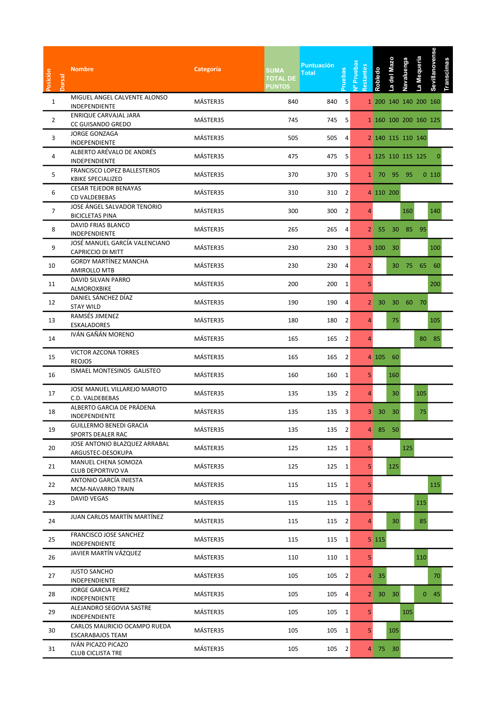| MIGUEL ANGEL CALVENTE ALONSO<br>840<br>$\mathbf{1}$<br>MÁSTER35<br>840<br>-5<br>1 200 140 140 200 160<br>INDEPENDIENTE<br>ENRIQUE CARVAJAL JARA<br>MÁSTER35<br>745<br>5<br>$\overline{2}$<br>745<br>1 160 100 200 160 125<br>CC GUISANDO GREDO<br>JORGE GONZAGA<br>MÁSTER35<br>3<br>505<br>505<br>4<br>2 140 115 110 140<br>INDEPENDIENTE<br>ALBERTO ARÉVALO DE ANDRÉS<br>MÁSTER35<br>475<br>475 5<br>4<br>1 125 110 115 125<br><b>INDEPENDIENTE</b><br>FRANCISCO LOPEZ BALLESTEROS<br>MÁSTER35<br>5<br>370<br>370 5<br>1 70 95 95<br>0110<br><b>KBIKE SPECIALIZED</b><br><b>CESAR TEJEDOR BENAYAS</b><br>MÁSTER35<br>6<br>310<br>310 2<br>4 110 200<br>CD VALDEBEBAS<br>JOSE ÁNGEL SALVADOR TENORIO<br>$\overline{7}$<br>MÁSTER35<br>300<br>300<br>$\overline{2}$<br>160<br>140<br>4<br><b>BICICLETAS PINA</b><br>DAVID FRIAS BLANCO<br>MÁSTER35<br>8<br>265<br>265<br>$2 \t 55 \t 30$<br>85 95<br>4<br>INDEPENDIENTE<br>JOSÉ MANUEL GARCÍA VALENCIANO<br>9<br>MÁSTER35<br>230<br>230 3<br>3 100 30<br>100<br>CAPRICCIO DI MITT<br><b>GORDY MARTÍNEZ MANCHA</b><br>MÁSTER35<br>230<br>30 75 65 60<br>10<br>230<br>4<br>2 <sup>1</sup><br>AMIROLLO MTB<br>DAVID SILVAN PARRO<br>MÁSTER35<br>200<br>200 1<br>5<br>11<br>200<br>ALMOROXBIKE<br>DANIEL SÁNCHEZ DÍAZ<br>MÁSTER35<br>12<br>190<br>190<br>2 30 30 60 70<br>4<br><b>STAY WILD</b><br>RAMSÉS JIMENEZ<br>MÁSTER35<br>180<br>180 2<br>75<br>105<br>13<br>4<br>ESKALADORES<br>IVÁN GAÑÁN MORENO<br>MÁSTER35<br>165 2<br>14<br>165<br>80 85<br>4<br>VICTOR AZCONA TORRES<br>MÁSTER35<br>165<br>165<br>$\overline{2}$<br>4 105 60<br>15<br><b>REOJOS</b><br>ISMAEL MONTESINOS GALISTEO<br>MÁSTER35<br>160<br>160 1<br>5 <sup>1</sup><br>160<br>16<br>JOSE MANUEL VILLAREJO MAROTO<br>MÁSTER35<br>105<br>135<br>135 2<br>17<br>30<br>4<br>C.D. VALDEBEBAS<br>ALBERTO GARCIA DE PRÁDENA<br>MÁSTER35<br>135<br>135 3<br>3 30 30<br>75<br>18<br>INDEPENDIENTE<br><b>GUILLERMO BENEDI GRACIA</b><br>MÁSTER35<br>135<br>135 2<br>85 50<br>19<br>4<br>SPORTS DEALER RAC<br>JOSE ANTONIO BLAZQUEZ ARRABAL<br>MÁSTER35<br>125<br>125 1<br>5 <sub>1</sub><br>125<br>20<br>ARGUSTEC-DESOKUPA<br>MANUEL CHENA SOMOZA<br>MÁSTER35<br>125<br>5 <sup>1</sup><br>125<br>125 1<br>21<br>CLUB DEPORTIVO VA<br>ANTONIO GARCÍA INIESTA<br>MÁSTER35<br>115<br>115 1<br>22<br>5<br>115<br>MCM-NAVARRO TRAIN<br><b>DAVID VEGAS</b><br>MÁSTER35<br>5 <sub>1</sub><br>115<br>115<br>115 1<br>23<br>JUAN CARLOS MARTÍN MARTÍNEZ<br>MÁSTER35<br>30<br>85<br>115<br>115 2<br>24<br>$\overline{4}$<br>FRANCISCO JOSE SANCHEZ<br>MÁSTER35<br>115<br>115 1<br>5 115<br>25<br>INDEPENDIENTE<br>JAVIER MARTÍN VÁZQUEZ<br>MÁSTER35<br>110<br>5 <sub>1</sub><br>26<br>110<br>110 1<br><b>JUSTO SANCHO</b><br>MÁSTER35<br>27<br>105<br>105 2<br>35<br>$\overline{4}$<br>70<br>INDEPENDIENTE |
|------------------------------------------------------------------------------------------------------------------------------------------------------------------------------------------------------------------------------------------------------------------------------------------------------------------------------------------------------------------------------------------------------------------------------------------------------------------------------------------------------------------------------------------------------------------------------------------------------------------------------------------------------------------------------------------------------------------------------------------------------------------------------------------------------------------------------------------------------------------------------------------------------------------------------------------------------------------------------------------------------------------------------------------------------------------------------------------------------------------------------------------------------------------------------------------------------------------------------------------------------------------------------------------------------------------------------------------------------------------------------------------------------------------------------------------------------------------------------------------------------------------------------------------------------------------------------------------------------------------------------------------------------------------------------------------------------------------------------------------------------------------------------------------------------------------------------------------------------------------------------------------------------------------------------------------------------------------------------------------------------------------------------------------------------------------------------------------------------------------------------------------------------------------------------------------------------------------------------------------------------------------------------------------------------------------------------------------------------------------------------------------------------------------------------------------------------------------------------------------------------------------------------------------------------------------------------------------------------------------------------------------------------------------------------------------------------------------------------------------------------------------------------------------------------------|
|                                                                                                                                                                                                                                                                                                                                                                                                                                                                                                                                                                                                                                                                                                                                                                                                                                                                                                                                                                                                                                                                                                                                                                                                                                                                                                                                                                                                                                                                                                                                                                                                                                                                                                                                                                                                                                                                                                                                                                                                                                                                                                                                                                                                                                                                                                                                                                                                                                                                                                                                                                                                                                                                                                                                                                                                            |
|                                                                                                                                                                                                                                                                                                                                                                                                                                                                                                                                                                                                                                                                                                                                                                                                                                                                                                                                                                                                                                                                                                                                                                                                                                                                                                                                                                                                                                                                                                                                                                                                                                                                                                                                                                                                                                                                                                                                                                                                                                                                                                                                                                                                                                                                                                                                                                                                                                                                                                                                                                                                                                                                                                                                                                                                            |
|                                                                                                                                                                                                                                                                                                                                                                                                                                                                                                                                                                                                                                                                                                                                                                                                                                                                                                                                                                                                                                                                                                                                                                                                                                                                                                                                                                                                                                                                                                                                                                                                                                                                                                                                                                                                                                                                                                                                                                                                                                                                                                                                                                                                                                                                                                                                                                                                                                                                                                                                                                                                                                                                                                                                                                                                            |
|                                                                                                                                                                                                                                                                                                                                                                                                                                                                                                                                                                                                                                                                                                                                                                                                                                                                                                                                                                                                                                                                                                                                                                                                                                                                                                                                                                                                                                                                                                                                                                                                                                                                                                                                                                                                                                                                                                                                                                                                                                                                                                                                                                                                                                                                                                                                                                                                                                                                                                                                                                                                                                                                                                                                                                                                            |
|                                                                                                                                                                                                                                                                                                                                                                                                                                                                                                                                                                                                                                                                                                                                                                                                                                                                                                                                                                                                                                                                                                                                                                                                                                                                                                                                                                                                                                                                                                                                                                                                                                                                                                                                                                                                                                                                                                                                                                                                                                                                                                                                                                                                                                                                                                                                                                                                                                                                                                                                                                                                                                                                                                                                                                                                            |
|                                                                                                                                                                                                                                                                                                                                                                                                                                                                                                                                                                                                                                                                                                                                                                                                                                                                                                                                                                                                                                                                                                                                                                                                                                                                                                                                                                                                                                                                                                                                                                                                                                                                                                                                                                                                                                                                                                                                                                                                                                                                                                                                                                                                                                                                                                                                                                                                                                                                                                                                                                                                                                                                                                                                                                                                            |
|                                                                                                                                                                                                                                                                                                                                                                                                                                                                                                                                                                                                                                                                                                                                                                                                                                                                                                                                                                                                                                                                                                                                                                                                                                                                                                                                                                                                                                                                                                                                                                                                                                                                                                                                                                                                                                                                                                                                                                                                                                                                                                                                                                                                                                                                                                                                                                                                                                                                                                                                                                                                                                                                                                                                                                                                            |
|                                                                                                                                                                                                                                                                                                                                                                                                                                                                                                                                                                                                                                                                                                                                                                                                                                                                                                                                                                                                                                                                                                                                                                                                                                                                                                                                                                                                                                                                                                                                                                                                                                                                                                                                                                                                                                                                                                                                                                                                                                                                                                                                                                                                                                                                                                                                                                                                                                                                                                                                                                                                                                                                                                                                                                                                            |
|                                                                                                                                                                                                                                                                                                                                                                                                                                                                                                                                                                                                                                                                                                                                                                                                                                                                                                                                                                                                                                                                                                                                                                                                                                                                                                                                                                                                                                                                                                                                                                                                                                                                                                                                                                                                                                                                                                                                                                                                                                                                                                                                                                                                                                                                                                                                                                                                                                                                                                                                                                                                                                                                                                                                                                                                            |
|                                                                                                                                                                                                                                                                                                                                                                                                                                                                                                                                                                                                                                                                                                                                                                                                                                                                                                                                                                                                                                                                                                                                                                                                                                                                                                                                                                                                                                                                                                                                                                                                                                                                                                                                                                                                                                                                                                                                                                                                                                                                                                                                                                                                                                                                                                                                                                                                                                                                                                                                                                                                                                                                                                                                                                                                            |
|                                                                                                                                                                                                                                                                                                                                                                                                                                                                                                                                                                                                                                                                                                                                                                                                                                                                                                                                                                                                                                                                                                                                                                                                                                                                                                                                                                                                                                                                                                                                                                                                                                                                                                                                                                                                                                                                                                                                                                                                                                                                                                                                                                                                                                                                                                                                                                                                                                                                                                                                                                                                                                                                                                                                                                                                            |
|                                                                                                                                                                                                                                                                                                                                                                                                                                                                                                                                                                                                                                                                                                                                                                                                                                                                                                                                                                                                                                                                                                                                                                                                                                                                                                                                                                                                                                                                                                                                                                                                                                                                                                                                                                                                                                                                                                                                                                                                                                                                                                                                                                                                                                                                                                                                                                                                                                                                                                                                                                                                                                                                                                                                                                                                            |
|                                                                                                                                                                                                                                                                                                                                                                                                                                                                                                                                                                                                                                                                                                                                                                                                                                                                                                                                                                                                                                                                                                                                                                                                                                                                                                                                                                                                                                                                                                                                                                                                                                                                                                                                                                                                                                                                                                                                                                                                                                                                                                                                                                                                                                                                                                                                                                                                                                                                                                                                                                                                                                                                                                                                                                                                            |
|                                                                                                                                                                                                                                                                                                                                                                                                                                                                                                                                                                                                                                                                                                                                                                                                                                                                                                                                                                                                                                                                                                                                                                                                                                                                                                                                                                                                                                                                                                                                                                                                                                                                                                                                                                                                                                                                                                                                                                                                                                                                                                                                                                                                                                                                                                                                                                                                                                                                                                                                                                                                                                                                                                                                                                                                            |
|                                                                                                                                                                                                                                                                                                                                                                                                                                                                                                                                                                                                                                                                                                                                                                                                                                                                                                                                                                                                                                                                                                                                                                                                                                                                                                                                                                                                                                                                                                                                                                                                                                                                                                                                                                                                                                                                                                                                                                                                                                                                                                                                                                                                                                                                                                                                                                                                                                                                                                                                                                                                                                                                                                                                                                                                            |
|                                                                                                                                                                                                                                                                                                                                                                                                                                                                                                                                                                                                                                                                                                                                                                                                                                                                                                                                                                                                                                                                                                                                                                                                                                                                                                                                                                                                                                                                                                                                                                                                                                                                                                                                                                                                                                                                                                                                                                                                                                                                                                                                                                                                                                                                                                                                                                                                                                                                                                                                                                                                                                                                                                                                                                                                            |
|                                                                                                                                                                                                                                                                                                                                                                                                                                                                                                                                                                                                                                                                                                                                                                                                                                                                                                                                                                                                                                                                                                                                                                                                                                                                                                                                                                                                                                                                                                                                                                                                                                                                                                                                                                                                                                                                                                                                                                                                                                                                                                                                                                                                                                                                                                                                                                                                                                                                                                                                                                                                                                                                                                                                                                                                            |
|                                                                                                                                                                                                                                                                                                                                                                                                                                                                                                                                                                                                                                                                                                                                                                                                                                                                                                                                                                                                                                                                                                                                                                                                                                                                                                                                                                                                                                                                                                                                                                                                                                                                                                                                                                                                                                                                                                                                                                                                                                                                                                                                                                                                                                                                                                                                                                                                                                                                                                                                                                                                                                                                                                                                                                                                            |
|                                                                                                                                                                                                                                                                                                                                                                                                                                                                                                                                                                                                                                                                                                                                                                                                                                                                                                                                                                                                                                                                                                                                                                                                                                                                                                                                                                                                                                                                                                                                                                                                                                                                                                                                                                                                                                                                                                                                                                                                                                                                                                                                                                                                                                                                                                                                                                                                                                                                                                                                                                                                                                                                                                                                                                                                            |
|                                                                                                                                                                                                                                                                                                                                                                                                                                                                                                                                                                                                                                                                                                                                                                                                                                                                                                                                                                                                                                                                                                                                                                                                                                                                                                                                                                                                                                                                                                                                                                                                                                                                                                                                                                                                                                                                                                                                                                                                                                                                                                                                                                                                                                                                                                                                                                                                                                                                                                                                                                                                                                                                                                                                                                                                            |
|                                                                                                                                                                                                                                                                                                                                                                                                                                                                                                                                                                                                                                                                                                                                                                                                                                                                                                                                                                                                                                                                                                                                                                                                                                                                                                                                                                                                                                                                                                                                                                                                                                                                                                                                                                                                                                                                                                                                                                                                                                                                                                                                                                                                                                                                                                                                                                                                                                                                                                                                                                                                                                                                                                                                                                                                            |
|                                                                                                                                                                                                                                                                                                                                                                                                                                                                                                                                                                                                                                                                                                                                                                                                                                                                                                                                                                                                                                                                                                                                                                                                                                                                                                                                                                                                                                                                                                                                                                                                                                                                                                                                                                                                                                                                                                                                                                                                                                                                                                                                                                                                                                                                                                                                                                                                                                                                                                                                                                                                                                                                                                                                                                                                            |
|                                                                                                                                                                                                                                                                                                                                                                                                                                                                                                                                                                                                                                                                                                                                                                                                                                                                                                                                                                                                                                                                                                                                                                                                                                                                                                                                                                                                                                                                                                                                                                                                                                                                                                                                                                                                                                                                                                                                                                                                                                                                                                                                                                                                                                                                                                                                                                                                                                                                                                                                                                                                                                                                                                                                                                                                            |
|                                                                                                                                                                                                                                                                                                                                                                                                                                                                                                                                                                                                                                                                                                                                                                                                                                                                                                                                                                                                                                                                                                                                                                                                                                                                                                                                                                                                                                                                                                                                                                                                                                                                                                                                                                                                                                                                                                                                                                                                                                                                                                                                                                                                                                                                                                                                                                                                                                                                                                                                                                                                                                                                                                                                                                                                            |
|                                                                                                                                                                                                                                                                                                                                                                                                                                                                                                                                                                                                                                                                                                                                                                                                                                                                                                                                                                                                                                                                                                                                                                                                                                                                                                                                                                                                                                                                                                                                                                                                                                                                                                                                                                                                                                                                                                                                                                                                                                                                                                                                                                                                                                                                                                                                                                                                                                                                                                                                                                                                                                                                                                                                                                                                            |
|                                                                                                                                                                                                                                                                                                                                                                                                                                                                                                                                                                                                                                                                                                                                                                                                                                                                                                                                                                                                                                                                                                                                                                                                                                                                                                                                                                                                                                                                                                                                                                                                                                                                                                                                                                                                                                                                                                                                                                                                                                                                                                                                                                                                                                                                                                                                                                                                                                                                                                                                                                                                                                                                                                                                                                                                            |
|                                                                                                                                                                                                                                                                                                                                                                                                                                                                                                                                                                                                                                                                                                                                                                                                                                                                                                                                                                                                                                                                                                                                                                                                                                                                                                                                                                                                                                                                                                                                                                                                                                                                                                                                                                                                                                                                                                                                                                                                                                                                                                                                                                                                                                                                                                                                                                                                                                                                                                                                                                                                                                                                                                                                                                                                            |
| <b>JORGE GARCIA PEREZ</b><br>MÁSTER35<br>105 4<br>$2 \ 30 \ 30$<br>$0$ 45<br>28<br>105<br>INDEPENDIENTE                                                                                                                                                                                                                                                                                                                                                                                                                                                                                                                                                                                                                                                                                                                                                                                                                                                                                                                                                                                                                                                                                                                                                                                                                                                                                                                                                                                                                                                                                                                                                                                                                                                                                                                                                                                                                                                                                                                                                                                                                                                                                                                                                                                                                                                                                                                                                                                                                                                                                                                                                                                                                                                                                                    |
| ALEJANDRO SEGOVIA SASTRE<br>MÁSTER35<br>105 1<br>5 <sup>1</sup><br>105<br>29<br>105<br>INDEPENDIENTE                                                                                                                                                                                                                                                                                                                                                                                                                                                                                                                                                                                                                                                                                                                                                                                                                                                                                                                                                                                                                                                                                                                                                                                                                                                                                                                                                                                                                                                                                                                                                                                                                                                                                                                                                                                                                                                                                                                                                                                                                                                                                                                                                                                                                                                                                                                                                                                                                                                                                                                                                                                                                                                                                                       |
| CARLOS MAURICIO OCAMPO RUEDA<br>MÁSTER35<br>5 <sub>1</sub><br>30<br>105<br>105 1<br>105<br><b>ESCARABAJOS TEAM</b>                                                                                                                                                                                                                                                                                                                                                                                                                                                                                                                                                                                                                                                                                                                                                                                                                                                                                                                                                                                                                                                                                                                                                                                                                                                                                                                                                                                                                                                                                                                                                                                                                                                                                                                                                                                                                                                                                                                                                                                                                                                                                                                                                                                                                                                                                                                                                                                                                                                                                                                                                                                                                                                                                         |
| IVÁN PICAZO PICAZO<br>MÁSTER35<br>105<br>$105 \quad 2$<br>4 75 30<br>31<br><b>CLUB CICLISTA TRE</b>                                                                                                                                                                                                                                                                                                                                                                                                                                                                                                                                                                                                                                                                                                                                                                                                                                                                                                                                                                                                                                                                                                                                                                                                                                                                                                                                                                                                                                                                                                                                                                                                                                                                                                                                                                                                                                                                                                                                                                                                                                                                                                                                                                                                                                                                                                                                                                                                                                                                                                                                                                                                                                                                                                        |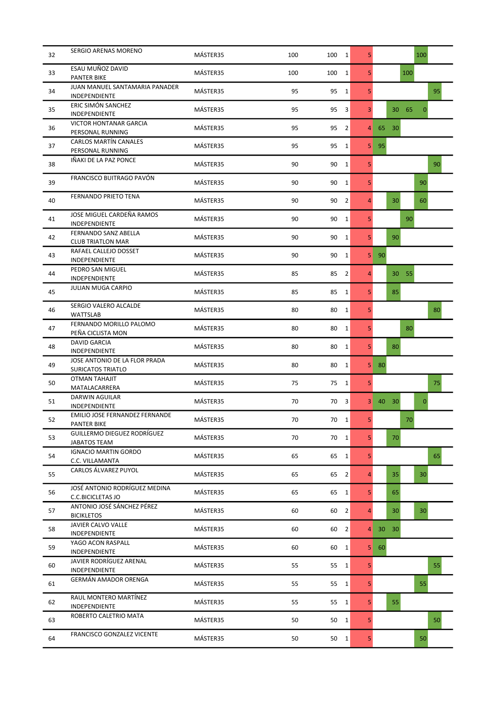| 32 | <b>SERGIO ARENAS MORENO</b>                               | MÁSTER35 | 100 | 100  | $\mathbf{1}$   | 5              |          |          | 100          |    |
|----|-----------------------------------------------------------|----------|-----|------|----------------|----------------|----------|----------|--------------|----|
| 33 | ESAU MUÑOZ DAVID<br><b>PANTER BIKE</b>                    | MÁSTER35 | 100 | 100  | $\mathbf{1}$   | 5              |          | 100      |              |    |
| 34 | JUAN MANUEL SANTAMARIA PANADER<br><b>INDEPENDIENTE</b>    | MÁSTER35 | 95  | 95   | 1              | 5              |          |          |              | 95 |
| 35 | ERIC SIMÓN SANCHEZ<br>INDEPENDIENTE                       | MÁSTER35 | 95  | 95   | 3              | 3              |          | 30 65    | $\mathbf{0}$ |    |
| 36 | <b>VICTOR HONTANAR GARCIA</b><br>PERSONAL RUNNING         | MÁSTER35 | 95  | 95   | $\overline{2}$ | 4              | 30<br>65 |          |              |    |
| 37 | <b>CARLOS MARTÍN CANALES</b><br>PERSONAL RUNNING          | MÁSTER35 | 95  | 95   | $\mathbf{1}$   | 5              | 95       |          |              |    |
| 38 | IÑAKI DE LA PAZ PONCE                                     | MÁSTER35 | 90  | 90   | $\mathbf{1}$   | 5              |          |          |              | 90 |
| 39 | FRANCISCO BUITRAGO PAVÓN                                  | MÁSTER35 | 90  | 90   | $\mathbf{1}$   | 5              |          |          | 90           |    |
| 40 | FERNANDO PRIETO TENA                                      | MÁSTER35 | 90  | 90   | $\overline{2}$ | $\overline{4}$ |          | 30       | 60           |    |
| 41 | JOSE MIGUEL CARDEÑA RAMOS<br><b>INDEPENDIENTE</b>         | MÁSTER35 | 90  | 90   | $\mathbf{1}$   | 5              |          | 90       |              |    |
| 42 | FERNANDO SANZ ABELLA<br><b>CLUB TRIATLON MAR</b>          | MÁSTER35 | 90  | 90   | 1              | 5              |          | 90       |              |    |
| 43 | RAFAEL CALLEJO DOSSET<br>INDEPENDIENTE                    | MÁSTER35 | 90  | 90   | $\mathbf{1}$   | 5              | 90       |          |              |    |
| 44 | PEDRO SAN MIGUEL<br>INDEPENDIENTE                         | MÁSTER35 | 85  | 85   | 2              | $\overline{4}$ |          | 55<br>30 |              |    |
| 45 | <b>JULIAN MUGA CARPIO</b>                                 | MÁSTER35 | 85  | 85   | $\mathbf{1}$   | 5              |          | 85       |              |    |
| 46 | SERGIO VALERO ALCALDE<br><b>WATTSLAB</b>                  | MÁSTER35 | 80  | 80   | $\mathbf{1}$   | 5              |          |          |              | 80 |
| 47 | FERNANDO MORILLO PALOMO<br>PEÑA CICLISTA MON              | MÁSTER35 | 80  | 80   | $\mathbf{1}$   | 5              |          | 80       |              |    |
| 48 | DAVID GARCIA<br>INDEPENDIENTE                             | MÁSTER35 | 80  | 80   | $\mathbf{1}$   | 5              |          | 80       |              |    |
| 49 | JOSE ANTONIO DE LA FLOR PRADA<br><b>SURICATOS TRIATLO</b> | MÁSTER35 | 80  | 80   | $\mathbf{1}$   | 5              | 80       |          |              |    |
| 50 | <b>OTMAN TAHAJIT</b><br>MATALACARRERA                     | MÁSTER35 | 75  | 75   | 1              | 5              |          |          |              | 75 |
| 51 | DARWIN AGUILAR<br>INDEPENDIENTE                           | MÁSTER35 | 70  | 70   | 3              | 3              | 40<br>30 |          | $\mathbf{0}$ |    |
| 52 | EMILIO JOSE FERNANDEZ FERNANDE<br><b>PANTER BIKE</b>      | MÁSTER35 | 70  | 70   | 1              | 5              |          | 70       |              |    |
| 53 | GUILLERMO DIEGUEZ RODRÍGUEZ<br><b>JABATOS TEAM</b>        | MÁSTER35 | 70  | 70 1 |                | 5              |          | 70       |              |    |
| 54 | <b>IGNACIO MARTIN GORDO</b><br>C.C. VILLAMANTA            | MÁSTER35 | 65  | 65   | $\mathbf{1}$   | 5              |          |          |              | 65 |
| 55 | CARLOS ÁLVAREZ PUYOL                                      | MÁSTER35 | 65  | 65   | $\overline{2}$ | $\overline{4}$ |          | 35       | 30           |    |
| 56 | JOSÉ ANTONIO RODRÍGUEZ MEDINA<br>C.C.BICICLETAS JO        | MÁSTER35 | 65  | 65   | $\mathbf{1}$   | 5              |          | 65       |              |    |
| 57 | ANTONIO JOSÉ SÁNCHEZ PÉREZ<br><b>BICIKLETOS</b>           | MÁSTER35 | 60  | 60   | $\overline{2}$ | 4              |          | 30       | 30           |    |
| 58 | <b>JAVIER CALVO VALLE</b><br>INDEPENDIENTE                | MÁSTER35 | 60  | 60   | $\overline{2}$ | 4              | 30<br>30 |          |              |    |
| 59 | YAGO ACON RASPALL<br>INDEPENDIENTE                        | MÁSTER35 | 60  | 60   | $\mathbf{1}$   | 5              | 60       |          |              |    |
| 60 | JAVIER RODRÍGUEZ ARENAL<br>INDEPENDIENTE                  | MÁSTER35 | 55  | 55   | $\mathbf{1}$   | 5              |          |          |              | 55 |
| 61 | GERMÁN AMADOR ORENGA                                      | MÁSTER35 | 55  | 55 1 |                | 5              |          |          | 55           |    |
| 62 | RAUL MONTERO MARTÍNEZ<br>INDEPENDIENTE                    | MÁSTER35 | 55  | 55   | $\mathbf{1}$   | 5              |          | 55       |              |    |
| 63 | ROBERTO CALETRIO MATA                                     | MÁSTER35 | 50  | 50   | 1              | 5              |          |          |              | 50 |
| 64 | <b>FRANCISCO GONZALEZ VICENTE</b>                         | MÁSTER35 | 50  | 50 1 |                | 5              |          |          | 50           |    |
|    |                                                           |          |     |      |                |                |          |          |              |    |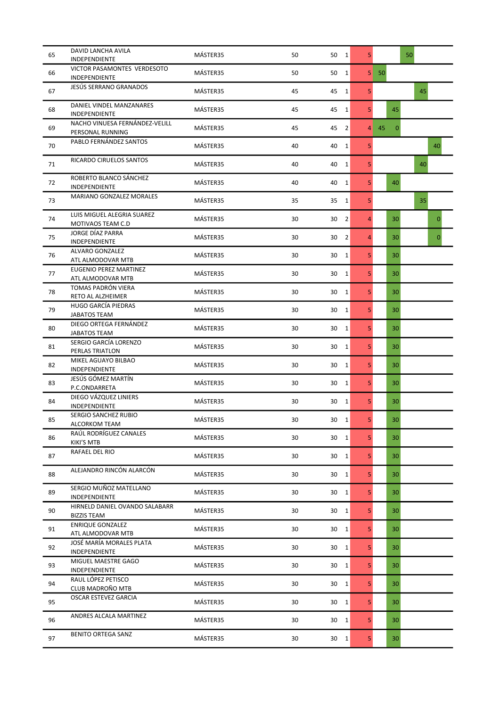| 65 | DAVID LANCHA AVILA<br>INDEPENDIENTE                  | MÁSTER35 | 50 | 50 1                 | 5              |                    | 50 |                |
|----|------------------------------------------------------|----------|----|----------------------|----------------|--------------------|----|----------------|
| 66 | VICTOR PASAMONTES VERDESOTO<br>INDEPENDIENTE         | MÁSTER35 | 50 | 50<br>1              | 5              | 50                 |    |                |
| 67 | JESÚS SERRANO GRANADOS                               | MÁSTER35 | 45 | 45<br>$\mathbf{1}$   | 5              |                    |    | 45             |
| 68 | DANIEL VINDEL MANZANARES<br>INDEPENDIENTE            | MÁSTER35 | 45 | 45<br>$\mathbf{1}$   | 5              | 45                 |    |                |
| 69 | NACHO VINUESA FERNÁNDEZ-VELILL<br>PERSONAL RUNNING   | MÁSTER35 | 45 | 45<br>$\overline{2}$ | $\overline{4}$ | 45<br>$\mathbf{0}$ |    |                |
| 70 | PABLO FERNÁNDEZ SANTOS                               | MÁSTER35 | 40 | 40<br>$\mathbf{1}$   | 5              |                    |    | 40             |
| 71 | RICARDO CIRUELOS SANTOS                              | MÁSTER35 | 40 | $\mathbf{1}$<br>40   | 5              |                    |    | 40             |
| 72 | ROBERTO BLANCO SÁNCHEZ<br>INDEPENDIENTE              | MÁSTER35 | 40 | 40<br>1              | 5              | 40                 |    |                |
| 73 | MARIANO GONZALEZ MORALES                             | MÁSTER35 | 35 | 35<br>$\mathbf{1}$   | 5              |                    |    | 35             |
| 74 | LUIS MIGUEL ALEGRIA SUAREZ<br>MOTIVAOS TEAM C.D      | MÁSTER35 | 30 | $\overline{2}$<br>30 | 4              | 30                 |    | $\overline{0}$ |
| 75 | JORGE DÍAZ PARRA<br>INDEPENDIENTE                    | MÁSTER35 | 30 | 30<br>$\overline{2}$ | $\overline{4}$ | 30                 |    | $\overline{0}$ |
| 76 | ALVARO GONZALEZ<br>ATL ALMODOVAR MTB                 | MÁSTER35 | 30 | 30<br>$\mathbf{1}$   | 5              | 30                 |    |                |
| 77 | EUGENIO PEREZ MARTINEZ<br>ATL ALMODOVAR MTB          | MÁSTER35 | 30 | 30<br>$\mathbf{1}$   | 5              | 30                 |    |                |
| 78 | TOMAS PADRÓN VIERA<br>RETO AL ALZHEIMER              | MÁSTER35 | 30 | 30<br>1              | 5              | 30                 |    |                |
| 79 | HUGO GARCÍA PIEDRAS<br>JABATOS TEAM                  | MÁSTER35 | 30 | 30<br>$\mathbf{1}$   | 5              | 30                 |    |                |
| 80 | DIEGO ORTEGA FERNÁNDEZ<br><b>JABATOS TEAM</b>        | MÁSTER35 | 30 | 30<br>1              | 5              | 30                 |    |                |
| 81 | SERGIO GARCÍA LORENZO<br>PERLAS TRIATLON             | MÁSTER35 | 30 | 30<br>1              | 5              | 30                 |    |                |
| 82 | MIKEL AGUAYO BILBAO<br>INDEPENDIENTE                 | MÁSTER35 | 30 | 30<br>$\mathbf{1}$   | 5              | 30                 |    |                |
| 83 | JESÚS GÓMEZ MARTÍN<br>P.C.ONDARRETA                  | MÁSTER35 | 30 | 30<br>1              | 5              | 30                 |    |                |
| 84 | DIEGO VÁZQUEZ LINIERS<br>INDEPENDIENTE               | MÁSTER35 | 30 | 30<br>1              | 5              | 30                 |    |                |
| 85 | SERGIO SANCHEZ RUBIO<br>ALCORKOM TEAM                | MÁSTER35 | 30 | 30 1                 | 5              | 30                 |    |                |
| 86 | RAÚL RODRÍGUEZ CANALES<br>KIKI'S MTB                 | MÁSTER35 | 30 | $30 \quad 1$         | 5 <sup>1</sup> | 30                 |    |                |
| 87 | RAFAEL DEL RIO                                       | MÁSTER35 | 30 | 30<br>$\mathbf{1}$   | 5 <sup>1</sup> | 30                 |    |                |
| 88 | ALEJANDRO RINCÓN ALARCÓN                             | MÁSTER35 | 30 | 30<br>$\mathbf{1}$   | 5 <sup>1</sup> | 30                 |    |                |
| 89 | SERGIO MUÑOZ MATELLANO<br>INDEPENDIENTE              | MÁSTER35 | 30 | 30 1                 | 5              | 30                 |    |                |
| 90 | HIRNELD DANIEL OVANDO SALABARR<br><b>BIZZIS TEAM</b> | MÁSTER35 | 30 | 30<br>$\overline{1}$ | 5              | 30                 |    |                |
| 91 | <b>ENRIQUE GONZALEZ</b><br>ATL ALMODOVAR MTB         | MÁSTER35 | 30 | 30 1                 | 5              | 30                 |    |                |
| 92 | JOSÉ MARÍA MORALES PLATA<br>INDEPENDIENTE            | MÁSTER35 | 30 | 30<br>$\mathbf{1}$   | 5 <sup>1</sup> | 30                 |    |                |
| 93 | MIGUEL MAESTRE GAGO<br>INDEPENDIENTE                 | MÁSTER35 | 30 | 30<br>1              | 5 <sup>1</sup> | 30                 |    |                |
| 94 | RAUL LÓPEZ PETISCO<br>CLUB MADROÑO MTB               | MÁSTER35 | 30 | 30 1                 | 5 <sup>1</sup> | 30                 |    |                |
| 95 | OSCAR ESTEVEZ GARCIA                                 | MÁSTER35 | 30 | 30 1                 | 5              | 30                 |    |                |
| 96 | ANDRES ALCALA MARTINEZ                               | MÁSTER35 | 30 | 30<br>1              | 5              | 30                 |    |                |
| 97 | <b>BENITO ORTEGA SANZ</b>                            | MÁSTER35 | 30 | 30<br>$\mathbf{1}$   | 5 <sup>1</sup> | 30                 |    |                |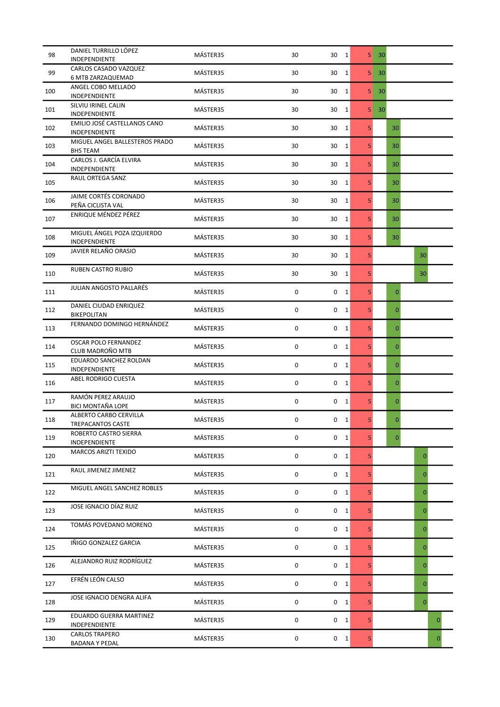| 98  | DANIEL TURRILLO LÓPEZ<br>INDEPENDIENTE            | MÁSTER35 | 30 | 30 1                        | 5              | 30              |                |          |
|-----|---------------------------------------------------|----------|----|-----------------------------|----------------|-----------------|----------------|----------|
| 99  | CARLOS CASADO VAZQUEZ<br>6 MTB ZARZAQUEMAD        | MÁSTER35 | 30 | 30<br>$\mathbf{1}$          | 5              | 30              |                |          |
| 100 | ANGEL COBO MELLADO<br>INDEPENDIENTE               | MÁSTER35 | 30 | 30<br>$\mathbf{1}$          | 5              | 30              |                |          |
| 101 | SILVIU IRINEL CALIN<br>INDEPENDIENTE              | MÁSTER35 | 30 | 30<br>$\mathbf{1}$          | 5              | 30 <sup>°</sup> |                |          |
| 102 | EMILIO JOSÉ CASTELLANOS CANO<br>INDEPENDIENTE     | MÁSTER35 | 30 | 30<br>$\mathbf{1}$          | 5              | 30              |                |          |
| 103 | MIGUEL ANGEL BALLESTEROS PRADO<br><b>BHS TEAM</b> | MÁSTER35 | 30 | 30<br>$\mathbf{1}$          | 5              | 30              |                |          |
| 104 | CARLOS J. GARCÍA ELVIRA<br>INDEPENDIENTE          | MÁSTER35 | 30 | 30<br>$\mathbf{1}$          | 5              | 30              |                |          |
| 105 | RAUL ORTEGA SANZ                                  | MÁSTER35 | 30 | $\mathbf{1}$<br>30          | 5              | 30              |                |          |
| 106 | JAIME CORTÉS CORONADO<br>PEÑA CICLISTA VAL        | MÁSTER35 | 30 | 30<br>$\mathbf{1}$          | 5 <sup>1</sup> | 30              |                |          |
| 107 | ENRIQUE MÉNDEZ PÉREZ                              | MÁSTER35 | 30 | 30<br>1                     | 5              | 30              |                |          |
| 108 | MIGUEL ÁNGEL POZA IZQUIERDO<br>INDEPENDIENTE      | MÁSTER35 | 30 | 30<br>1                     | 5              | 30              |                |          |
| 109 | JAVIER RELAÑO ORASIO                              | MÁSTER35 | 30 | 30<br>$\mathbf{1}$          | 5              |                 | 30             |          |
| 110 | RUBEN CASTRO RUBIO                                | MÁSTER35 | 30 | 30<br>$\mathbf{1}$          | 5              |                 | 30             |          |
| 111 | <b>JULIAN ANGOSTO PALLARÉS</b>                    | MÁSTER35 | 0  | $0\quad 1$                  | 5              | $\mathbf 0$     |                |          |
| 112 | DANIEL CIUDAD ENRIQUEZ<br>BIKEPOLITAN             | MÁSTER35 | 0  | 0<br>$\mathbf{1}$           | 5              | $\overline{0}$  |                |          |
| 113 | FERNANDO DOMINGO HERNÁNDEZ                        | MÁSTER35 | 0  | 0<br>$\mathbf{1}$           | 5 <sub>1</sub> | $\mathbf{0}$    |                |          |
| 114 | <b>OSCAR POLO FERNANDEZ</b><br>CLUB MADROÑO MTB   | MÁSTER35 | 0  | 0<br>1                      | 5 <sup>1</sup> | 0               |                |          |
| 115 | EDUARDO SANCHEZ ROLDAN<br>INDEPENDIENTE           | MÁSTER35 | 0  | 0 <sub>1</sub>              | 5              | $\mathbf 0$     |                |          |
| 116 | ABEL RODRIGO CUESTA                               | MÁSTER35 | 0  | 0 <sub>1</sub>              | 5              | 0               |                |          |
| 117 | RAMÓN PEREZ ARAUJO<br><b>BICI MONTAÑA LOPE</b>    | MÁSTER35 | 0  | 0 <sub>1</sub>              | 5              | $\overline{0}$  |                |          |
| 118 | ALBERTO CARBO CERVILLA<br>TREPACANTOS CASTE       | MÁSTER35 | 0  | 0<br>1                      | 5              | $\overline{0}$  |                |          |
| 119 | ROBERTO CASTRO SIERRA<br>INDEPENDIENTE            | MÁSTER35 | 0  | 0 <sub>1</sub>              | 5 <sup>1</sup> | $\mathbf{0}$    |                |          |
| 120 | MARCOS ARIZTI TEXIDO                              | MÁSTER35 | 0  | $0\quad 1$                  | 5              |                 | $\mathbf 0$    |          |
| 121 | RAUL JIMENEZ JIMENEZ                              | MÁSTER35 | 0  | $\mathbf 0$<br>$\mathbf{1}$ | 5              |                 | $\mathbf{0}$   |          |
| 122 | MIGUEL ANGEL SANCHEZ ROBLES                       | MÁSTER35 | 0  | 0 <sub>1</sub>              | 5 <sup>1</sup> |                 | $\mathbf{0}$   |          |
| 123 | JOSE IGNACIO DÍAZ RUIZ                            | MÁSTER35 | 0  | $0\quad 1$                  | 5              |                 | $\mathbf{0}$   |          |
| 124 | TOMÁS POVEDANO MORENO                             | MÁSTER35 | 0  | $0\quad 1$                  | 5              |                 | $\mathbf 0$    |          |
| 125 | IÑIGO GONZALEZ GARCIA                             | MÁSTER35 | 0  | 0 <sub>1</sub>              | 5 <sup>1</sup> |                 | $\mathbf{0}$   |          |
| 126 | ALEJANDRO RUIZ RODRÍGUEZ                          | MÁSTER35 | 0  | $\mathbf 0$<br>$\mathbf{1}$ | 5              |                 | $\mathbf{0}$   |          |
| 127 | EFRÉN LEÓN CALSO                                  | MÁSTER35 | 0  | 0 <sub>1</sub>              | 5              |                 | $\mathbf 0$    |          |
| 128 | JOSE IGNACIO DENGRA ALIFA                         | MÁSTER35 | 0  | 0 <sub>1</sub>              | 5              |                 | $\overline{0}$ |          |
| 129 | EDUARDO GUERRA MARTINEZ<br>INDEPENDIENTE          | MÁSTER35 | 0  | 0<br>$\mathbf{1}$           | 5              |                 |                | $\Omega$ |
| 130 | <b>CARLOS TRAPERO</b><br><b>BADANA Y PEDAL</b>    | MÁSTER35 | 0  | $0\quad 1$                  | 5 <sup>1</sup> |                 |                | 0        |
|     |                                                   |          |    |                             |                |                 |                |          |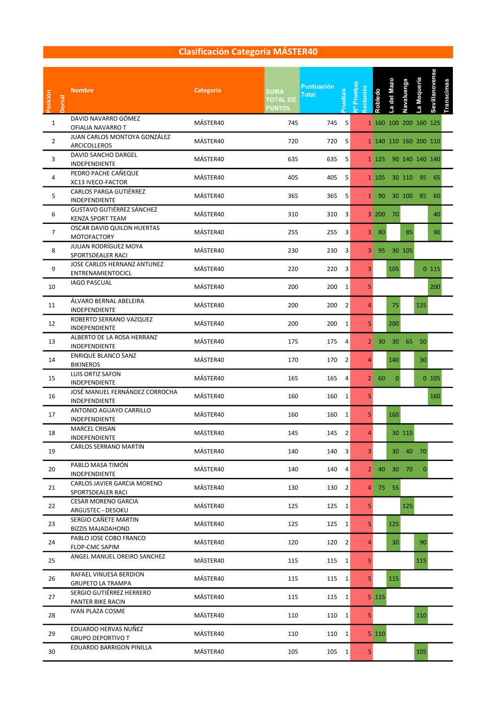| Posición       | orsal | <b>Nombre</b>                                        | Categoría | <b>SUMA</b><br><b>TOTAL DE</b><br><b>PUNTOS</b> | <b>Puntuación</b><br>Total | ruebas         | v <sup>o</sup> Pruebas<br>estantes | Robledo             | a del Maz     | Navaluenga | a Mequeria            | Sevillanovense | <b>Transcimas</b> |  |  |
|----------------|-------|------------------------------------------------------|-----------|-------------------------------------------------|----------------------------|----------------|------------------------------------|---------------------|---------------|------------|-----------------------|----------------|-------------------|--|--|
| $\mathbf{1}$   |       | DAVID NAVARRO GÓMEZ<br>OFIALIA NAVARRO T             | MÁSTER40  | 745                                             | 745 5                      |                |                                    |                     |               |            | 1 160 100 200 160 125 |                |                   |  |  |
| $\overline{2}$ |       | JUAN CARLOS MONTOYA GONZÁLEZ<br>ARCICOLLEROS         | MÁSTER40  | 720                                             | 720                        | 5              |                                    |                     |               |            | 1 140 110 160 200 110 |                |                   |  |  |
| 3              |       | DAVID SANCHO DARGEL<br>INDEPENDIENTE                 | MÁSTER40  | 635                                             |                            | 635 5          |                                    |                     |               |            | 1 125 90 140 140 140  |                |                   |  |  |
| 4              |       | PEDRO PACHE CAÑEQUE<br>XC13 IVECO-FACTOR             | MÁSTER40  | 405                                             |                            | 405 5          |                                    |                     |               |            | 1 105 30 110 95 65    |                |                   |  |  |
| 5              |       | <b>CARLOS PARGA GUTIÉRREZ</b><br>INDEPENDIENTE       | MÁSTER40  | 365                                             | 365 5                      |                |                                    |                     |               |            | 1 90 30 100 85 60     |                |                   |  |  |
| 6              |       | GUSTAVO GUTIÉRREZ SÁNCHEZ<br><b>KENZA SPORT TEAM</b> | MÁSTER40  | 310                                             | 310 3                      |                |                                    |                     | 3 200 70      |            |                       | 40             |                   |  |  |
| $\overline{7}$ |       | OSCAR DAVID QUILON HUERTAS<br>MOTOFACTORY            | MÁSTER40  | 255                                             |                            | 255 3          |                                    | 3 80                |               |            | 85                    | 90             |                   |  |  |
| 8              |       | JULIAN RODRÍGUEZ MOYA<br>SPORTSDEALER RACI           | MÁSTER40  | 230                                             | 230 3                      |                |                                    |                     | 3 95 30 105   |            |                       |                |                   |  |  |
| 9              |       | JOSE CARLOS HERNANZ ANTUNEZ<br>ENTRENAMIENTOCICL     | MÁSTER40  | 220                                             |                            | 220 3          | 3                                  |                     | 105           |            |                       | 0 115          |                   |  |  |
| 10             |       | <b>IAGO PASCUAL</b>                                  | MÁSTER40  | 200                                             |                            | 200 1          | 5                                  |                     |               |            |                       | 200            |                   |  |  |
| 11             |       | ÁLVARO BERNAL ABELEIRA<br>INDEPENDIENTE              | MÁSTER40  | 200                                             |                            | 200 2          | $\overline{a}$                     |                     | 75            |            | 125                   |                |                   |  |  |
| 12             |       | ROBERTO SERRANO VAZQUEZ<br>INDEPENDIENTE             | MÁSTER40  | 200                                             |                            | 200 1          | 5                                  |                     | 200           |            |                       |                |                   |  |  |
| 13             |       | ALBERTO DE LA ROSA HERRANZ<br>INDEPENDIENTE          | MÁSTER40  | 175                                             | 175                        | $\overline{4}$ |                                    |                     | $2 \ 30 \ 30$ |            | 65 50                 |                |                   |  |  |
| 14             |       | <b>ENRIQUE BLANCO SANZ</b><br><b>BIKINEROS</b>       | MÁSTER40  | 170                                             | 170 2                      |                | 4                                  |                     | 140           |            | 30                    |                |                   |  |  |
| 15             |       | LUIS ORTIZ SAFON<br>INDEPENDIENTE                    | MÁSTER40  | 165                                             | 165                        | $\overline{4}$ |                                    | $2 \mid 60$         | $\mathbf{0}$  |            |                       | 0 105          |                   |  |  |
| 16             |       | JOSÉ MANUEL FERNÁNDEZ CORROCHA<br>INDEPENDIENTE      | MÁSTER40  | 160                                             |                            | 160 1          | 5                                  |                     |               |            |                       | 160            |                   |  |  |
| 17             |       | ANTONIO AGUAYO CARRILLO<br>INDEPENDIENTE             | MÁSTER40  | 160                                             |                            | 160 1          | 5                                  |                     | 160           |            |                       |                |                   |  |  |
| 18             |       | <b>MARCEL CRISAN</b><br>INDEPENDIENTE                | MÁSTER40  | 145                                             |                            | 145 2          | $\overline{4}$                     |                     |               | 30 115     |                       |                |                   |  |  |
| 19             |       | CARLOS SERRANO MARTIN                                | MÁSTER40  | 140                                             |                            | 140 3          | 3                                  |                     |               |            | 30 40 70              |                |                   |  |  |
| 20             |       | PABLO MASA TIMÓN<br>INDEPENDIENTE                    | MÁSTER40  | 140                                             |                            | $140$ 4        |                                    |                     | 2 40 30 70    |            |                       | $\overline{0}$ |                   |  |  |
| 21             |       | CARLOS JAVIER GARCIA MORENO<br>SPORTSDEALER RACI     | MÁSTER40  | 130                                             |                            | 130 2          |                                    |                     | 4 75 55       |            |                       |                |                   |  |  |
| 22             |       | <b>CESAR MORENO GARCIA</b><br>ARGUSTEC - DESOKU      | MÁSTER40  | 125                                             |                            | $125 \quad 1$  | 5 <sub>1</sub>                     |                     |               | 125        |                       |                |                   |  |  |
| 23             |       | SERGIO CAÑETE MARTIN<br><b>BIZZIS MAJADAHOND</b>     | MÁSTER40  | 125                                             |                            | $125 \quad 1$  | 5 <sup>1</sup>                     |                     | 125           |            |                       |                |                   |  |  |
| 24             |       | PABLO JOSE COBO FRANCO<br>FLOP-CMC SAPIM             | MÁSTER40  | 120                                             |                            | $120 \quad 2$  | $\overline{4}$                     |                     | 30            |            | 90                    |                |                   |  |  |
| 25             |       | ANGEL MANUEL OREIRO SANCHEZ                          | MÁSTER40  | 115                                             | 115 1                      |                | 5 <sup>1</sup>                     |                     |               |            | 115                   |                |                   |  |  |
| 26             |       | RAFAEL VINUESA BERDION<br><b>GRUPETO LA TRAMPA</b>   | MÁSTER40  | 115                                             | 115 1                      |                | 5 <sup>1</sup>                     |                     | 115           |            |                       |                |                   |  |  |
| 27             |       | SERGIO GUTIÉRREZ HERRERO<br>PANTER BIKE RACIN        | MÁSTER40  | 115                                             |                            | 115 1          |                                    | $5 \vert 115 \vert$ |               |            |                       |                |                   |  |  |
| 28             |       | <b>IVAN PLAZA COSME</b>                              | MÁSTER40  | 110                                             |                            | $110$ 1        | 5 <sub>1</sub>                     |                     |               |            | 110                   |                |                   |  |  |
| 29             |       | EDUARDO HERVAS NUÑEZ<br><b>GRUPO DEPORTIVO T</b>     | MÁSTER40  | 110                                             |                            | 110 1          |                                    | 5 110               |               |            |                       |                |                   |  |  |
| 30             |       | EDUARDO BARRIGON PINILLA                             | MÁSTER40  | 105                                             |                            | 105 1          | 5                                  |                     |               |            | 105                   |                |                   |  |  |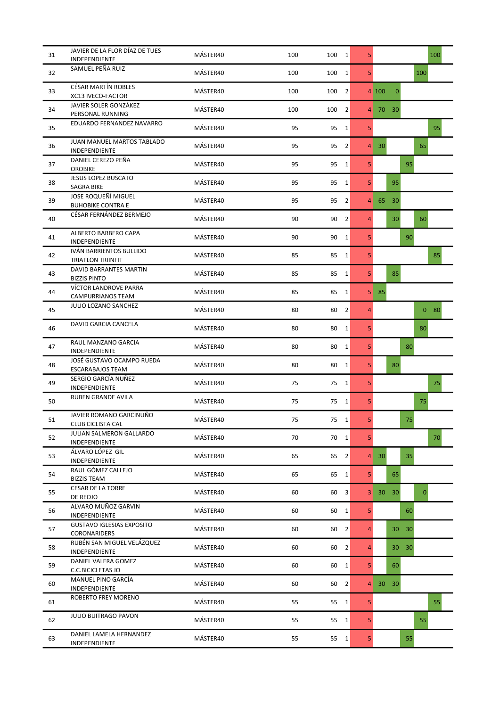| 31 | JAVIER DE LA FLOR DÍAZ DE TUES<br>INDEPENDIENTE      | MÁSTER40 | 100 | 100 1                | 5              |                       |    | 100             |
|----|------------------------------------------------------|----------|-----|----------------------|----------------|-----------------------|----|-----------------|
| 32 | SAMUEL PEÑA RUIZ                                     | MÁSTER40 | 100 | 100<br>$\mathbf{1}$  | 5              |                       |    | 100             |
| 33 | <b>CÉSAR MARTÍN ROBLES</b><br>XC13 IVECO-FACTOR      | MÁSTER40 | 100 | 2<br>100             |                | $\mathbf{0}$<br>4 100 |    |                 |
| 34 | JAVIER SOLER GONZÁKEZ<br>PERSONAL RUNNING            | MÁSTER40 | 100 | 100<br>2             | 4              | 70<br>30 <sup>°</sup> |    |                 |
| 35 | EDUARDO FERNANDEZ NAVARRO                            | MÁSTER40 | 95  | 95<br>$\mathbf{1}$   | 5              |                       |    | 95              |
| 36 | JUAN MANUEL MARTOS TABLADO<br>INDEPENDIENTE          | MÁSTER40 | 95  | 95<br>$\overline{2}$ | 4              | $30^{\circ}$          |    | 65              |
| 37 | DANIEL CEREZO PEÑA<br><b>OROBIKE</b>                 | MÁSTER40 | 95  | 95<br>$\mathbf{1}$   | 5              |                       | 95 |                 |
| 38 | <b>JESUS LOPEZ BUSCATO</b><br>SAGRA BIKE             | MÁSTER40 | 95  | 95<br>$\mathbf{1}$   | 5              | 95                    |    |                 |
| 39 | JOSE ROQUEÑÍ MIGUEL<br><b>BUHOBIKE CONTRA E</b>      | MÁSTER40 | 95  | 95<br>$\overline{2}$ | 4              | 65<br>30              |    |                 |
| 40 | CÉSAR FERNÁNDEZ BERMEJO                              | MÁSTER40 | 90  | 90<br>$\overline{2}$ | $\overline{4}$ | 30                    |    | 60              |
| 41 | ALBERTO BARBERO CAPA<br><b>INDEPENDIENTE</b>         | MÁSTER40 | 90  | 90<br>$\mathbf{1}$   | 5              |                       | 90 |                 |
| 42 | IVÁN BARRIENTOS BULLIDO<br>TRIATLON TRIINFIT         | MÁSTER40 | 85  | 85<br>$\mathbf{1}$   | 5              |                       |    | 85              |
| 43 | DAVID BARRANTES MARTIN<br><b>BIZZIS PINTO</b>        | MÁSTER40 | 85  | 85<br>$\mathbf{1}$   | 5              | 85                    |    |                 |
| 44 | VÍCTOR LANDROVE PARRA<br>CAMPURRIANOS TEAM           | MÁSTER40 | 85  | 85<br>$\mathbf{1}$   | 5              | 85                    |    |                 |
| 45 | JULIO LOZANO SANCHEZ                                 | MÁSTER40 | 80  | $\overline{2}$<br>80 | 4              |                       |    | 0 <sub>80</sub> |
| 46 | DAVID GARCIA CANCELA                                 | MÁSTER40 | 80  | 80<br>$\mathbf{1}$   | 5              |                       |    | 80              |
| 47 | RAUL MANZANO GARCIA<br>INDEPENDIENTE                 | MÁSTER40 | 80  | 80<br>$\mathbf{1}$   | 5              |                       | 80 |                 |
| 48 | JOSÉ GUSTAVO OCAMPO RUEDA<br><b>ESCARABAJOS TEAM</b> | MÁSTER40 | 80  | 80<br>$\mathbf{1}$   | 5              | 80                    |    |                 |
| 49 | SERGIO GARCÍA NUÑEZ<br>INDEPENDIENTE                 | MÁSTER40 | 75  | $\mathbf{1}$<br>75   | 5              |                       |    | 75              |
| 50 | <b>RUBEN GRANDE AVILA</b>                            | MÁSTER40 | 75  | 75 1                 | 5              |                       |    | 75              |
| 51 | JAVIER ROMANO GARCINUÑO<br><b>CLUB CICLISTA CAL</b>  | MÁSTER40 | 75  | 75 1                 | 5              |                       | 75 |                 |
| 52 | <b>JULIAN SALMERON GALLARDO</b><br>INDEPENDIENTE     | MÁSTER40 | 70  | 70<br>$\mathbf{1}$   | 5 <sup>1</sup> |                       |    | 70              |
| 53 | ÁLVARO LÓPEZ GIL<br>INDEPENDIENTE                    | MÁSTER40 | 65  | 65<br>$\overline{2}$ | 4              | 30                    | 35 |                 |
| 54 | RAUL GÓMEZ CALLEJO<br><b>BIZZIS TEAM</b>             | MÁSTER40 | 65  | 65<br>$\mathbf{1}$   | 5              | 65                    |    |                 |
| 55 | <b>CESAR DE LA TORRE</b><br>DE REOJO                 | MÁSTER40 | 60  | 60<br>3              | 3 <sup>1</sup> | 30<br>30              |    | $\overline{0}$  |
| 56 | ALVARO MUÑOZ GARVIN<br>INDEPENDIENTE                 | MÁSTER40 | 60  | 60<br>$\mathbf{1}$   | 5              |                       | 60 |                 |
| 57 | <b>GUSTAVO IGLESIAS EXPOSITO</b><br>CORONARIDERS     | MÁSTER40 | 60  | 60<br>$\overline{2}$ | $\overline{4}$ | 30                    | 30 |                 |
| 58 | RUBÉN SAN MIGUEL VELÁZQUEZ<br>INDEPENDIENTE          | MÁSTER40 | 60  | 60<br>$\overline{2}$ | $\overline{4}$ | 30                    | 30 |                 |
| 59 | DANIEL VALERA GOMEZ<br>C.C.BICICLETAS JO             | MÁSTER40 | 60  | 60<br>1              | 5 <sup>1</sup> | 60                    |    |                 |
| 60 | MANUEL PINO GARCÍA<br>INDEPENDIENTE                  | MÁSTER40 | 60  | 60<br>$\overline{2}$ | 4              | 30<br>30              |    |                 |
| 61 | ROBERTO FREY MORENO                                  | MÁSTER40 | 55  | 55<br>1              | 5              |                       |    | 55              |
| 62 | JULIO BUITRAGO PAVON                                 | MÁSTER40 | 55  | 55<br>1              | 5              |                       |    | 55              |
| 63 | DANIEL LAMELA HERNANDEZ<br>INDEPENDIENTE             | MÁSTER40 | 55  | 55<br>$\mathbf{1}$   | 5 <sub>1</sub> |                       | 55 |                 |
|    |                                                      |          |     |                      |                |                       |    |                 |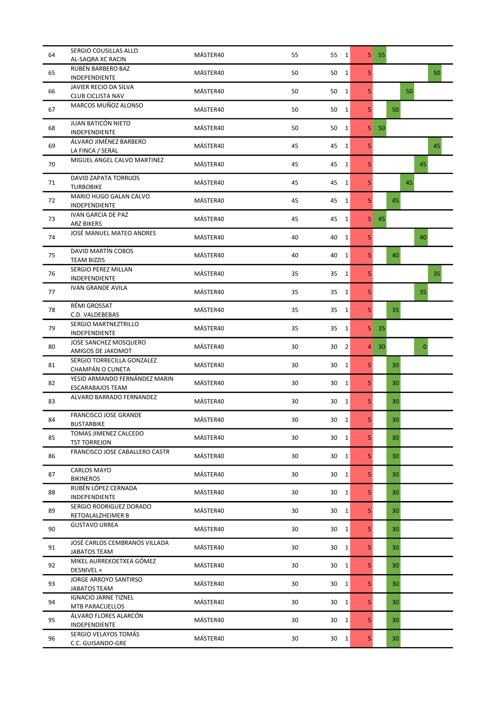| 64 | SERGIO COUSILLAS ALLO<br>AL-SAQRA XC RACIN               | MÁSTER40 | 55     | 55 1                 |                | $5 \quad 55$    |                |
|----|----------------------------------------------------------|----------|--------|----------------------|----------------|-----------------|----------------|
| 65 | RUBÉN BARBERO BAZ<br>INDEPENDIENTE                       | MÁSTER40 | 50     | 50 1                 | 5              |                 | 50             |
| 66 | JAVIER RECIO DA SILVA<br>CLUB CICLISTA NAV               | MÁSTER40 | 50     | 50<br>$\mathbf{1}$   | 5              |                 | 50             |
| 67 | MARCOS MUÑOZ ALONSO                                      | MÁSTER40 | 50     | 50<br>$\mathbf{1}$   | 5 <sup>1</sup> |                 | 50             |
| 68 | JUAN BATICÓN NIETO<br><b>INDEPENDIENTE</b>               | MÁSTER40 | 50     | 50<br>$\mathbf{1}$   | 5              | 50              |                |
| 69 | ÁLVARO JIMÉNEZ BARBERO<br>LA FINCA / SERAL               | MÁSTER40 | 45     | 45<br>$\mathbf{1}$   | 5              |                 | 45             |
| 70 | MIGUEL ANGEL CALVO MARTINEZ                              | MÁSTER40 | 45     | 45<br>$\mathbf{1}$   | 5              |                 | 45             |
| 71 | DAVID ZAPATA TORRIJOS<br><b>TURBOBIKE</b>                | MÁSTER40 | 45     | 45<br>$\mathbf{1}$   | 5              |                 | 45             |
| 72 | MARIO HUGO GALAN CALVO<br>INDEPENDIENTE                  | MÁSTER40 | 45     | 45<br>$\mathbf{1}$   | 5              |                 | 45             |
| 73 | <b>IVAN GARCIA DE PAZ</b><br><b>ARZ BIKERS</b>           | MÁSTER40 | 45     | 45<br>1              | 5              | 45              |                |
| 74 | JOSÉ MANUEL MATEO ANDRES                                 | MÁSTER40 | 40     | 40<br>$\mathbf{1}$   | 5              |                 | 40             |
| 75 | DAVID MARTÍN COBOS<br><b>TEAM BIZZIS</b>                 | MÁSTER40 | 40     | 40<br>$\mathbf{1}$   | 5 <sup>1</sup> |                 | 40             |
| 76 | SERGIO PEREZ MILLAN<br>INDEPENDIENTE                     | MÁSTER40 | 35     | 35<br>$\mathbf{1}$   | 5              |                 | 35             |
| 77 | <b>IVAN GRANDE AVILA</b>                                 | MÁSTER40 | 35     | $\mathbf{1}$<br>35   | 5              |                 | 35             |
| 78 | RÉMI GROSSAT<br>C.D. VALDEBEBAS                          | MÁSTER40 | 35     | 35<br>$\mathbf{1}$   | 5              |                 | 35             |
| 79 | SERGIO MARTNEZTRILLO<br>INDEPENDIENTE                    | MÁSTER40 | 35     | 35<br>1              | 5              | 35 <sup>2</sup> |                |
| 80 | JOSE SANCHEZ MOSQUERO<br>AMIGOS DE JAKOMOT               | MÁSTER40 | 30     | 30<br>$\overline{2}$ | 4              | 30              | $\overline{0}$ |
| 81 | SERGIO TORRECILLA GONZALEZ<br>CHAMPÁN O CUNETA           | MÁSTER40 | 30     | 30<br>$\mathbf{1}$   | 5              |                 | 30             |
| 82 | YESID ARMANDO FERNÁNDEZ MARIN<br><b>ESCARABAJOS TEAM</b> | MÁSTER40 | 30     | 30<br>1              | 5              |                 | 30             |
| 83 | ALVARO BARRADO FERNANDEZ                                 | MÁSTER40 | 30     | $\mathbf{1}$<br>30   | 5              |                 | 30             |
| 84 | <b>FRANCISCO JOSE GRANDE</b><br><b>BUSTARBIKE</b>        | MÁSTER40 | 30     | $30 \quad 1$         | 5              |                 | 30             |
| 85 | TOMAS JIMENEZ CALCEDO<br><b>TST TORREJON</b>             | MÁSTER40 | 30     | 30 <sub>1</sub>      | 5              |                 | 30             |
| 86 | FRANCISCO JOSE CABALLERO CASTR                           | MÁSTER40 | 30     | 30<br>$\mathbf{1}$   | 5              |                 | 30             |
| 87 | CARLOS MAYO<br><b>BIKINEROS</b>                          | MÁSTER40 | 30     | 30<br>$\mathbf{1}$   | 5 <sup>1</sup> |                 | 30             |
| 88 | RUBÉN LÓPEZ CERNADA<br>INDEPENDIENTE                     | MÁSTER40 | 30     | 30<br>$\mathbf{1}$   | 5              |                 | 30             |
| 89 | SERGIO RODRIGUEZ DORADO<br>RETOALALZHEIMER B             | MÁSTER40 | $30\,$ | 30<br>$\mathbf{1}$   | 5              |                 | 30             |
| 90 | <b>GUSTAVO URREA</b>                                     | MÁSTER40 | 30     | 30<br>$\mathbf{1}$   | 5              |                 | 30             |
| 91 | JOSÉ CARLOS CEMBRANOS VILLADA<br><b>JABATOS TEAM</b>     | MÁSTER40 | 30     | 30<br>$\mathbf{1}$   | 5 <sup>1</sup> |                 | 30             |
| 92 | MIKEL AURREKOETXEA GÓMEZ<br>DESNIVEL +                   | MÁSTER40 | 30     | 30<br>1              | 5 <sup>1</sup> |                 | 30             |
| 93 | <b>JORGE ARROYO SANTIRSO</b><br>JABATOS TEAM             | MÁSTER40 | 30     | 30<br>$\mathbf{1}$   | 5              |                 | 30             |
| 94 | <b>IGNACIO JARNE TIZNEL</b><br>MTB PARACUELLOS           | MÁSTER40 | 30     | 30<br>$\mathbf{1}$   | 5              |                 | 30             |
| 95 | ÁLVARO FLORES ALARCÓN<br>INDEPENDIENTE                   | MÁSTER40 | 30     | 30<br>1              | 5              |                 | 30             |
| 96 | SERGIO VELAYOS TOMÁS<br>C.C. GUISANDO-GRE                | MÁSTER40 | 30     | 30<br>$\mathbf{1}$   | 5 <sup>1</sup> |                 | 30             |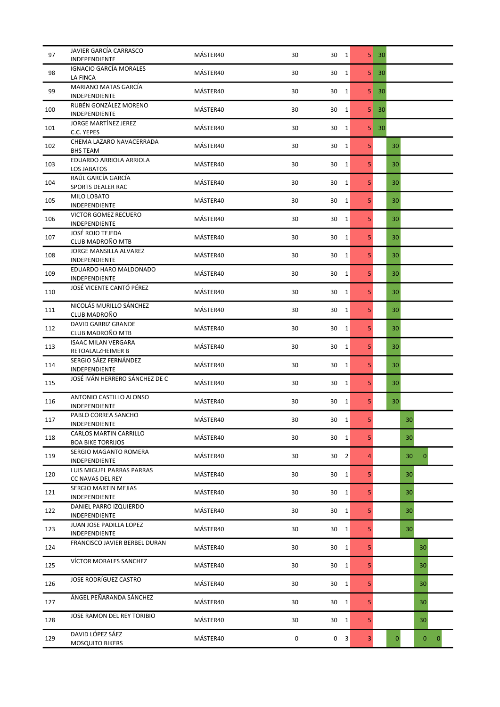| 97  | JAVIER GARCÍA CARRASCO<br>INDEPENDIENTE            | MÁSTER40 | 30 | 30<br>$\overline{1}$ | 5              | 30           |    |                              |
|-----|----------------------------------------------------|----------|----|----------------------|----------------|--------------|----|------------------------------|
| 98  | <b>IGNACIO GARCÍA MORALES</b><br>LA FINCA          | MÁSTER40 | 30 | 30<br>$\mathbf{1}$   | 5              | 30           |    |                              |
| 99  | MARIANO MATAS GARCÍA<br>INDEPENDIENTE              | MÁSTER40 | 30 | 30<br>1              | 5              | 30           |    |                              |
| 100 | RUBÉN GONZÁLEZ MORENO<br>INDEPENDIENTE             | MÁSTER40 | 30 | 30<br>$\mathbf{1}$   | 5              | 30           |    |                              |
| 101 | JORGE MARTÍNEZ JEREZ<br>C.C. YEPES                 | MÁSTER40 | 30 | 30<br>1              | 5              | 30           |    |                              |
| 102 | CHEMA LAZARO NAVACERRADA<br><b>BHS TEAM</b>        | MÁSTER40 | 30 | 30<br>1              | 5              | 30           |    |                              |
| 103 | EDUARDO ARRIOLA ARRIOLA<br>LOS JABATOS             | MÁSTER40 | 30 | 30<br>$\mathbf{1}$   | 5              | 30           |    |                              |
| 104 | RAÚL GARCÍA GARCÍA<br>SPORTS DEALER RAC            | MÁSTER40 | 30 | 30<br>1              | 5 <sub>1</sub> | 30           |    |                              |
| 105 | MILO LOBATO<br>INDEPENDIENTE                       | MÁSTER40 | 30 | 30<br>$\mathbf{1}$   | 5              | 30           |    |                              |
| 106 | VICTOR GOMEZ RECUERO<br>INDEPENDIENTE              | MÁSTER40 | 30 | 30<br>1              | 5              | 30           |    |                              |
| 107 | JOSÉ ROJO TEJEDA<br><b>CLUB MADROÑO MTB</b>        | MÁSTER40 | 30 | 30<br>1              | 5              | 30           |    |                              |
| 108 | JORGE MANSILLA ALVAREZ<br>INDEPENDIENTE            | MÁSTER40 | 30 | 30<br>$\mathbf{1}$   | 5              | 30           |    |                              |
| 109 | EDUARDO HARO MALDONADO<br>INDEPENDIENTE            | MÁSTER40 | 30 | 30<br>1              | 5              | 30           |    |                              |
| 110 | JOSÉ VICENTE CANTÓ PÉREZ                           | MÁSTER40 | 30 | 30<br>1              | 5              | 30           |    |                              |
| 111 | NICOLÁS MURILLO SÁNCHEZ<br>CLUB MADROÑO            | MÁSTER40 | 30 | $\mathbf{1}$<br>30   | 5              | 30           |    |                              |
| 112 | DAVID GARRIZ GRANDE<br>CLUB MADROÑO MTB            | MÁSTER40 | 30 | 30<br>$\mathbf{1}$   | 5              | 30           |    |                              |
| 113 | <b>ISAAC MILAN VERGARA</b><br>RETOALALZHEIMER B    | MÁSTER40 | 30 | 30<br>$\mathbf{1}$   | 5              | 30           |    |                              |
| 114 | SERGIO SÁEZ FERNÁNDEZ<br>INDEPENDIENTE             | MÁSTER40 | 30 | 30<br>$\mathbf{1}$   | 5              | 30           |    |                              |
| 115 | JOSÉ IVÁN HERRERO SÁNCHEZ DE C                     | MÁSTER40 | 30 | 30<br>1              | 5              | 30           |    |                              |
| 116 | ANTONIO CASTILLO ALONSO<br>INDEPENDIENTE           | MÁSTER40 | 30 | 30<br>$\mathbf{1}$   | 5              | 30           |    |                              |
| 117 | PABLO CORREA SANCHO<br><b>INDEPENDIENTE</b>        | MÁSTER40 | 30 | 30 1                 | 5              |              | 30 |                              |
| 118 | CARLOS MARTIN CARRILLO<br><b>BOA BIKE TORRIJOS</b> | MÁSTER40 | 30 | 30<br>$\mathbf{1}$   | 5              |              | 30 |                              |
| 119 | SERGIO MAGANTO ROMERA<br>INDEPENDIENTE             | MÁSTER40 | 30 | $\overline{2}$<br>30 | $\overline{4}$ |              | 30 | $\mathbf{0}$                 |
| 120 | LUIS MIGUEL PARRAS PARRAS<br>CC NAVAS DEL REY      | MÁSTER40 | 30 | 30<br>1              | 5              |              | 30 |                              |
| 121 | SERGIO MARTIN MEJIAS<br>INDEPENDIENTE              | MÁSTER40 | 30 | 30<br>1              | 5              |              | 30 |                              |
| 122 | DANIEL PARRO IZQUIERDO<br>INDEPENDIENTE            | MÁSTER40 | 30 | 30<br>$\mathbf{1}$   | 5              |              | 30 |                              |
| 123 | JUAN JOSE PADILLA LOPEZ<br>INDEPENDIENTE           | MÁSTER40 | 30 | 30<br>1              | 5              |              | 30 |                              |
| 124 | FRANCISCO JAVIER BERBEL DURAN                      | MÁSTER40 | 30 | 30<br>1              | 5              |              |    | 30                           |
| 125 | VÍCTOR MORALES SANCHEZ                             | MÁSTER40 | 30 | 30<br>1              | 5              |              |    | 30                           |
| 126 | JOSE RODRÍGUEZ CASTRO                              | MÁSTER40 | 30 | 30<br>$\mathbf{1}$   | 5              |              |    | 30                           |
| 127 | ÁNGEL PEÑARANDA SÁNCHEZ                            | MÁSTER40 | 30 | 30<br>1              | 5              |              |    | 30                           |
| 128 | JOSE RAMON DEL REY TORIBIO                         | MÁSTER40 | 30 | 30<br>1              | 5              |              |    | 30                           |
| 129 | DAVID LÓPEZ SÁEZ<br>MOSQUITO BIKERS                | MÁSTER40 | 0  | 0<br>3               | 3              | $\mathbf{0}$ |    | $\mathbf{0}$<br>$\mathbf{0}$ |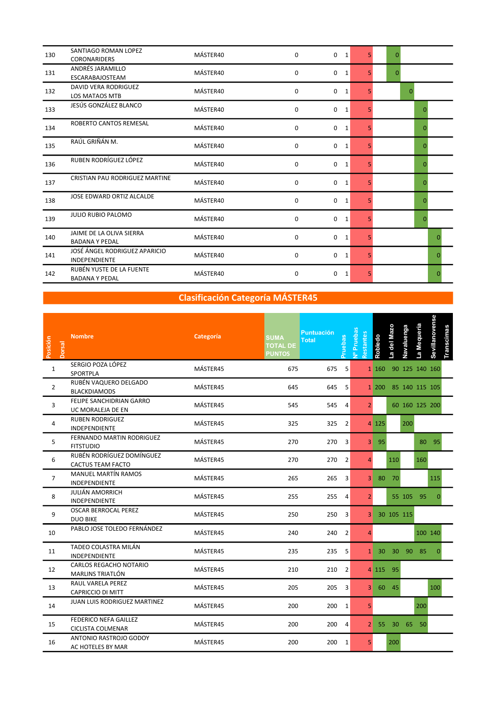| 130 | SANTIAGO ROMAN LOPEZ<br><b>CORONARIDERS</b>           | MÁSTER40 | 0           | $\mathbf 0$<br>1            | 5. | $\Omega$ |              |
|-----|-------------------------------------------------------|----------|-------------|-----------------------------|----|----------|--------------|
| 131 | ANDRÉS JARAMILLO<br><b>ESCARABAJOSTEAM</b>            | MÁSTER40 | 0           | $\mathbf 0$<br>$\mathbf{1}$ | 5. | $\Omega$ |              |
| 132 | DAVID VERA RODRIGUEZ<br><b>LOS MATAOS MTB</b>         | MÁSTER40 | 0           | $\mathbf 0$<br>1            | 5. |          | $\Omega$     |
| 133 | JESÚS GONZÁLEZ BLANCO                                 | MÁSTER40 | 0           | $\mathbf 0$<br>1            | 5. |          | $\Omega$     |
| 134 | ROBERTO CANTOS REMESAL                                | MÁSTER40 | $\mathbf 0$ | $\mathbf 0$<br>1            | 5  |          | $\mathbf{0}$ |
| 135 | RAÚL GRIÑÁN M.                                        | MÁSTER40 | 0           | 0<br>1                      | 5  |          | $\Omega$     |
| 136 | RUBEN RODRÍGUEZ LÓPEZ                                 | MÁSTER40 | 0           | 0<br>1                      | 5  |          | $\Omega$     |
| 137 | CRISTIAN PAU RODRIGUEZ MARTINE                        | MÁSTER40 | 0           | 0<br>1                      | 5  |          | $\Omega$     |
| 138 | JOSE EDWARD ORTIZ ALCALDE                             | MÁSTER40 | 0           | $\mathbf 0$<br>1            | 5  |          | $\Omega$     |
| 139 | JULIO RUBIO PALOMO                                    | MÁSTER40 | 0           | 0<br>1                      | 5. |          | $\Omega$     |
| 140 | JAIME DE LA OLIVA SIERRA<br><b>BADANA Y PEDAL</b>     | MÁSTER40 | 0           | 0<br>$\mathbf{1}$           | 5. |          | O            |
| 141 | JOSÉ ÁNGEL RODRIGUEZ APARICIO<br><b>INDEPENDIENTE</b> | MÁSTER40 | $\mathbf 0$ | $\mathbf 0$<br>$\mathbf{1}$ | 5. |          | n            |
| 142 | RUBÉN YUSTE DE LA FUENTE<br><b>BADANA Y PEDAL</b>     | MÁSTER40 | 0           | 0<br>1                      | 5. |          | O            |

| Posición<br><b>Dorsal</b> | <b>Nombre</b>                                     | Categoría | <b>SUMA</b><br><b>TOTAL DE</b><br><b>PUNTOS</b> | <b>Puntuación</b><br><b>Total</b> | <b>Pruebas</b> | vº Pruebas<br>Restantes | Robledo  | a del Mazo | Navaluenga | a Mequeria           | Sevillanovense | <b>Transcimas</b> |  |  |
|---------------------------|---------------------------------------------------|-----------|-------------------------------------------------|-----------------------------------|----------------|-------------------------|----------|------------|------------|----------------------|----------------|-------------------|--|--|
| $\mathbf{1}$              | SERGIO POZA LÓPEZ<br>SPORTPLA                     | MÁSTER45  | 675                                             | 675                               | 5              |                         | 1 160    |            |            | 90 125 140 160       |                |                   |  |  |
| $\overline{2}$            | RUBÉN VAQUERO DELGADO<br><b>BLACKDIAMODS</b>      | MÁSTER45  | 645                                             | 645                               | 5              |                         |          |            |            | 1 200 85 140 115 105 |                |                   |  |  |
| 3                         | FELIPE SANCHIDRIAN GARRO<br>UC MORALEJA DE EN     | MÁSTER45  | 545                                             | 545                               | $\overline{4}$ | 2 <sup>1</sup>          |          |            |            | 60 160 125 200       |                |                   |  |  |
| 4                         | <b>RUBEN RODRIGUEZ</b><br><b>INDEPENDIENTE</b>    | MÁSTER45  | 325                                             | 325                               | $\overline{2}$ |                         | 4 125    |            | 200        |                      |                |                   |  |  |
| 5                         | FERNANDO MARTIN RODRIGUEZ<br><b>FITSTUDIO</b>     | MÁSTER45  | 270                                             | 270                               | 3              | 3 <sup>1</sup>          | 95       |            |            |                      | 80 95          |                   |  |  |
| 6                         | RUBÉN RODRÍGUEZ DOMÍNGUEZ<br>CACTUS TEAM FACTO    | MÁSTER45  | 270                                             | 270                               | 2              | Δ                       |          | 110        |            | 160                  |                |                   |  |  |
| $\overline{7}$            | <b>MANUEL MARTÍN RAMOS</b><br>INDEPENDIENTE       | MÁSTER45  | 265                                             | 265                               | 3              | 3                       | 80       | 70         |            |                      | 115            |                   |  |  |
| 8                         | JULIÁN AMORRICH<br>INDEPENDIENTE                  | MÁSTER45  | 255                                             | 255                               | 4              | $\overline{2}$          |          |            |            | 55 105 95            | $\Omega$       |                   |  |  |
| 9                         | <b>OSCAR BERROCAL PEREZ</b><br><b>DUO BIKE</b>    | MÁSTER45  | 250                                             | 250                               | 3              | 3                       |          | 30 105 115 |            |                      |                |                   |  |  |
| 10                        | PABLO JOSE TOLEDO FERNÁNDEZ                       | MÁSTER45  | 240                                             | 240                               | $\overline{2}$ | 4                       |          |            |            |                      | 100 140        |                   |  |  |
| 11                        | TADEO COLASTRA MILÁN<br>INDEPENDIENTE             | MÁSTER45  | 235                                             | 235                               | 5              |                         |          |            |            | 1 30 30 90 85        | $\Omega$       |                   |  |  |
| 12                        | CARLOS REGACHO NOTARIO<br>MARLINS TRIATLÓN        | MÁSTER45  | 210                                             | 210                               | $\overline{2}$ |                         | 4 115 95 |            |            |                      |                |                   |  |  |
| 13                        | RAUL VARELA PEREZ<br>CAPRICCIO DI MITT            | MÁSTER45  | 205                                             | 205                               | 3              |                         | 3 60 45  |            |            |                      | 100            |                   |  |  |
| 14                        | <b>JUAN LUIS RODRIGUEZ MARTINEZ</b>               | MÁSTER45  | 200                                             | 200 1                             |                | 5                       |          |            |            | 200                  |                |                   |  |  |
| 15                        | FEDERICO NEFA GAILLEZ<br><b>CICLISTA COLMENAR</b> | MÁSTER45  | 200                                             | 200                               | $\overline{4}$ |                         |          |            |            | 2 55 30 65 50        |                |                   |  |  |
| 16                        | ANTONIO RASTROJO GODOY<br>AC HOTELES BY MAR       | MÁSTER45  | 200                                             | 200 1                             |                | 5 <sup>1</sup>          |          | 200        |            |                      |                |                   |  |  |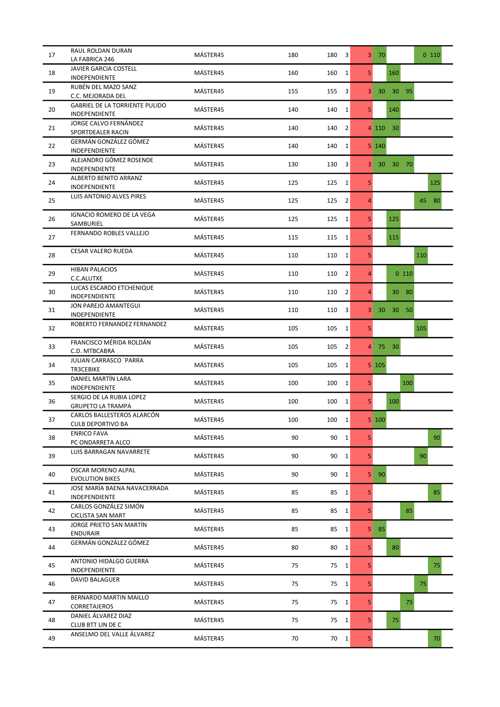| 17 | RAUL ROLDAN DURAN<br>LA FABRICA 246                    | MÁSTER45 | 180 | 180<br>3              | 3 <sup>1</sup> | 70                          | $0$ 110  |
|----|--------------------------------------------------------|----------|-----|-----------------------|----------------|-----------------------------|----------|
| 18 | JAVIER GARCIA COSTELL<br>INDEPENDIENTE                 | MÁSTER45 | 160 | 160<br>$\mathbf{1}$   | 5              | 160                         |          |
| 19 | RUBÉN DEL MAZO SANZ<br>C.C. MEJORADA DEL               | MÁSTER45 | 155 | 155<br>3              | 3              | 30 <sup>°</sup><br>30<br>95 |          |
| 20 | <b>GABRIEL DE LA TORRIENTE PULIDO</b><br>INDEPENDIENTE | MÁSTER45 | 140 | 140<br>$\mathbf{1}$   | 5              | 140                         |          |
| 21 | JORGE CALVO FERNÁNDEZ<br>SPORTDEALER RACIN             | MÁSTER45 | 140 | 140<br>2              |                | 4 110<br>30                 |          |
| 22 | GERMÁN GONZÁLEZ GÓMEZ<br>INDEPENDIENTE                 | MÁSTER45 | 140 | 140<br>1              |                | 5 140                       |          |
| 23 | ALEJANDRO GÓMEZ ROSENDE<br>INDEPENDIENTE               | MÁSTER45 | 130 | 130<br>3              | 3              | 30 70<br>30 <sub>1</sub>    |          |
| 24 | ALBERTO BENITO ARRANZ<br>INDEPENDIENTE                 | MÁSTER45 | 125 | 125<br>$\mathbf{1}$   | 5              |                             | 125      |
| 25 | LUIS ANTONIO ALVES PIRES                               | MÁSTER45 | 125 | 125<br>$\overline{2}$ | $\overline{4}$ |                             | 80<br>45 |
| 26 | IGNACIO ROMERO DE LA VEGA<br>SAMBURIEL                 | MÁSTER45 | 125 | 125<br>$\mathbf{1}$   | 5              | 125                         |          |
| 27 | FERNANDO ROBLES VALLEJO                                | MÁSTER45 | 115 | 115<br>$\mathbf{1}$   | 5              | 115                         |          |
| 28 | <b>CESAR VALERO RUEDA</b>                              | MÁSTER45 | 110 | 110<br>$\mathbf{1}$   | 5              |                             | 110      |
| 29 | <b>HIBAN PALACIOS</b><br>C.C.ALUTXE                    | MÁSTER45 | 110 | $\overline{2}$<br>110 | 4              | 0110                        |          |
| 30 | LUCAS ESCARDO ETCHENIQUE<br>INDEPENDIENTE              | MÁSTER45 | 110 | 2<br>110              | $\overline{4}$ | 30<br>- 80                  |          |
| 31 | JON PAREJO AMANTEGUI<br>INDEPENDIENTE                  | MÁSTER45 | 110 | 3<br>110              | 3              | 30 <sup>°</sup><br>50<br>30 |          |
| 32 | ROBERTO FERNANDEZ FERNANDEZ                            | MÁSTER45 | 105 | 105<br>1              | 5              |                             | 105      |
| 33 | FRANCISCO MÉRIDA ROLDÁN<br>C.D. MTBCABRA               | MÁSTER45 | 105 | 105<br>$\overline{2}$ | 4              | 75 30                       |          |
| 34 | <b>JULIAN CARRASCO `PARRA</b><br>TR3CEBIKE             | MÁSTER45 | 105 | 105<br>$\mathbf{1}$   |                | $5 \, 105$                  |          |
| 35 | DANIEL MARTÍN LARA<br>INDEPENDIENTE                    | MÁSTER45 | 100 | 100<br>1              | 5              | 100                         |          |
| 36 | SERGIO DE LA RUBIA LOPEZ<br><b>GRUPETO LA TRAMPA</b>   | MÁSTER45 | 100 | $\mathbf{1}$<br>100   | 5 <sup>1</sup> | 100                         |          |
| 37 | CARLOS BALLESTEROS ALARCÓN<br>CULB DEPORTIVO BA        | MÁSTER45 | 100 | 100<br>1              |                | $5\vert 100$                |          |
| 38 | <b>ENRICO FAVA</b><br>PC ONDARRETA ALCO                | MÁSTER45 | 90  | 90<br>1               | 5              |                             | 90       |
| 39 | LUIS BARRAGAN NAVARRETE                                | MÁSTER45 | 90  | 90<br>$\mathbf{1}$    | 5              |                             | 90       |
| 40 | <b>OSCAR MORENO ALPAL</b><br><b>EVOLUTION BIKES</b>    | MÁSTER45 | 90  | 90<br>$\mathbf{1}$    | 5              | 90                          |          |
| 41 | JOSE MARÍA BAENA NAVACERRADA<br>INDEPENDIENTE          | MÁSTER45 | 85  | 85<br>$\mathbf{1}$    | 5              |                             | 85       |
| 42 | CARLOS GONZÁLEZ SIMÓN<br><b>CICLISTA SAN MART</b>      | MÁSTER45 | 85  | 85<br>$\mathbf{1}$    | 5 <sub>1</sub> | 85                          |          |
| 43 | JORGE PRIETO SAN MARTÍN<br><b>ENDURAIR</b>             | MÁSTER45 | 85  | 85<br>1               | 5              | 85                          |          |
| 44 | GERMÁN GONZÁLEZ GÓMEZ                                  | MÁSTER45 | 80  | 80<br>$\mathbf{1}$    | 5              | 80                          |          |
| 45 | ANTONIO HIDALGO GUERRA<br>INDEPENDIENTE                | MÁSTER45 | 75  | 75 1                  | 5              |                             | 75       |
| 46 | <b>DAVID BALAGUER</b>                                  | MÁSTER45 | 75  | 75 1                  | 5              |                             | 75       |
| 47 | BERNARDO MARTIN MAILLO<br>CORRETAJEROS                 | MÁSTER45 | 75  | 75 1                  | 5              | 75                          |          |
| 48 | DANIEL ÁLVAREZ DIAZ<br>CLUB BTT LIN DE C               | MÁSTER45 | 75  | 75<br>$\mathbf{1}$    | 5              | 75                          |          |
| 49 | ANSELMO DEL VALLE ÁLVAREZ                              | MÁSTER45 | 70  | 70 1                  | 5 <sup>1</sup> |                             | 70       |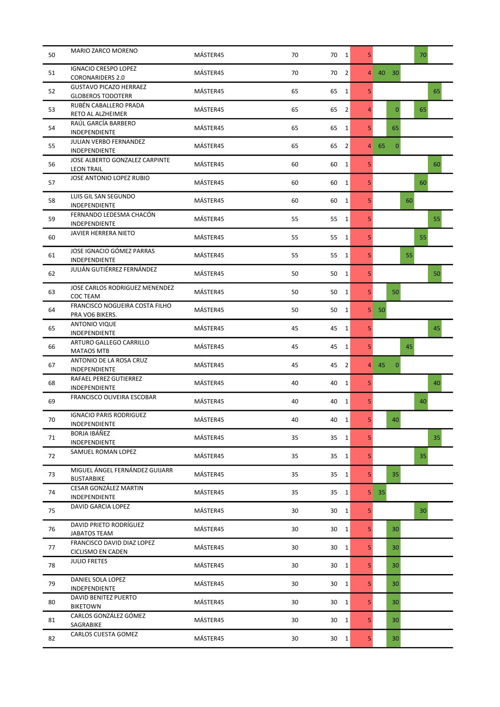| 50 | MARIO ZARCO MORENO                                        | MÁSTER45 | 70 | 70<br>$\overline{1}$ | 5              |                    | 70 |
|----|-----------------------------------------------------------|----------|----|----------------------|----------------|--------------------|----|
| 51 | <b>IGNACIO CRESPO LOPEZ</b><br><b>CORONARIDERS 2.0</b>    | MÁSTER45 | 70 | $\overline{2}$<br>70 | 4              | 40<br>30           |    |
| 52 | <b>GUSTAVO PICAZO HERRAEZ</b><br><b>GLOBEROS TODOTERR</b> | MÁSTER45 | 65 | 65<br>$\mathbf{1}$   | 5              |                    | 65 |
| 53 | RUBÉN CABALLERO PRADA<br>RETO AL ALZHEIMER                | MÁSTER45 | 65 | 65<br>2              | $\overline{4}$ | $\Omega$           | 65 |
| 54 | RAÚL GARCÍA BARBERO<br>INDEPENDIENTE                      | MÁSTER45 | 65 | 65<br>1              | 5              | 65                 |    |
| 55 | <b>JULIAN VERBO FERNANDEZ</b><br>INDEPENDIENTE            | MÁSTER45 | 65 | 65<br>$\overline{2}$ | 4              | 65<br>$\mathbf{0}$ |    |
| 56 | JOSE ALBERTO GONZALEZ CARPINTE<br><b>LEON TRAIL</b>       | MÁSTER45 | 60 | 60<br>$\mathbf{1}$   | 5              |                    | 60 |
| 57 | JOSE ANTONIO LOPEZ RUBIO                                  | MÁSTER45 | 60 | 60<br>1              | 5              |                    | 60 |
| 58 | LUIS GIL SAN SEGUNDO<br>INDEPENDIENTE                     | MÁSTER45 | 60 | 60<br>1              | 5              |                    | 60 |
| 59 | FERNANDO LEDESMA CHACÓN<br>INDEPENDIENTE                  | MÁSTER45 | 55 | 55<br>1              | 5              |                    | 55 |
| 60 | <b>JAVIER HERRERA NIETO</b>                               | MÁSTER45 | 55 | 55<br>$\mathbf{1}$   | 5              |                    | 55 |
| 61 | JOSE IGNACIO GÓMEZ PARRAS<br>INDEPENDIENTE                | MÁSTER45 | 55 | 55<br>$\mathbf{1}$   | 5              |                    | 55 |
| 62 | JULIÁN GUTIÉRREZ FERNÁNDEZ                                | MÁSTER45 | 50 | 50<br>1              | 5              |                    | 50 |
| 63 | JOSE CARLOS RODRIGUEZ MENENDEZ<br>COC TEAM                | MÁSTER45 | 50 | 50<br>1              | 5              | 50                 |    |
| 64 | FRANCISCO NOGUEIRA COSTA FILHO<br>PRA VO6 BIKERS.         | MÁSTER45 | 50 | 50<br>1              | 5              | 50                 |    |
| 65 | <b>ANTONIO VIQUE</b><br><b>INDEPENDIENTE</b>              | MÁSTER45 | 45 | 45<br>1              | 5              |                    | 45 |
| 66 | ARTURO GALLEGO CARRILLO<br><b>MATAOS MTB</b>              | MÁSTER45 | 45 | 45<br>$\mathbf{1}$   | 5              |                    | 45 |
| 67 | ANTONIO DE LA ROSA CRUZ<br>INDEPENDIENTE                  | MÁSTER45 | 45 | 45<br>2              | 4              | 45<br>$\mathbf{0}$ |    |
| 68 | RAFAEL PEREZ GUTIERREZ<br>INDEPENDIENTE                   | MÁSTER45 | 40 | 40<br>1              | 5              |                    | 40 |
| 69 | FRANCISCO OLIVEIRA ESCOBAR                                | MÁSTER45 | 40 | 40<br>1              | 5              |                    | 40 |
| 70 | <b>IGNACIO PARIS RODRIGUEZ</b><br><b>INDEPENDIENTE</b>    | MÁSTER45 | 40 | 40<br>1              | 5              | 40                 |    |
| 71 | BORJA IBÁÑEZ<br>INDEPENDIENTE                             | MÁSTER45 | 35 | 35 1                 | 5              |                    | 35 |
| 72 | SAMUEL ROMAN LOPEZ                                        | MÁSTER45 | 35 | 35 1                 | 5              |                    | 35 |
| 73 | MIGUEL ÁNGEL FERNÁNDEZ GUIJARR<br><b>BUSTARBIKE</b>       | MÁSTER45 | 35 | 35<br>$\mathbf{1}$   | 5              | 35                 |    |
| 74 | CESAR GONZÁLEZ MARTIN<br>INDEPENDIENTE                    | MÁSTER45 | 35 | 35<br>$\mathbf{1}$   | 5 <sub>l</sub> | 35                 |    |
| 75 | DAVID GARCIA LOPEZ                                        | MÁSTER45 | 30 | 30<br>$\mathbf{1}$   | 5              |                    | 30 |
| 76 | DAVID PRIETO RODRÍGUEZ<br>JABATOS TEAM                    | MÁSTER45 | 30 | 30<br>1              | 5              | 30                 |    |
| 77 | FRANCISCO DAVID DIAZ LOPEZ<br>CICLISMO EN CADEN           | MÁSTER45 | 30 | 30<br>$\mathbf{1}$   | 5              | 30                 |    |
| 78 | <b>JULIO FRETES</b>                                       | MÁSTER45 | 30 | 30<br>1              | 5              | 30                 |    |
| 79 | DANIEL SOLA LOPEZ<br>INDEPENDIENTE                        | MÁSTER45 | 30 | 30 1                 | 5              | 30                 |    |
| 80 | DAVID BENITEZ PUERTO<br><b>BIKETOWN</b>                   | MÁSTER45 | 30 | 30<br>$\mathbf{1}$   | 5              | 30                 |    |
| 81 | CARLOS GONZÁLEZ GÓMEZ<br>SAGRABIKE                        | MÁSTER45 | 30 | 30<br>1              | 5              | 30                 |    |
| 82 | CARLOS CUESTA GOMEZ                                       | MÁSTER45 | 30 | 30 1                 | 5              | 30 <sup>°</sup>    |    |
|    |                                                           |          |    |                      |                |                    |    |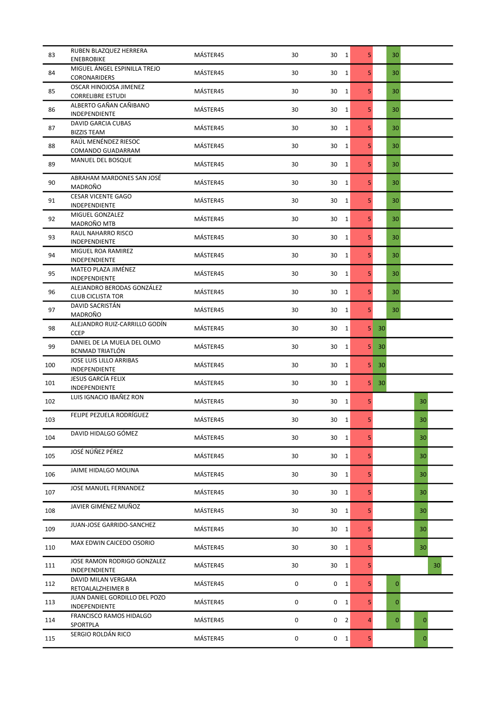| 83  | RUBEN BLAZQUEZ HERRERA<br><b>ENEBROBIKE</b>            | MÁSTER45 | 30                  | 30 1                | 5       | 30           |                 |
|-----|--------------------------------------------------------|----------|---------------------|---------------------|---------|--------------|-----------------|
| 84  | MIGUEL ÁNGEL ESPINILLA TREJO<br>CORONARIDERS           | MÁSTER45 | 30                  | 30<br>$\mathbf{1}$  | 5       | 30           |                 |
| 85  | OSCAR HINOJOSA JIMENEZ<br><b>CORRELIBRE ESTUDI</b>     | MÁSTER45 | 30                  | 30<br>1             | 5       | 30           |                 |
| 86  | ALBERTO GAÑAN CAÑIBANO<br>INDEPENDIENTE                | MÁSTER45 | 30                  | 30<br>$\mathbf{1}$  | 5       | 30           |                 |
| 87  | <b>DAVID GARCIA CUBAS</b><br><b>BIZZIS TEAM</b>        | MÁSTER45 | 30                  | 30<br>$\mathbf{1}$  | 5       | 30           |                 |
| 88  | RAÚL MENÉNDEZ RIESOC<br>COMANDO GUADARRAM              | MÁSTER45 | 30                  | 30<br>$\mathbf{1}$  | 5       | 30           |                 |
| 89  | MANUEL DEL BOSQUE                                      | MÁSTER45 | 30                  | 30<br>$\mathbf{1}$  | 5       | 30           |                 |
| 90  | ABRAHAM MARDONES SAN JOSÉ<br>MADROÑO                   | MÁSTER45 | 30                  | 30<br>$\mathbf{1}$  | 5       | 30           |                 |
| 91  | <b>CESAR VICENTE GAGO</b><br>INDEPENDIENTE             | MÁSTER45 | 30                  | 30<br>$\mathbf{1}$  | 5       | 30           |                 |
| 92  | MIGUEL GONZALEZ<br>MADROÑO MTB                         | MÁSTER45 | 30                  | 30<br>$\mathbf{1}$  | 5       | 30           |                 |
| 93  | RAUL NAHARRO RISCO<br>INDEPENDIENTE                    | MÁSTER45 | 30                  | 30<br>1             | 5       | 30           |                 |
| 94  | MIGUEL ROA RAMIREZ<br>INDEPENDIENTE                    | MÁSTER45 | 30                  | 30<br>$\mathbf{1}$  | 5       | 30           |                 |
| 95  | MATEO PLAZA JIMÉNEZ<br>INDEPENDIENTE                   | MÁSTER45 | 30                  | 30<br>$\mathbf{1}$  | 5       | 30           |                 |
| 96  | ALEJANDRO BERODAS GONZÁLEZ<br><b>CLUB CICLISTA TOR</b> | MÁSTER45 | 30                  | $\mathbf{1}$<br>30  | 5       | 30           |                 |
| 97  | DAVID SACRISTÁN<br>MADROÑO                             | MÁSTER45 | 30                  | $\mathbf{1}$<br>30  | 5       | 30           |                 |
| 98  | ALEJANDRO RUIZ-CARRILLO GODÍN<br><b>CCEP</b>           | MÁSTER45 | 30                  | 30<br>1             | 5<br>30 |              |                 |
| 99  | DANIEL DE LA MUELA DEL OLMO<br><b>BCNMAD TRIATLÓN</b>  | MÁSTER45 | 30                  | 30<br>$\mathbf{1}$  | 5<br>30 |              |                 |
| 100 | JOSE LUIS LILLO ARRIBAS<br>INDEPENDIENTE               | MÁSTER45 | 30                  | 30<br>$\mathbf{1}$  | 5<br>30 |              |                 |
| 101 | JESUS GARCÍA FELIX<br>INDEPENDIENTE                    | MÁSTER45 | 30                  | 30<br>1             | 5<br>30 |              |                 |
| 102 | LUIS IGNACIO IBAÑEZ RON                                | MÁSTER45 | 30                  | 30<br>$\mathbf{1}$  | 5       |              | 30              |
| 103 | FELIPE PEZUELA RODRÍGUEZ                               | MÁSTER45 | 30                  | 30<br><sup>1</sup>  | 5       |              | 30 <sup>°</sup> |
| 104 | DAVID HIDALGO GÓMEZ                                    | MÁSTER45 | 30                  | 30 1                | 5       |              | 30              |
| 105 | JOSÉ NÚÑEZ PÉREZ                                       | MÁSTER45 | 30                  | $\mathbf{1}$<br>30  | 5       |              | 30              |
| 106 | JAIME HIDALGO MOLINA                                   | MÁSTER45 | 30                  | 30<br>$\mathbf{1}$  | 5       |              | 30              |
| 107 | <b>JOSE MANUEL FERNANDEZ</b>                           | MÁSTER45 | 30                  | 30<br>$\mathbf{1}$  | 5       |              | 30              |
| 108 | JAVIER GIMÉNEZ MUÑOZ                                   | MÁSTER45 | 30                  | $\mathbf{1}$<br>30  | 5       |              | 30              |
| 109 | JUAN-JOSE GARRIDO-SANCHEZ                              | MÁSTER45 | 30                  | 30<br>1             | 5       |              | 30              |
| 110 | MAX EDWIN CAICEDO OSORIO                               | MÁSTER45 | 30                  | 30<br>$\mathbf{1}$  | 5       |              | 30              |
| 111 | JOSE RAMON RODRIGO GONZALEZ<br>INDEPENDIENTE           | MÁSTER45 | 30                  | 30<br>1             | 5       |              | 30              |
| 112 | DAVID MILAN VERGARA<br>RETOALALZHEIMER B               | MÁSTER45 | 0                   | 0<br>1              | 5       | $\mathbf{0}$ |                 |
| 113 | JUAN DANIEL GORDILLO DEL POZO<br>INDEPENDIENTE         | MÁSTER45 | 0                   | 0<br>$\mathbf{1}$   | 5       | 0            |                 |
| 114 | FRANCISCO RAMOS HIDALGO<br>SPORTPLA                    | MÁSTER45 | $\mathsf{O}\xspace$ | 0<br>$\overline{2}$ | 4       | $\mathbf{0}$ | $\mathbf{0}$    |
| 115 | SERGIO ROLDÁN RICO                                     | MÁSTER45 | 0                   | 0<br>$\mathbf{1}$   | 5       |              | $\mathbf{0}$    |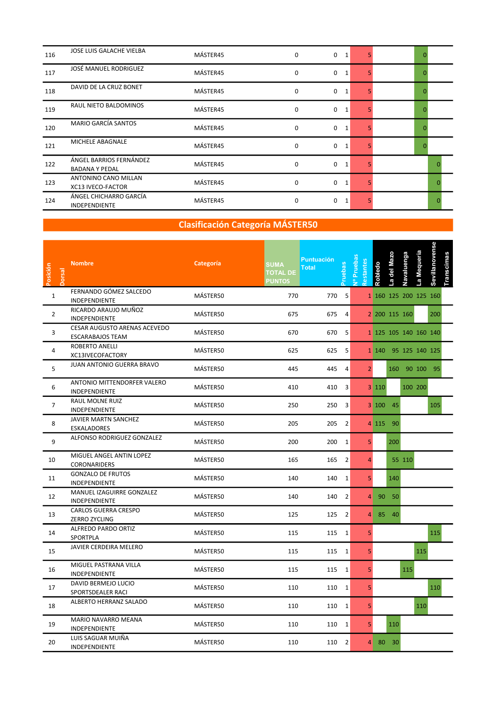| 116 | JOSE LUIS GALACHE VIELBA                         | MÁSTER45 | $\mathbf 0$ | 0<br>1           |    | $\Omega$ |  |
|-----|--------------------------------------------------|----------|-------------|------------------|----|----------|--|
| 117 | JOSÉ MANUEL RODRIGUEZ                            | MÁSTER45 | $\mathbf 0$ | 0<br>1           |    |          |  |
| 118 | DAVID DE LA CRUZ BONET                           | MÁSTER45 | $\mathbf 0$ | 0                |    | n        |  |
| 119 | RAUL NIETO BALDOMINOS                            | MÁSTER45 | 0           | 0                |    |          |  |
| 120 | <b>MARIO GARCÍA SANTOS</b>                       | MÁSTER45 | 0           | 0                |    |          |  |
| 121 | MICHELE ABAGNALE                                 | MÁSTER45 | 0           | $\mathbf 0$<br>1 |    | 0        |  |
| 122 | ÁNGEL BARRIOS FERNÁNDEZ<br><b>BADANA Y PEDAL</b> | MÁSTER45 | 0           | $\mathbf 0$<br>1 |    |          |  |
| 123 | ANTONINO CANO MILLAN<br>XC13 IVECO-FACTOR        | MÁSTER45 | $\mathbf 0$ | $\mathbf 0$<br>1 | 5. |          |  |
| 124 | ÁNGEL CHICHARRO GARCÍA<br><b>INDEPENDIENTE</b>   | MÁSTER45 | $\mathbf 0$ | 0<br>1           |    |          |  |

| Posición<br>Dorsal | <b>Nombre</b>                                           | Categoría | <b>SUMA</b><br><b>TOTAL DE</b><br><b>PUNTOS</b> | <b>Puntuación</b><br><b>Total</b> | cepas          | v <sup>o</sup> Pruebas<br>Restantes | <b>Robledo</b> | del Mazo<br>$\overline{\mathbf{a}}$ | Navaluenga | La Mequeria           | Sevillanovense | nscimas |  |  |
|--------------------|---------------------------------------------------------|-----------|-------------------------------------------------|-----------------------------------|----------------|-------------------------------------|----------------|-------------------------------------|------------|-----------------------|----------------|---------|--|--|
| $\mathbf{1}$       | FERNANDO GÓMEZ SALCEDO<br>INDEPENDIENTE                 | MÁSTER50  | 770                                             | 770 5                             |                |                                     |                |                                     |            | 1 160 125 200 125 160 |                |         |  |  |
| $\overline{2}$     | RICARDO ARAUJO MUÑOZ<br>INDEPENDIENTE                   | MÁSTER50  | 675                                             | 675 4                             |                |                                     |                | 2 200 115 160                       |            |                       | 200            |         |  |  |
| 3                  | CESAR AUGUSTO ARENAS ACEVEDO<br><b>ESCARABAJOS TEAM</b> | MÁSTER50  | 670                                             | 670                               | 5              |                                     |                |                                     |            | 1 125 105 140 160 140 |                |         |  |  |
| $\overline{4}$     | <b>ROBERTO ANELLI</b><br>XC13IVECOFACTORY               | MÁSTER50  | 625                                             | 625 5                             |                |                                     |                |                                     |            | 1 140 95 125 140 125  |                |         |  |  |
| 5                  | JUAN ANTONIO GUERRA BRAVO                               | MÁSTER50  | 445                                             | 445 4                             |                | $\overline{2}$                      |                |                                     |            | 160 90 100 95         |                |         |  |  |
| 6                  | ANTONIO MITTENDORFER VALERO<br>INDEPENDIENTE            | MÁSTER50  | 410                                             | 410                               | 3              |                                     | 3 110          |                                     |            | 100 200               |                |         |  |  |
| $\overline{7}$     | RAUL MOLNE RUIZ<br>INDEPENDIENTE                        | MÁSTER50  | 250                                             | 250 3                             |                |                                     |                | $3 100$ 45                          |            |                       | 105            |         |  |  |
| 8                  | JAVIER MARTN SANCHEZ<br>ESKALADORES                     | MÁSTER50  | 205                                             | 205 2                             |                |                                     |                | 4 115 90                            |            |                       |                |         |  |  |
| 9                  | ALFONSO RODRIGUEZ GONZALEZ                              | MÁSTER50  | 200                                             | 200                               | $\mathbf{1}$   | 5 <sup>1</sup>                      |                | 200                                 |            |                       |                |         |  |  |
| 10                 | MIGUEL ANGEL ANTIN LOPEZ<br>CORONARIDERS                | MÁSTER50  | 165                                             | 165 2                             |                | $\overline{4}$                      |                |                                     | 55 110     |                       |                |         |  |  |
| 11                 | <b>GONZALO DE FRUTOS</b><br>INDEPENDIENTE               | MÁSTER50  | 140                                             | 140 1                             |                | 5 <sup>1</sup>                      |                | 140                                 |            |                       |                |         |  |  |
| 12                 | MANUEL IZAGUIRRE GONZALEZ<br>INDEPENDIENTE              | MÁSTER50  | 140                                             | 140                               | $\overline{2}$ |                                     |                | 4 90 50                             |            |                       |                |         |  |  |
| 13                 | CARLOS GUERRA CRESPO<br>ZERRO ZYCLING                   | MÁSTER50  | 125                                             | 125 2                             |                |                                     | $\overline{4}$ | 85 40                               |            |                       |                |         |  |  |
| 14                 | ALFREDO PARDO ORTIZ<br>SPORTPLA                         | MÁSTER50  | 115                                             | 115 1                             |                | 5                                   |                |                                     |            |                       | 115            |         |  |  |
| 15                 | JAVIER CERDEIRA MELERO                                  | MÁSTER50  | 115                                             | 115 1                             |                | 5                                   |                |                                     |            | 115                   |                |         |  |  |
| 16                 | MIGUEL PASTRANA VILLA<br>INDEPENDIENTE                  | MÁSTER50  | 115                                             | 115 1                             |                | 5                                   |                |                                     | 115        |                       |                |         |  |  |
| 17                 | DAVID BERMEJO LUCIO<br>SPORTSDEALER RACI                | MÁSTER50  | 110                                             | 110 1                             |                | 5                                   |                |                                     |            |                       | 110            |         |  |  |
| 18                 | ALBERTO HERRANZ SALADO                                  | MÁSTER50  | 110                                             | 110 1                             |                | 5                                   |                |                                     |            | 110                   |                |         |  |  |
| 19                 | MARIO NAVARRO MEANA<br>INDEPENDIENTE                    | MÁSTER50  | 110                                             | 110 1                             |                | 5 <sup>1</sup>                      |                | 110                                 |            |                       |                |         |  |  |
| 20                 | LUIS SAGUAR MUIÑA<br>INDEPENDIENTE                      | MÁSTER50  | 110                                             | 110 2                             |                | Δ                                   |                | 80 30                               |            |                       |                |         |  |  |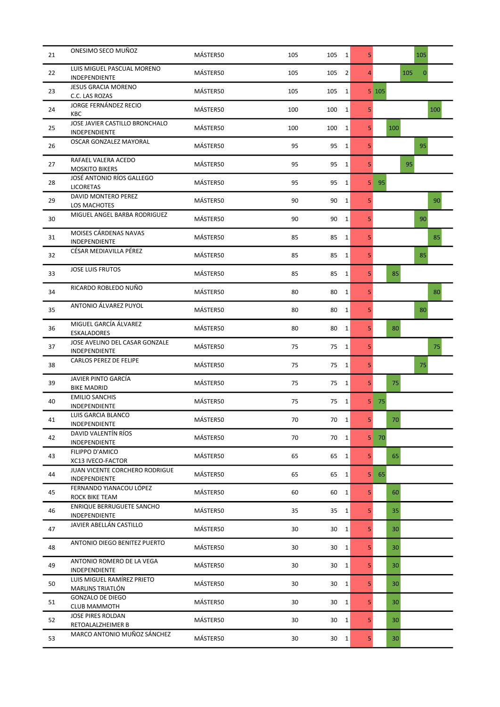| 21 | ONESIMO SECO MUÑOZ                              | MÁSTER50 | 105 | 105<br>$\overline{1}$ | 5              | 105                 |
|----|-------------------------------------------------|----------|-----|-----------------------|----------------|---------------------|
| 22 | LUIS MIGUEL PASCUAL MORENO<br>INDEPENDIENTE     | MÁSTER50 | 105 | $\overline{2}$<br>105 | $\overline{4}$ | 105<br>$\mathbf{0}$ |
| 23 | <b>JESUS GRACIA MORENO</b><br>C.C. LAS ROZAS    | MÁSTER50 | 105 | 105<br>1              |                | $5 \; 105$          |
| 24 | JORGE FERNÁNDEZ RECIO<br><b>KBC</b>             | MÁSTER50 | 100 | 100<br>$\mathbf{1}$   | 5              | 100                 |
| 25 | JOSE JAVIER CASTILLO BRONCHALO<br>INDEPENDIENTE | MÁSTER50 | 100 | 100<br>1              | 5              | 100                 |
| 26 | OSCAR GONZALEZ MAYORAL                          | MÁSTER50 | 95  | 95<br>$\mathbf{1}$    | 5              | 95                  |
| 27 | RAFAEL VALERA ACEDO<br><b>MOSKITO BIKERS</b>    | MÁSTER50 | 95  | 95<br>$\mathbf{1}$    | 5              | 95                  |
| 28 | JOSÉ ANTONIO RÍOS GALLEGO<br><b>LICORETAS</b>   | MÁSTER50 | 95  | 95<br>$\mathbf{1}$    | 5              | 95                  |
| 29 | DAVID MONTERO PEREZ<br>LOS MACHOTES             | MÁSTER50 | 90  | 90<br>1               | 5              | 90                  |
| 30 | MIGUEL ANGEL BARBA RODRIGUEZ                    | MÁSTER50 | 90  | 90<br>$\mathbf{1}$    | 5              | 90                  |
| 31 | MOISES CÁRDENAS NAVAS<br>INDEPENDIENTE          | MÁSTER50 | 85  | 85<br>1               | 5              | 85                  |
| 32 | CÉSAR MEDIAVILLA PÉREZ                          | MÁSTER50 | 85  | 85<br>$\mathbf{1}$    | 5              | 85                  |
| 33 | <b>JOSE LUIS FRUTOS</b>                         | MÁSTER50 | 85  | 85<br>1               | 5              | 85                  |
| 34 | RICARDO ROBLEDO NUÑO                            | MÁSTER50 | 80  | 80<br>$\mathbf{1}$    | 5              | 80                  |
| 35 | ANTONIO ÁLVAREZ PUYOL                           | MÁSTER50 | 80  | 80<br>1               | 5              | 80                  |
| 36 | MIGUEL GARCÍA ÁLVAREZ<br><b>ESKALADORES</b>     | MÁSTER50 | 80  | 80<br>$\mathbf{1}$    | 5              | 80                  |
| 37 | JOSE AVELINO DEL CASAR GONZALE<br>INDEPENDIENTE | MÁSTER50 | 75  | 75<br>$\mathbf{1}$    | 5              | 75                  |
| 38 | CARLOS PEREZ DE FELIPE                          | MÁSTER50 | 75  | 75<br>$\mathbf{1}$    | 5              | 75                  |
| 39 | JAVIER PINTO GARCÍA<br><b>BIKE MADRID</b>       | MÁSTER50 | 75  | 75<br>1               | 5              | 75                  |
| 40 | <b>EMILIO SANCHIS</b><br>INDEPENDIENTE          | MÁSTER50 | 75  | $\mathbf{1}$<br>75    | 5              | 75                  |
| 41 | LUIS GARCIA BLANCO<br>INDEPENDIENTE             | MÁSTER50 | 70  | 70<br>1               | 5              | 70                  |
| 42 | DAVID VALENTÍN RÍOS<br>INDEPENDIENTE            | MÁSTER50 | 70  | 70 1                  | 5              | 70                  |
| 43 | FILIPPO D'AMICO<br>XC13 IVECO-FACTOR            | MÁSTER50 | 65  | 65<br>$\mathbf{1}$    | 5              | 65                  |
| 44 | JUAN VICENTE CORCHERO RODRIGUE<br>INDEPENDIENTE | MÁSTER50 | 65  | 65<br>$\mathbf{1}$    | 5              | 65                  |
| 45 | FERNANDO YIANACOU LÓPEZ<br>ROCK BIKE TEAM       | MÁSTER50 | 60  | 60<br>$\mathbf{1}$    | 5              | 60                  |
| 46 | ENRIQUE BERRUGUETE SANCHO<br>INDEPENDIENTE      | MÁSTER50 | 35  | 35<br>$\mathbf{1}$    | 5              | 35                  |
| 47 | JAVIER ABELLÁN CASTILLO                         | MÁSTER50 | 30  | 30<br>$\mathbf{1}$    | 5              | 30                  |
| 48 | ANTONIO DIEGO BENITEZ PUERTO                    | MÁSTER50 | 30  | 30<br>$\mathbf{1}$    | 5              | 30                  |
| 49 | ANTONIO ROMERO DE LA VEGA<br>INDEPENDIENTE      | MÁSTER50 | 30  | 30<br>1               | 5              | 30                  |
| 50 | LUIS MIGUEL RAMÍREZ PRIETO<br>MARLINS TRIATLÓN  | MÁSTER50 | 30  | 30<br>$\mathbf{1}$    | 5              | 30                  |
| 51 | <b>GONZALO DE DIEGO</b><br><b>CLUB MAMMOTH</b>  | MÁSTER50 | 30  | 30<br>$\mathbf{1}$    | 5              | 30                  |
| 52 | JOSE PIRES ROLDAN<br>RETOALALZHEIMER B          | MÁSTER50 | 30  | 30<br>1               | 5              | 30                  |
| 53 | MARCO ANTONIO MUÑOZ SÁNCHEZ                     | MÁSTER50 | 30  | 30<br>$\mathbf{1}$    | 5              | 30                  |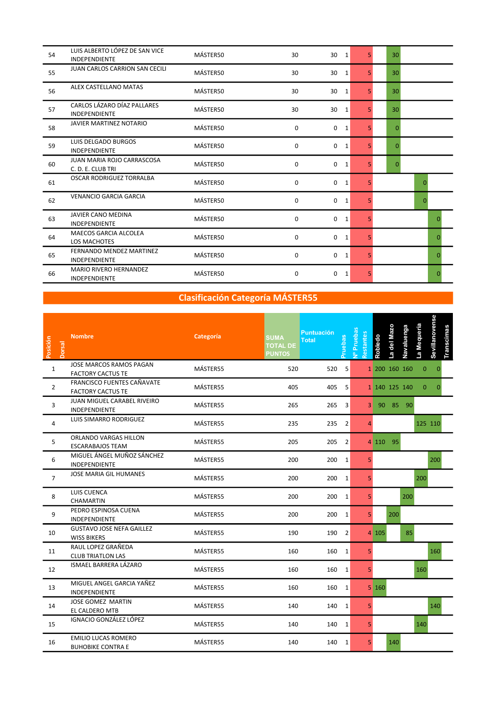| 54 | LUIS ALBERTO LÓPEZ DE SAN VICE<br><b>INDEPENDIENTE</b> | MÁSTER50 | 30          | 30<br>1          | 5.             | 30              |          |
|----|--------------------------------------------------------|----------|-------------|------------------|----------------|-----------------|----------|
| 55 | <b>JUAN CARLOS CARRION SAN CECILI</b>                  | MÁSTER50 | 30          | 30<br>1          | 5              | 30 <sup>°</sup> |          |
| 56 | ALEX CASTELLANO MATAS                                  | MÁSTER50 | 30          | 30<br>1          | 5.             | 30              |          |
| 57 | CARLOS LÁZARO DÍAZ PALLARES<br><b>INDEPENDIENTE</b>    | MÁSTER50 | 30          | 30<br>1          | 5              | 30              |          |
| 58 | JAVIER MARTINEZ NOTARIO                                | MÁSTER50 | 0           | $\mathbf 0$<br>1 | 5.             | $\Omega$        |          |
| 59 | LUIS DELGADO BURGOS<br><b>INDEPENDIENTE</b>            | MÁSTER50 | 0           | $\mathbf 0$<br>1 | 5.             | $\Omega$        |          |
| 60 | <b>JUAN MARIA ROJO CARRASCOSA</b><br>C. D. E. CLUB TRI | MÁSTER50 | 0           | 0<br>1           | 5.             | $\Omega$        |          |
| 61 | <b>OSCAR RODRIGUEZ TORRALBA</b>                        | MÁSTER50 | $\mathbf 0$ | 0<br>1           | 5.             |                 | 0        |
| 62 | <b>VENANCIO GARCIA GARCIA</b>                          | MÁSTER50 | 0           | $\mathbf 0$<br>1 | 5 <sup>1</sup> |                 | $\Omega$ |
| 63 | <b>JAVIER CANO MEDINA</b><br><b>INDEPENDIENTE</b>      | MÁSTER50 | 0           | $\mathbf 0$<br>1 | 5.             |                 | n        |
| 64 | <b>MAECOS GARCIA ALCOLEA</b><br><b>LOS MACHOTES</b>    | MÁSTER50 | 0           | $\mathbf 0$<br>1 | 5 <sup>1</sup> |                 | O        |
| 65 | FERNANDO MENDEZ MARTINEZ<br><b>INDEPENDIENTE</b>       | MÁSTER50 | 0           | $\mathbf 0$<br>1 | 5              |                 | $\Omega$ |
| 66 | <b>MARIO RIVERO HERNANDEZ</b><br><b>INDEPENDIENTE</b>  | MÁSTER50 | 0           | 0<br>1           | 5.             |                 | 0        |

| Posición<br><b>Dorsal</b> | <b>Nombre</b>                                          | Categoría | <b>SUMA</b><br><b>TOTAL DE</b><br><b>PUNTOS</b> | <b>Puntuación</b><br><b>Total</b> | ruebas         | Nº Pruebas<br>Restantes | Robledo                           | a del Mazo    | Navaluenga | La Mequeria  | Sevillanovense | Transcimas |  |  |  |
|---------------------------|--------------------------------------------------------|-----------|-------------------------------------------------|-----------------------------------|----------------|-------------------------|-----------------------------------|---------------|------------|--------------|----------------|------------|--|--|--|
| $\mathbf{1}$              | JOSE MARCOS RAMOS PAGAN<br><b>FACTORY CACTUS TE</b>    | MÁSTER55  | 520                                             | 520                               | 5              |                         |                                   | 1 200 160 160 |            | $\mathbf{0}$ | 0              |            |  |  |  |
| $\overline{2}$            | FRANCISCO FUENTES CAÑAVATE<br><b>FACTORY CACTUS TE</b> | MÁSTER55  | 405                                             | 405                               | 5              |                         |                                   | 1 140 125 140 |            | $\mathbf{0}$ | $\Omega$       |            |  |  |  |
| 3                         | JUAN MIGUEL CARABEL RIVEIRO<br>INDEPENDIENTE           | MÁSTER55  | 265                                             | 265                               | 3              | 3 <sup>1</sup>          |                                   | 90 85 90      |            |              |                |            |  |  |  |
| 4                         | LUIS SIMARRO RODRIGUEZ                                 | MÁSTER55  | 235                                             | 235                               | $\overline{2}$ | Δ                       |                                   |               |            |              | 125 110        |            |  |  |  |
| 5                         | ORLANDO VARGAS HILLON<br><b>ESCARABAJOS TEAM</b>       | MÁSTER55  | 205                                             | 205                               | $\overline{2}$ |                         |                                   | 4 110 95      |            |              |                |            |  |  |  |
| 6                         | MIGUEL ÁNGEL MUÑOZ SÁNCHEZ<br>INDEPENDIENTE            | MÁSTER55  | 200                                             | 200 1                             |                | 5                       |                                   |               |            |              | 200            |            |  |  |  |
| $\overline{7}$            | JOSE MARIA GIL HUMANES                                 | MÁSTER55  | 200                                             | 200 1                             |                | 5                       |                                   |               |            | 200          |                |            |  |  |  |
| 8                         | LUIS CUENCA<br>CHAMARTIN                               | MÁSTER55  | 200                                             | 200 1                             |                | 5                       |                                   |               | 200        |              |                |            |  |  |  |
| 9                         | PEDRO ESPINOSA CUENA<br><b>INDEPENDIENTE</b>           | MÁSTER55  | 200                                             | 200                               | 1              | 5                       |                                   | 200           |            |              |                |            |  |  |  |
| 10                        | <b>GUSTAVO JOSE NEFA GAILLEZ</b><br><b>WISS BIKERS</b> | MÁSTER55  | 190                                             | 190                               | $\overline{2}$ |                         | 4 105                             |               | 85         |              |                |            |  |  |  |
| 11                        | RAUL LOPEZ GRAÑEDA<br><b>CLUB TRIATLON LAS</b>         | MÁSTER55  | 160                                             | 160                               | 1              | 5 <sup>1</sup>          |                                   |               |            |              | 160            |            |  |  |  |
| 12                        | ISMAEL BARRERA LÁZARO                                  | MÁSTER55  | 160                                             | 160                               | 1              | 5 <sup>1</sup>          |                                   |               |            | 160          |                |            |  |  |  |
| 13                        | MIGUEL ANGEL GARCIA YAÑEZ<br>INDEPENDIENTE             | MÁSTER55  | 160                                             | 160                               | 1              |                         | $5 \overline{\smash{\big)}\ 160}$ |               |            |              |                |            |  |  |  |
| 14                        | <b>JOSE GOMEZ MARTIN</b><br>EL CALDERO MTB             | MÁSTER55  | 140                                             | 140 1                             |                | 5 <sup>1</sup>          |                                   |               |            |              | 140            |            |  |  |  |
| 15                        | IGNACIO GONZÁLEZ LÓPEZ                                 | MÁSTER55  | 140                                             | 140 1                             |                | 5 <sup>1</sup>          |                                   |               |            | 140          |                |            |  |  |  |
| 16                        | <b>EMILIO LUCAS ROMERO</b><br><b>BUHOBIKE CONTRA E</b> | MÁSTER55  | 140                                             | 140 1                             |                | 5 <sup>1</sup>          |                                   | 140           |            |              |                |            |  |  |  |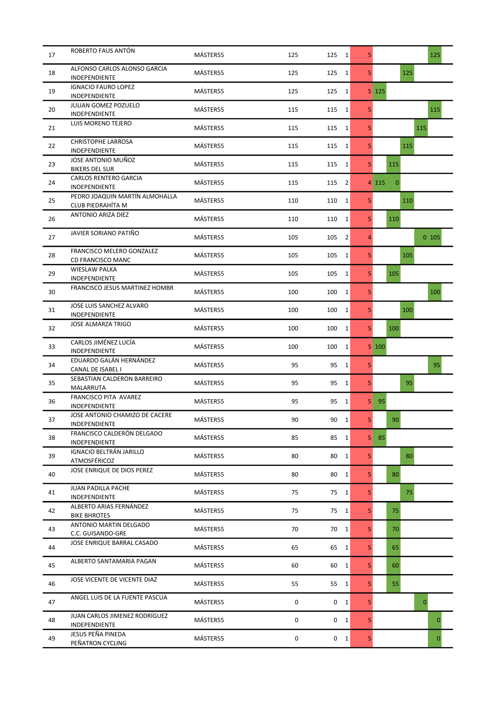| 17 | ROBERTO FAUS ANTÓN                                     | MÁSTER55 | 125 | 125            | $\mathbf{1}$ | 5              |                         |     | 125          |
|----|--------------------------------------------------------|----------|-----|----------------|--------------|----------------|-------------------------|-----|--------------|
| 18 | ALFONSO CARLOS ALONSO GARCIA<br>INDEPENDIENTE          | MÁSTER55 | 125 | 125            | $\mathbf{1}$ | 5              |                         | 125 |              |
| 19 | <b>IGNACIO FAURO LOPEZ</b><br>INDEPENDIENTE            | MÁSTER55 | 125 | 125            | $\mathbf{1}$ |                | $5 \; 125$              |     |              |
| 20 | <b>JULIAN GOMEZ POZUELO</b><br>INDEPENDIENTE           | MÁSTER55 | 115 | 115            | $\mathbf{1}$ | 5              |                         |     | 115          |
| 21 | LUIS MORENO TEJERO                                     | MÁSTER55 | 115 | 115            | 1            | 5              |                         |     | 115          |
| 22 | <b>CHRISTOPHE LARROSA</b><br>INDEPENDIENTE             | MÁSTER55 | 115 | 115            | 1            | 5              |                         | 115 |              |
| 23 | JOSE ANTONIO MUÑOZ<br><b>BIKERS DEL SUR</b>            | MÁSTER55 | 115 | 115            | $\mathbf{1}$ | 5              | 115                     |     |              |
| 24 | <b>CARLOS RENTERO GARCIA</b><br>INDEPENDIENTE          | MÁSTER55 | 115 | 115            | 2            |                | $\mathbf{0}$<br>4 1 1 5 |     |              |
| 25 | PEDRO JOAQUIN MARTÍN ALMOHALLA<br>CLUB PIEDRAHÍTA M    | MÁSTER55 | 110 | 110            | $\mathbf{1}$ | 5              |                         | 110 |              |
| 26 | ANTONIO ARIZA DIEZ                                     | MÁSTER55 | 110 | 110            | 1            | 5              | 110                     |     |              |
| 27 | JAVIER SORIANO PATIÑO                                  | MÁSTER55 | 105 | 105            | 2            | $\overline{4}$ |                         |     | 0105         |
| 28 | FRANCISCO MELERO GONZALEZ<br>CD FRANCISCO MANC         | MÁSTER55 | 105 | 105            | $\mathbf{1}$ | 5              |                         | 105 |              |
| 29 | <b>WIESLAW PALKA</b><br>INDEPENDIENTE                  | MÁSTER55 | 105 | 105            | $\mathbf{1}$ | 5              | 105                     |     |              |
| 30 | <b>FRANCISCO JESUS MARTINEZ HOMBR</b>                  | MÁSTER55 | 100 | 100            | 1            | 5              |                         |     | 100          |
| 31 | JOSE LUIS SANCHEZ ALVARO<br>INDEPENDIENTE              | MÁSTER55 | 100 | 100            | $\mathbf{1}$ | 5              |                         | 100 |              |
| 32 | <b>JOSE ALMARZA TRIGO</b>                              | MÁSTER55 | 100 | 100            | 1            | 5              | 100                     |     |              |
| 33 | CARLOS JIMÉNEZ LUCÍA<br>INDEPENDIENTE                  | MÁSTER55 | 100 | 100            | $\mathbf{1}$ |                | 5 100                   |     |              |
| 34 | EDUARDO GALÁN HERNÁNDEZ<br>CANAL DE ISABEL I           | MÁSTER55 | 95  | 95             | $\mathbf{1}$ | 5              |                         |     | 95           |
| 35 | SEBASTIAN CALDERON BARREIRO<br>MALARRUTA               | MÁSTER55 | 95  | 95             | 1            | 5              |                         | 95  |              |
| 36 | FRANCISCO PITA AVAREZ<br>INDEPENDIENTE                 | MÁSTER55 | 95  | 95             | 1            | 5              | 95                      |     |              |
| 37 | JOSE ANTONIO CHAMIZO DE CACERE<br><b>INDEPENDIENTE</b> | MÁSTER55 | 90  | 90             | 1            | 5              | 90                      |     |              |
| 38 | FRANCISCO CALDERÓN DELGADO<br>INDEPENDIENTE            | MÁSTER55 | 85  | 85             | $\mathbf{1}$ | 5              | 85                      |     |              |
| 39 | IGNACIO BELTRÁN JARILLO<br>ATMOSFÉRICOZ                | MÁSTER55 | 80  | 80             | 1            | 5              |                         | 80  |              |
| 40 | JOSE ENRIQUE DE DIOS PEREZ                             | MÁSTER55 | 80  | 80             | $\mathbf{1}$ | 5              | 80                      |     |              |
| 41 | <b>JUAN PADILLA PACHE</b><br>INDEPENDIENTE             | MÁSTER55 | 75  | 75             | $\mathbf{1}$ | 5              |                         | 75  |              |
| 42 | ALBERTO ARIAS FERNÁNDEZ<br><b>BIKE BHROTES</b>         | MÁSTER55 | 75  | 75             | $\mathbf{1}$ | 5              | 75                      |     |              |
| 43 | ANTONIO MARTIN DELGADO<br>C.C. GUISANDO-GRE            | MÁSTER55 | 70  | 70 1           |              | 5              | 70                      |     |              |
| 44 | JOSE ENRIQUE BARRAL CASADO                             | MÁSTER55 | 65  | 65             | $\mathbf{1}$ | 5              | 65                      |     |              |
| 45 | ALBERTO SANTAMARIA PAGAN                               | MÁSTER55 | 60  | 60             | 1            | 5              | 60                      |     |              |
| 46 | JOSE VICENTE DE VICENTE DIAZ                           | MÁSTER55 | 55  | 55 1           |              | 5              | 55                      |     |              |
| 47 | ANGEL LUIS DE LA FUENTE PASCUA                         | MÁSTER55 | 0   | 0 <sub>1</sub> |              | 5              |                         |     | $\mathbf{0}$ |
| 48 | JUAN CARLOS JIMENEZ RODRÍGUEZ<br>INDEPENDIENTE         | MÁSTER55 | 0   | $\mathbf{0}$   | $\mathbf{1}$ | 5              |                         |     | $\Omega$     |
| 49 | JESUS PEÑA PINEDA<br>PEÑATRON CYCLING                  | MÁSTER55 | 0   | $0\quad 1$     |              | 5              |                         |     | 0            |
|    |                                                        |          |     |                |              |                |                         |     |              |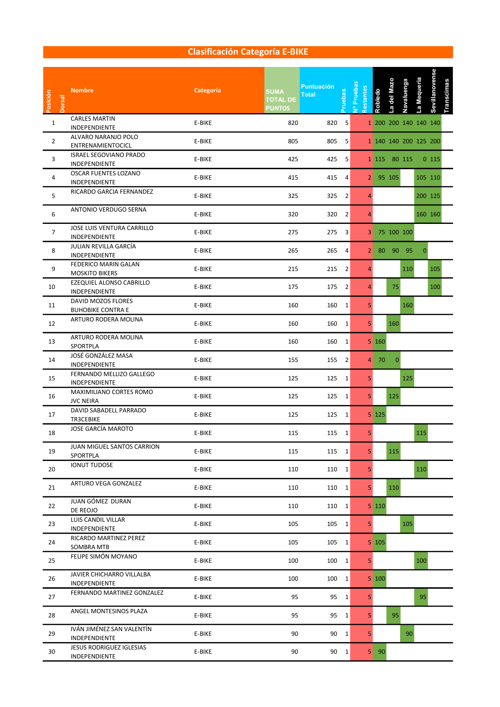### Clasificación Categoría E-BIKE

| Posición       | Dorsal | <b>Nombre</b>                                  | Categoría | <b>SUMA</b><br><b>TOTAL DE</b><br><b>PUNTOS</b> | <b>Puntuación</b><br><b>Total</b> | ruebas       | Nº Pruebas<br>Restantes | Robledo                          | del Mazo<br>ą | Navaluenga | La Mequeria  | Sevillanovense        | <b>Transcimas</b> |  |  |
|----------------|--------|------------------------------------------------|-----------|-------------------------------------------------|-----------------------------------|--------------|-------------------------|----------------------------------|---------------|------------|--------------|-----------------------|-------------------|--|--|
| $\mathbf{1}$   |        | <b>CARLES MARTIN</b><br>INDEPENDIENTE          | E-BIKE    | 820                                             | 820 5                             |              |                         |                                  |               |            |              | 1 200 200 140 140 140 |                   |  |  |
| $\overline{2}$ |        | ALVARO NARANJO POLO<br>ENTRENAMIENTOCICL       | E-BIKE    | 805                                             | 805 5                             |              |                         |                                  |               |            |              | 1 140 140 200 125 200 |                   |  |  |
| 3              |        | <b>ISRAEL SEGOVIANO PRADO</b><br>INDEPENDIENTE | E-BIKE    | 425                                             | 425 5                             |              |                         |                                  | 1 115 80 115  |            |              | $0\;115$              |                   |  |  |
| 4              |        | OSCAR FUENTES LOZANO<br>INDEPENDIENTE          | E-BIKE    | 415                                             | 415 4                             |              |                         |                                  | 2 95 105      |            |              | 105 110               |                   |  |  |
| 5              |        | RICARDO GARCIA FERNANDEZ                       | E-BIKE    | 325                                             | 325 2                             |              | 4                       |                                  |               |            |              | 200 125               |                   |  |  |
| 6              |        | ANTONIO VERDUGO SERNA                          | E-BIKE    | 320                                             | 320 2                             |              | 4                       |                                  |               |            |              | 160 160               |                   |  |  |
| $\overline{7}$ |        | JOSE LUIS VENTURA CARRILLO<br>INDEPENDIENTE    | E-BIKE    | 275                                             | 275 3                             |              |                         |                                  | 3 75 100 100  |            |              |                       |                   |  |  |
| 8              |        | JULIAN REVILLA GARCÍA<br>INDEPENDIENTE         | E-BIKE    | 265                                             | 265                               | 4            |                         |                                  | 2 80 90 95    |            | $\mathbf{0}$ |                       |                   |  |  |
| 9              |        | FEDERICO MARIN GALAN<br><b>MOSKITO BIKERS</b>  | E-BIKE    | 215                                             | 215 2                             |              | 4                       |                                  |               | 110        |              | 105                   |                   |  |  |
| 10             |        | EZEQUIEL ALONSO CABRILLO<br>INDEPENDIENTE      | E-BIKE    | 175                                             | 175 2                             |              | $\overline{4}$          |                                  | 75            |            |              | 100                   |                   |  |  |
| 11             |        | DAVID MOZOS FLORES<br><b>BUHOBIKE CONTRA E</b> | E-BIKE    | 160                                             | 160 1                             |              | 5 <sub>1</sub>          |                                  |               | 160        |              |                       |                   |  |  |
| 12             |        | ARTURO RODERA MOLINA                           | E-BIKE    | 160                                             | 160 1                             |              | 5 <sup>1</sup>          |                                  | 160           |            |              |                       |                   |  |  |
| 13             |        | ARTURO RODERA MOLINA<br>SPORTPLA               | E-BIKE    | 160                                             | 160 1                             |              |                         | 5 160                            |               |            |              |                       |                   |  |  |
| 14             |        | JOSÉ GONZÁLEZ MASA<br>INDEPENDIENTE            | E-BIKE    | 155                                             | 155 2                             |              |                         | $4 \overline{\smash{\big)}\ 70}$ | $\mathbf 0$   |            |              |                       |                   |  |  |
| 15             |        | FERNANDO MELLIZO GALLEGO<br>INDEPENDIENTE      | E-BIKE    | 125                                             | 125 1                             |              | 5                       |                                  |               | 125        |              |                       |                   |  |  |
| 16             |        | MAXIMILIANO CORTES ROMO<br><b>JVC NEIRA</b>    | E-BIKE    | 125                                             | 125 1                             |              | 5 <sup>1</sup>          |                                  | 125           |            |              |                       |                   |  |  |
| 17             |        | DAVID SABADELL PARRADO<br><b>TR3CEBIKE</b>     | E-BIKE    | 125                                             | 125 1                             |              |                         | 5 125                            |               |            |              |                       |                   |  |  |
| 18             |        | JOSE GARCÍA MAROTO                             | E-BIKE    | 115                                             | 115 1                             |              | 5                       |                                  |               |            | 115          |                       |                   |  |  |
| 19             |        | JUAN MIGUEL SANTOS CARRION<br>SPORTPLA         | E-BIKE    | 115                                             | 115 1                             |              | 5                       |                                  | 115           |            |              |                       |                   |  |  |
| 20             |        | <b>IONUT TUDOSE</b>                            | E-BIKE    | 110                                             | 110 1                             |              | 5 <sub>1</sub>          |                                  |               |            | 110          |                       |                   |  |  |
| 21             |        | ARTURO VEGA GONZALEZ                           | E-BIKE    | 110                                             | $110$ 1                           |              | 5 <sub>1</sub>          |                                  | 110           |            |              |                       |                   |  |  |
| 22             |        | JUAN GÓMEZ DURAN<br>DE REOJO                   | E-BIKE    | 110                                             | $110 \t1$                         |              |                         | 5 110                            |               |            |              |                       |                   |  |  |
| 23             |        | LUIS CANDIL VILLAR<br>INDEPENDIENTE            | E-BIKE    | 105                                             | 105 1                             |              | 5 <sub>1</sub>          |                                  |               | 105        |              |                       |                   |  |  |
| 24             |        | RICARDO MARTINEZ PEREZ<br>SOMBRA MTB           | E-BIKE    | 105                                             | $105 \quad 1$                     |              |                         | $5 \vert 105 \vert$              |               |            |              |                       |                   |  |  |
| 25             |        | FELIPE SIMÓN MOYANO                            | E-BIKE    | 100                                             | $100 \quad 1$                     |              | 5 <sub>1</sub>          |                                  |               |            | 100          |                       |                   |  |  |
| 26             |        | JAVIER CHICHARRO VILLALBA<br>INDEPENDIENTE     | E-BIKE    | 100                                             | $100 \quad 1$                     |              |                         | 5 100                            |               |            |              |                       |                   |  |  |
| 27             |        | FERNANDO MARTINEZ GONZALEZ                     | E-BIKE    | 95                                              |                                   | 95 1         | 5 <sub>1</sub>          |                                  |               |            | 95           |                       |                   |  |  |
| 28             |        | ANGEL MONTESINOS PLAZA                         | E-BIKE    | 95                                              |                                   | 95 1         | 5 <sup>1</sup>          |                                  | 95            |            |              |                       |                   |  |  |
| 29             |        | IVÁN JIMÉNEZ SAN VALENTÍN<br>INDEPENDIENTE     | E-BIKE    | 90                                              |                                   | $90 \quad 1$ | 5 <sub>1</sub>          |                                  |               | 90         |              |                       |                   |  |  |
| 30             |        | JESUS RODRIGUEZ IGLESIAS<br>INDEPENDIENTE      | E-BIKE    | 90                                              |                                   | 90 1         |                         | $5 \quad 90$                     |               |            |              |                       |                   |  |  |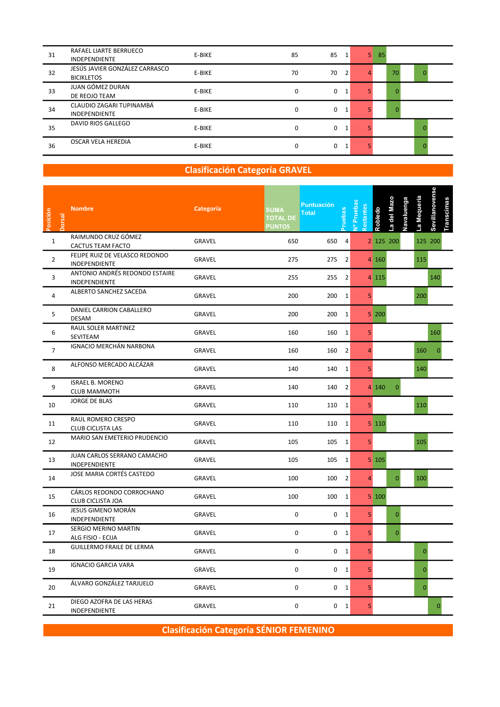| 31 | RAFAEL LIARTE BERRUECO<br><b>INDEPENDIENTE</b>      | E-BIKE | 85 | 85 | 1            | 5 | 85 |          |          |  |
|----|-----------------------------------------------------|--------|----|----|--------------|---|----|----------|----------|--|
| 32 | JESÚS JAVIER GONZÁLEZ CARRASCO<br><b>BICIKLETOS</b> | E-BIKE | 70 | 70 | 2            | 4 |    | 70       | 0        |  |
| 33 | JUAN GÓMEZ DURAN<br>DE REOJO TEAM                   | E-BIKE | 0  | 0  | 1            |   |    | $\Omega$ |          |  |
| 34 | CLAUDIO ZAGARI TUPINAMBÁ<br><b>INDEPENDIENTE</b>    | E-BIKE | 0  | 0  | 1            |   |    | 0        |          |  |
| 35 | DAVID RIOS GALLEGO                                  | E-BIKE | 0  | 0  | 1            |   |    |          |          |  |
| 36 | OSCAR VELA HEREDIA                                  | E-BIKE | 0  | 0  | $\mathbf{1}$ |   |    |          | $\Omega$ |  |

#### **Clasificación Categoría GRAVEL**

| Posición<br><b>Dorsal</b> | <b>Nombre</b>                                         | Categoría     | <b>SUMA</b><br><b>TOTAL DE</b><br><b>PUNTOS</b> | <b>Puntuación</b><br><b>Total</b> | ueba           | Nº Pruebas<br>estantes | Robledo       | a del Mazo   | Navaluenga | La Mequeria    | Sevillanovense<br>Transcimas |  |  |
|---------------------------|-------------------------------------------------------|---------------|-------------------------------------------------|-----------------------------------|----------------|------------------------|---------------|--------------|------------|----------------|------------------------------|--|--|
| $\mathbf{1}$              | RAIMUNDO CRUZ GÓMEZ<br>CACTUS TEAM FACTO              | GRAVEL        | 650                                             | 650                               | $\overline{4}$ |                        |               | 2 125 200    |            |                | 125 200                      |  |  |
| $\overline{2}$            | FELIPE RUIZ DE VELASCO REDONDO<br>INDEPENDIENTE       | GRAVEL        | 275                                             |                                   | 275 2          |                        | 4 160         |              |            | 115            |                              |  |  |
| 3                         | ANTONIO ANDRÉS REDONDO ESTAIRE<br>INDEPENDIENTE       | GRAVEL        | 255                                             |                                   | 255 2          |                        | 4 115         |              |            |                | 140                          |  |  |
| $\overline{4}$            | ALBERTO SANCHEZ SACEDA                                | GRAVEL        | 200                                             | 200 1                             |                | 5 <sup>1</sup>         |               |              |            | 200            |                              |  |  |
| 5                         | DANIEL CARRION CABALLERO<br><b>DESAM</b>              | GRAVEL        | 200                                             | 200 1                             |                |                        | 5 200         |              |            |                |                              |  |  |
| 6                         | RAUL SOLER MARTINEZ<br>SEVITEAM                       | GRAVEL        | 160                                             | 160 1                             |                | 5                      |               |              |            |                | 160                          |  |  |
| $\overline{7}$            | IGNACIO MERCHÁN NARBONA                               | GRAVEL        | 160                                             | 160                               | $\overline{2}$ | 4                      |               |              |            | 160            | $\Omega$                     |  |  |
| 8                         | ALFONSO MERCADO ALCÁZAR                               | GRAVEL        | 140                                             | 140                               | $\overline{1}$ | 5                      |               |              |            | 140            |                              |  |  |
| 9                         | <b>ISRAEL B. MORENO</b><br><b>CLUB MAMMOTH</b>        | <b>GRAVEL</b> | 140                                             |                                   | 140 2          |                        | 4 140         | $\mathbf{0}$ |            |                |                              |  |  |
| 10                        | <b>JORGE DE BLAS</b>                                  | GRAVEL        | 110                                             | 110 1                             |                | 5 <sup>1</sup>         |               |              |            | 110            |                              |  |  |
| 11                        | RAUL ROMERO CRESPO<br><b>CLUB CICLISTA LAS</b>        | GRAVEL        | 110                                             | 110 1                             |                |                        | 5 110         |              |            |                |                              |  |  |
| 12                        | MARIO SAN EMETERIO PRUDENCIO                          | GRAVEL        | 105                                             | 105 1                             |                | 5 <sup>1</sup>         |               |              |            | 105            |                              |  |  |
| 13                        | JUAN CARLOS SERRANO CAMACHO<br>INDEPENDIENTE          | GRAVEL        | 105                                             | 105 1                             |                |                        | $5 \vert 105$ |              |            |                |                              |  |  |
| 14                        | JOSE MARIA CORTÉS CASTEDO                             | GRAVEL        | 100                                             | 100                               | $\overline{2}$ | $\overline{4}$         |               | $\mathbf{0}$ |            | 100            |                              |  |  |
| 15                        | CÁRLOS REDONDO CORROCHANO<br><b>CLUB CICLISTA JOA</b> | GRAVEL        | 100                                             | 100                               | 1              |                        | 5 100         |              |            |                |                              |  |  |
| 16                        | JESUS GIMENO MORÁN<br>INDEPENDIENTE                   | <b>GRAVEL</b> | $\mathsf{O}\xspace$                             |                                   | 0 <sub>1</sub> | 5 <sup>1</sup>         |               | $\mathbf{0}$ |            |                |                              |  |  |
| 17                        | SERGIO MERINO MARTIN<br>ALG FISIO - ECIJA             | GRAVEL        | 0                                               |                                   | 0 <sub>1</sub> | 5                      |               | $\mathbf{0}$ |            |                |                              |  |  |
| 18                        | <b>GUILLERMO FRAILE DE LERMA</b>                      | GRAVEL        | 0                                               |                                   | 0 <sub>1</sub> | 5                      |               |              |            | $\mathbf 0$    |                              |  |  |
| 19                        | <b>IGNACIO GARCIA VARA</b>                            | GRAVEL        | $\mathbf 0$                                     |                                   | 0 <sub>1</sub> | 5                      |               |              |            | $\overline{0}$ |                              |  |  |
| 20                        | ÁLVARO GONZÁLEZ TARJUELO                              | GRAVEL        | $\mathsf{O}\xspace$                             |                                   | 0 <sub>1</sub> | 5                      |               |              |            | $\mathbf{0}$   |                              |  |  |
| 21                        | DIEGO AZOFRA DE LAS HERAS<br>INDEPENDIENTE            | GRAVEL        | 0                                               |                                   | 0 <sub>1</sub> | 5                      |               |              |            |                |                              |  |  |

Clasificación Categoría SÉNIOR FEMENINO